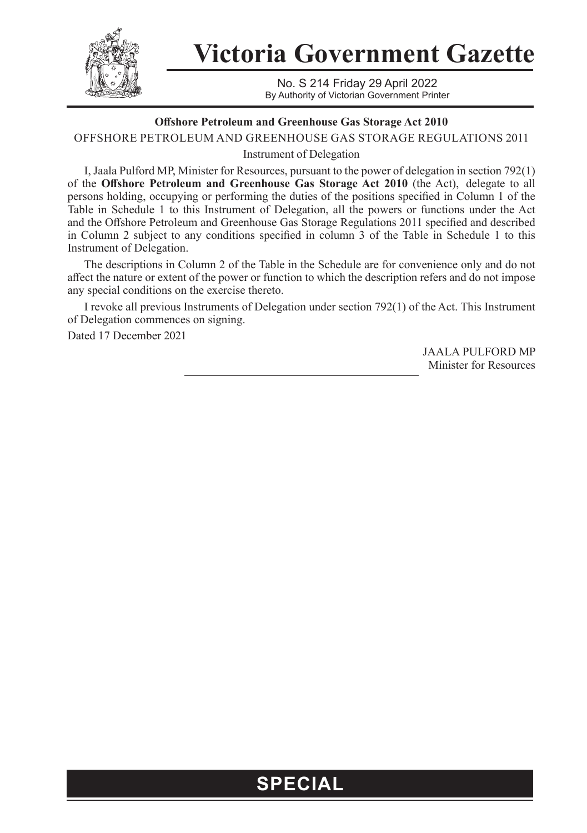

**Victoria Government Gazette**

No. S 214 Friday 29 April 2022 By Authority of Victorian Government Printer

## **Offshore Petroleum and Greenhouse Gas Storage Act 2010**

OFFSHORE PETROLEUM AND GREENHOUSE GAS STORAGE REGULATIONS 2011

Instrument of Delegation

I, Jaala Pulford MP, Minister for Resources, pursuant to the power of delegation in section 792(1) of the **Offshore Petroleum and Greenhouse Gas Storage Act 2010** (the Act), delegate to all persons holding, occupying or performing the duties of the positions specified in Column 1 of the Table in Schedule 1 to this Instrument of Delegation, all the powers or functions under the Act and the Offshore Petroleum and Greenhouse Gas Storage Regulations 2011 specified and described in Column 2 subject to any conditions specified in column 3 of the Table in Schedule 1 to this Instrument of Delegation.

The descriptions in Column 2 of the Table in the Schedule are for convenience only and do not affect the nature or extent of the power or function to which the description refers and do not impose any special conditions on the exercise thereto.

I revoke all previous Instruments of Delegation under section 792(1) of the Act. This Instrument of Delegation commences on signing.

Dated 17 December 2021

JAALA PULFORD MP Minister for Resources

## **SPECIAL**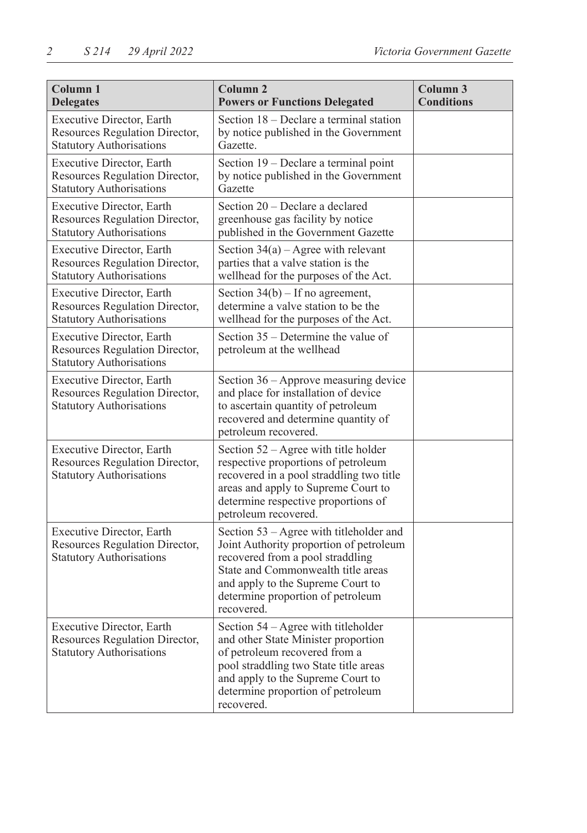| Column <sub>1</sub><br><b>Delegates</b>                                                        | Column <sub>2</sub><br><b>Powers or Functions Delegated</b>                                                                                                                                                                                            | Column 3<br><b>Conditions</b> |
|------------------------------------------------------------------------------------------------|--------------------------------------------------------------------------------------------------------------------------------------------------------------------------------------------------------------------------------------------------------|-------------------------------|
| Executive Director, Earth<br>Resources Regulation Director,<br><b>Statutory Authorisations</b> | Section 18 - Declare a terminal station<br>by notice published in the Government<br>Gazette.                                                                                                                                                           |                               |
| Executive Director, Earth<br>Resources Regulation Director,<br><b>Statutory Authorisations</b> | Section 19 – Declare a terminal point<br>by notice published in the Government<br>Gazette                                                                                                                                                              |                               |
| Executive Director, Earth<br>Resources Regulation Director,<br><b>Statutory Authorisations</b> | Section 20 – Declare a declared<br>greenhouse gas facility by notice<br>published in the Government Gazette                                                                                                                                            |                               |
| Executive Director, Earth<br>Resources Regulation Director,<br><b>Statutory Authorisations</b> | Section $34(a)$ – Agree with relevant<br>parties that a valve station is the<br>wellhead for the purposes of the Act.                                                                                                                                  |                               |
| Executive Director, Earth<br>Resources Regulation Director,<br><b>Statutory Authorisations</b> | Section $34(b)$ – If no agreement,<br>determine a valve station to be the<br>wellhead for the purposes of the Act.                                                                                                                                     |                               |
| Executive Director, Earth<br>Resources Regulation Director,<br><b>Statutory Authorisations</b> | Section $35$ – Determine the value of<br>petroleum at the wellhead                                                                                                                                                                                     |                               |
| Executive Director, Earth<br>Resources Regulation Director,<br><b>Statutory Authorisations</b> | Section 36 - Approve measuring device<br>and place for installation of device<br>to ascertain quantity of petroleum<br>recovered and determine quantity of<br>petroleum recovered.                                                                     |                               |
| Executive Director, Earth<br>Resources Regulation Director,<br><b>Statutory Authorisations</b> | Section $52 - \text{Agree}$ with title holder<br>respective proportions of petroleum<br>recovered in a pool straddling two title<br>areas and apply to Supreme Court to<br>determine respective proportions of<br>petroleum recovered.                 |                               |
| Executive Director, Earth<br>Resources Regulation Director,<br><b>Statutory Authorisations</b> | Section $53 -$ Agree with titleholder and<br>Joint Authority proportion of petroleum<br>recovered from a pool straddling<br>State and Commonwealth title areas<br>and apply to the Supreme Court to<br>determine proportion of petroleum<br>recovered. |                               |
| Executive Director, Earth<br>Resources Regulation Director,<br><b>Statutory Authorisations</b> | Section $54 - \text{Agree}$ with titleholder<br>and other State Minister proportion<br>of petroleum recovered from a<br>pool straddling two State title areas<br>and apply to the Supreme Court to<br>determine proportion of petroleum<br>recovered.  |                               |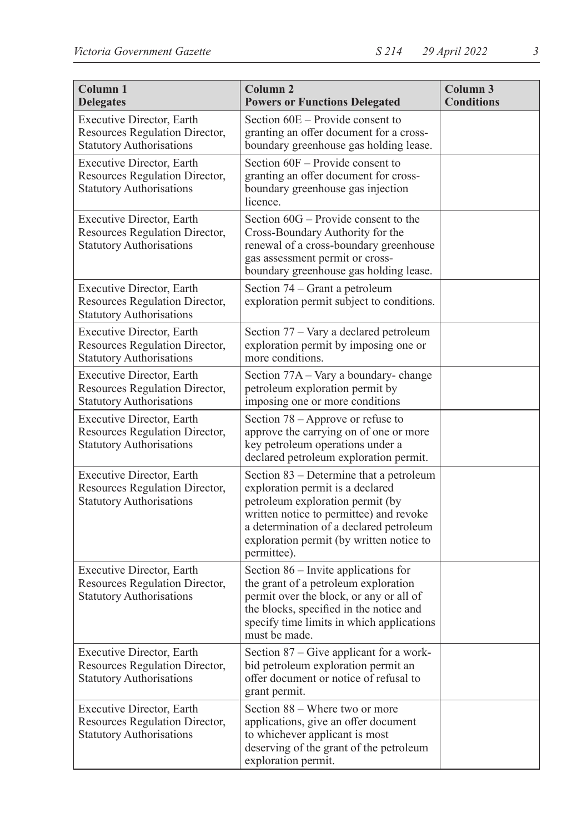| Column <sub>1</sub><br><b>Delegates</b>                                                                | Column <sub>2</sub><br><b>Powers or Functions Delegated</b>                                                                                                                                                                                                        | Column 3<br><b>Conditions</b> |
|--------------------------------------------------------------------------------------------------------|--------------------------------------------------------------------------------------------------------------------------------------------------------------------------------------------------------------------------------------------------------------------|-------------------------------|
| <b>Executive Director</b> , Earth<br>Resources Regulation Director,<br><b>Statutory Authorisations</b> | Section 60E – Provide consent to<br>granting an offer document for a cross-<br>boundary greenhouse gas holding lease.                                                                                                                                              |                               |
| Executive Director, Earth<br>Resources Regulation Director,<br><b>Statutory Authorisations</b>         | Section $60F -$ Provide consent to<br>granting an offer document for cross-<br>boundary greenhouse gas injection<br>licence.                                                                                                                                       |                               |
| Executive Director, Earth<br>Resources Regulation Director,<br><b>Statutory Authorisations</b>         | Section $60G$ – Provide consent to the<br>Cross-Boundary Authority for the<br>renewal of a cross-boundary greenhouse<br>gas assessment permit or cross-<br>boundary greenhouse gas holding lease.                                                                  |                               |
| Executive Director, Earth<br>Resources Regulation Director,<br><b>Statutory Authorisations</b>         | Section 74 – Grant a petroleum<br>exploration permit subject to conditions.                                                                                                                                                                                        |                               |
| Executive Director, Earth<br>Resources Regulation Director,<br><b>Statutory Authorisations</b>         | Section 77 – Vary a declared petroleum<br>exploration permit by imposing one or<br>more conditions.                                                                                                                                                                |                               |
| Executive Director, Earth<br>Resources Regulation Director,<br><b>Statutory Authorisations</b>         | Section 77A – Vary a boundary-change<br>petroleum exploration permit by<br>imposing one or more conditions                                                                                                                                                         |                               |
| <b>Executive Director</b> , Earth<br>Resources Regulation Director,<br><b>Statutory Authorisations</b> | Section $78 -$ Approve or refuse to<br>approve the carrying on of one or more<br>key petroleum operations under a<br>declared petroleum exploration permit.                                                                                                        |                               |
| Executive Director, Earth<br>Resources Regulation Director,<br><b>Statutory Authorisations</b>         | Section $83$ – Determine that a petroleum<br>exploration permit is a declared<br>petroleum exploration permit (by<br>written notice to permittee) and revoke<br>a determination of a declared petroleum<br>exploration permit (by written notice to<br>permittee). |                               |
| Executive Director, Earth<br>Resources Regulation Director,<br><b>Statutory Authorisations</b>         | Section $86$ – Invite applications for<br>the grant of a petroleum exploration<br>permit over the block, or any or all of<br>the blocks, specified in the notice and<br>specify time limits in which applications<br>must be made.                                 |                               |
| Executive Director, Earth<br>Resources Regulation Director,<br><b>Statutory Authorisations</b>         | Section $87 -$ Give applicant for a work-<br>bid petroleum exploration permit an<br>offer document or notice of refusal to<br>grant permit.                                                                                                                        |                               |
| Executive Director, Earth<br>Resources Regulation Director,<br><b>Statutory Authorisations</b>         | Section 88 – Where two or more<br>applications, give an offer document<br>to whichever applicant is most<br>deserving of the grant of the petroleum<br>exploration permit.                                                                                         |                               |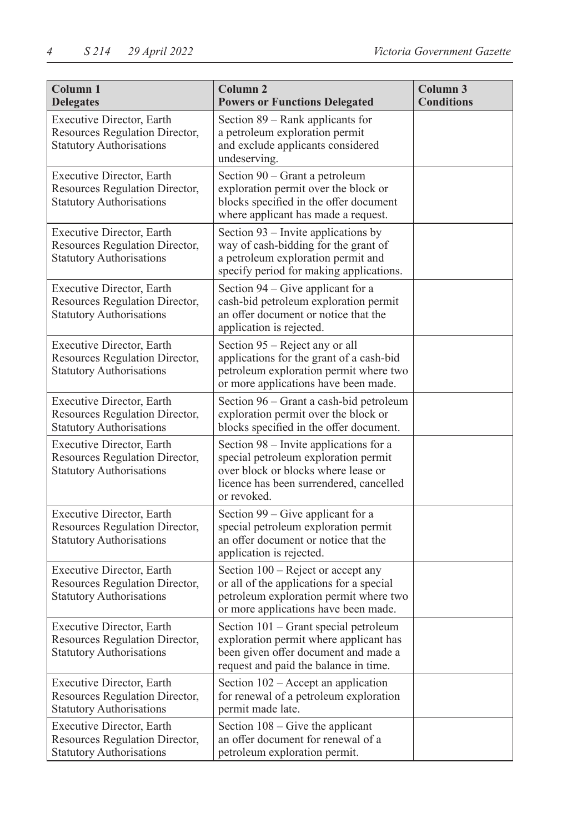| Column <sub>1</sub><br><b>Delegates</b>                                                                | <b>Column 2</b><br><b>Powers or Functions Delegated</b>                                                                                                                           | Column 3<br><b>Conditions</b> |
|--------------------------------------------------------------------------------------------------------|-----------------------------------------------------------------------------------------------------------------------------------------------------------------------------------|-------------------------------|
| Executive Director, Earth<br>Resources Regulation Director,<br><b>Statutory Authorisations</b>         | Section 89 – Rank applicants for<br>a petroleum exploration permit<br>and exclude applicants considered<br>undeserving.                                                           |                               |
| Executive Director, Earth<br>Resources Regulation Director,<br><b>Statutory Authorisations</b>         | Section 90 - Grant a petroleum<br>exploration permit over the block or<br>blocks specified in the offer document<br>where applicant has made a request.                           |                               |
| <b>Executive Director</b> , Earth<br>Resources Regulation Director,<br><b>Statutory Authorisations</b> | Section 93 – Invite applications by<br>way of cash-bidding for the grant of<br>a petroleum exploration permit and<br>specify period for making applications.                      |                               |
| Executive Director, Earth<br>Resources Regulation Director,<br><b>Statutory Authorisations</b>         | Section 94 – Give applicant for a<br>cash-bid petroleum exploration permit<br>an offer document or notice that the<br>application is rejected.                                    |                               |
| Executive Director, Earth<br>Resources Regulation Director,<br><b>Statutory Authorisations</b>         | Section 95 – Reject any or all<br>applications for the grant of a cash-bid<br>petroleum exploration permit where two<br>or more applications have been made.                      |                               |
| Executive Director, Earth<br>Resources Regulation Director,<br><b>Statutory Authorisations</b>         | Section 96 – Grant a cash-bid petroleum<br>exploration permit over the block or<br>blocks specified in the offer document.                                                        |                               |
| Executive Director, Earth<br>Resources Regulation Director,<br><b>Statutory Authorisations</b>         | Section $98$ – Invite applications for a<br>special petroleum exploration permit<br>over block or blocks where lease or<br>licence has been surrendered, cancelled<br>or revoked. |                               |
| Executive Director, Earth<br>Resources Regulation Director,<br><b>Statutory Authorisations</b>         | Section $99 - Give$ applicant for a<br>special petroleum exploration permit<br>an offer document or notice that the<br>application is rejected.                                   |                               |
| Executive Director, Earth<br>Resources Regulation Director,<br><b>Statutory Authorisations</b>         | Section $100$ – Reject or accept any<br>or all of the applications for a special<br>petroleum exploration permit where two<br>or more applications have been made.                |                               |
| Executive Director, Earth<br>Resources Regulation Director,<br><b>Statutory Authorisations</b>         | Section 101 – Grant special petroleum<br>exploration permit where applicant has<br>been given offer document and made a<br>request and paid the balance in time.                  |                               |
| Executive Director, Earth<br>Resources Regulation Director,<br><b>Statutory Authorisations</b>         | Section $102 -$ Accept an application<br>for renewal of a petroleum exploration<br>permit made late.                                                                              |                               |
| Executive Director, Earth<br>Resources Regulation Director,<br><b>Statutory Authorisations</b>         | Section $108 - Give the application$<br>an offer document for renewal of a<br>petroleum exploration permit.                                                                       |                               |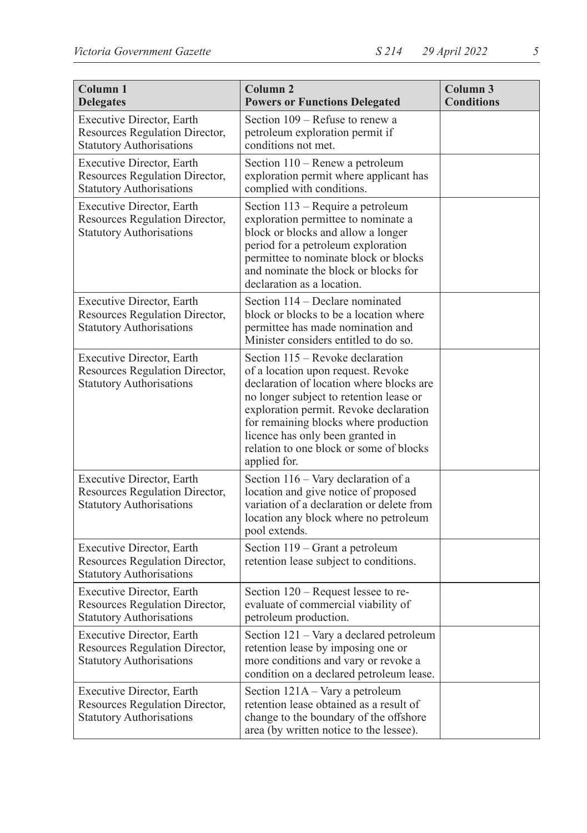| Column 1<br><b>Delegates</b>                                                                   | Column <sub>2</sub><br><b>Powers or Functions Delegated</b>                                                                                                                                                                                                                                                                                     | Column 3<br><b>Conditions</b> |
|------------------------------------------------------------------------------------------------|-------------------------------------------------------------------------------------------------------------------------------------------------------------------------------------------------------------------------------------------------------------------------------------------------------------------------------------------------|-------------------------------|
| Executive Director, Earth<br>Resources Regulation Director,<br><b>Statutory Authorisations</b> | Section $109$ – Refuse to renew a<br>petroleum exploration permit if<br>conditions not met.                                                                                                                                                                                                                                                     |                               |
| Executive Director, Earth<br>Resources Regulation Director,<br><b>Statutory Authorisations</b> | Section 110 – Renew a petroleum<br>exploration permit where applicant has<br>complied with conditions.                                                                                                                                                                                                                                          |                               |
| Executive Director, Earth<br>Resources Regulation Director,<br><b>Statutory Authorisations</b> | Section 113 – Require a petroleum<br>exploration permittee to nominate a<br>block or blocks and allow a longer<br>period for a petroleum exploration<br>permittee to nominate block or blocks<br>and nominate the block or blocks for<br>declaration as a location.                                                                             |                               |
| Executive Director, Earth<br>Resources Regulation Director,<br><b>Statutory Authorisations</b> | Section 114 – Declare nominated<br>block or blocks to be a location where<br>permittee has made nomination and<br>Minister considers entitled to do so.                                                                                                                                                                                         |                               |
| Executive Director, Earth<br>Resources Regulation Director,<br><b>Statutory Authorisations</b> | Section 115 – Revoke declaration<br>of a location upon request. Revoke<br>declaration of location where blocks are<br>no longer subject to retention lease or<br>exploration permit. Revoke declaration<br>for remaining blocks where production<br>licence has only been granted in<br>relation to one block or some of blocks<br>applied for. |                               |
| Executive Director, Earth<br>Resources Regulation Director,<br><b>Statutory Authorisations</b> | Section 116 – Vary declaration of a<br>location and give notice of proposed<br>variation of a declaration or delete from<br>location any block where no petroleum<br>pool extends.                                                                                                                                                              |                               |
| Executive Director, Earth<br>Resources Regulation Director,<br><b>Statutory Authorisations</b> | Section 119 - Grant a petroleum<br>retention lease subject to conditions.                                                                                                                                                                                                                                                                       |                               |
| Executive Director, Earth<br>Resources Regulation Director,<br><b>Statutory Authorisations</b> | Section 120 – Request lessee to re-<br>evaluate of commercial viability of<br>petroleum production.                                                                                                                                                                                                                                             |                               |
| Executive Director, Earth<br>Resources Regulation Director,<br><b>Statutory Authorisations</b> | Section 121 - Vary a declared petroleum<br>retention lease by imposing one or<br>more conditions and vary or revoke a<br>condition on a declared petroleum lease.                                                                                                                                                                               |                               |
| Executive Director, Earth<br>Resources Regulation Director,<br><b>Statutory Authorisations</b> | Section 121A – Vary a petroleum<br>retention lease obtained as a result of<br>change to the boundary of the offshore<br>area (by written notice to the lessee).                                                                                                                                                                                 |                               |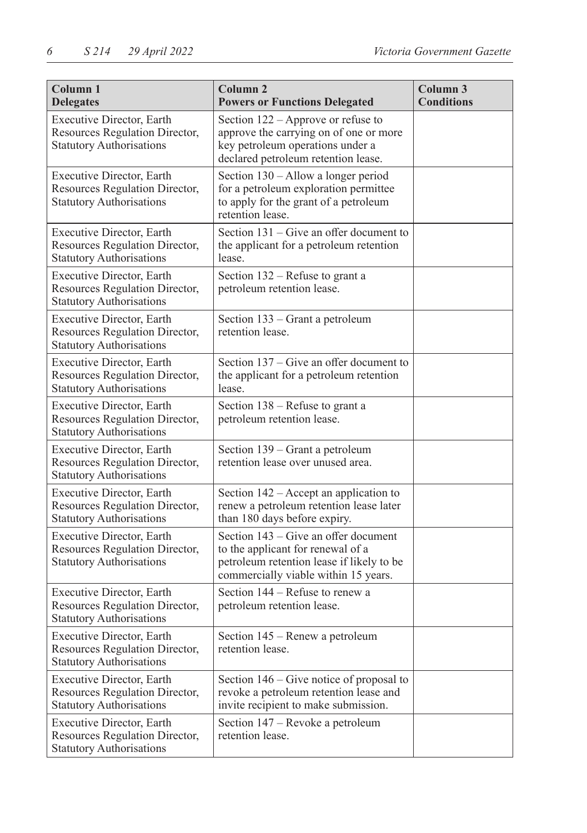| Column <sub>1</sub><br><b>Delegates</b>                                                                | Column <sub>2</sub><br><b>Powers or Functions Delegated</b>                                                                                                    | Column 3<br><b>Conditions</b> |
|--------------------------------------------------------------------------------------------------------|----------------------------------------------------------------------------------------------------------------------------------------------------------------|-------------------------------|
| Executive Director, Earth<br>Resources Regulation Director,<br><b>Statutory Authorisations</b>         | Section $122 -$ Approve or refuse to<br>approve the carrying on of one or more<br>key petroleum operations under a<br>declared petroleum retention lease.      |                               |
| <b>Executive Director</b> , Earth<br>Resources Regulation Director,<br><b>Statutory Authorisations</b> | Section 130 – Allow a longer period<br>for a petroleum exploration permittee<br>to apply for the grant of a petroleum<br>retention lease.                      |                               |
| <b>Executive Director</b> , Earth<br>Resources Regulation Director,<br><b>Statutory Authorisations</b> | Section $131 - Give$ an offer document to<br>the applicant for a petroleum retention<br>lease.                                                                 |                               |
| Executive Director, Earth<br>Resources Regulation Director,<br><b>Statutory Authorisations</b>         | Section 132 – Refuse to grant a<br>petroleum retention lease.                                                                                                  |                               |
| Executive Director, Earth<br>Resources Regulation Director,<br><b>Statutory Authorisations</b>         | Section 133 – Grant a petroleum<br>retention lease.                                                                                                            |                               |
| Executive Director, Earth<br>Resources Regulation Director,<br><b>Statutory Authorisations</b>         | Section $137 - Give$ an offer document to<br>the applicant for a petroleum retention<br>lease.                                                                 |                               |
| Executive Director, Earth<br>Resources Regulation Director,<br><b>Statutory Authorisations</b>         | Section $138$ – Refuse to grant a<br>petroleum retention lease.                                                                                                |                               |
| <b>Executive Director</b> , Earth<br>Resources Regulation Director,<br><b>Statutory Authorisations</b> | Section 139 – Grant a petroleum<br>retention lease over unused area.                                                                                           |                               |
| <b>Executive Director</b> , Earth<br>Resources Regulation Director,<br><b>Statutory Authorisations</b> | Section $142$ – Accept an application to<br>renew a petroleum retention lease later<br>than 180 days before expiry.                                            |                               |
| Executive Director, Earth<br>Resources Regulation Director,<br><b>Statutory Authorisations</b>         | Section 143 – Give an offer document<br>to the applicant for renewal of a<br>petroleum retention lease if likely to be<br>commercially viable within 15 years. |                               |
| Executive Director, Earth<br>Resources Regulation Director,<br><b>Statutory Authorisations</b>         | Section $144$ – Refuse to renew a<br>petroleum retention lease.                                                                                                |                               |
| <b>Executive Director, Earth</b><br>Resources Regulation Director,<br><b>Statutory Authorisations</b>  | Section 145 – Renew a petroleum<br>retention lease.                                                                                                            |                               |
| <b>Executive Director, Earth</b><br>Resources Regulation Director,<br><b>Statutory Authorisations</b>  | Section $146 - Give$ notice of proposal to<br>revoke a petroleum retention lease and<br>invite recipient to make submission.                                   |                               |
| <b>Executive Director, Earth</b><br>Resources Regulation Director,<br><b>Statutory Authorisations</b>  | Section 147 – Revoke a petroleum<br>retention lease.                                                                                                           |                               |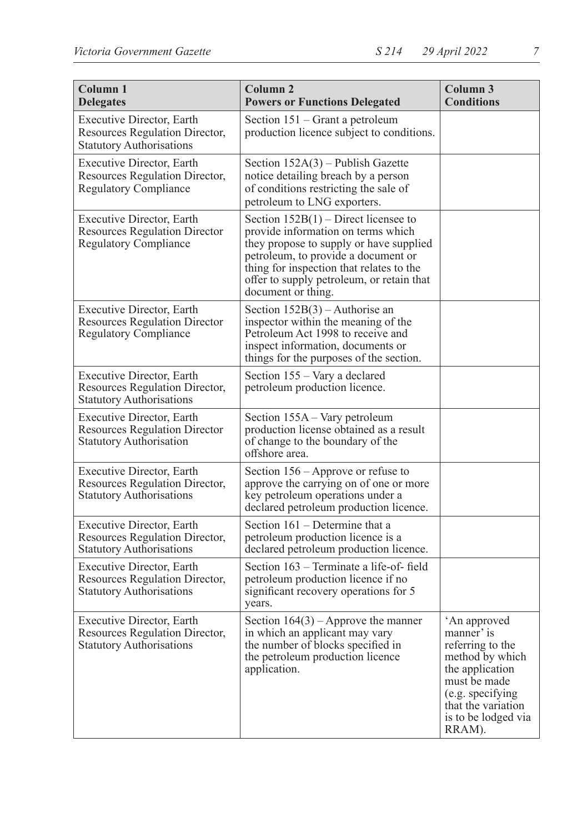| Column <sub>1</sub><br><b>Delegates</b>                                                             | Column <sub>2</sub><br><b>Powers or Functions Delegated</b>                                                                                                                                                                                                                   | Column 3<br><b>Conditions</b>                                                                                                                                                    |
|-----------------------------------------------------------------------------------------------------|-------------------------------------------------------------------------------------------------------------------------------------------------------------------------------------------------------------------------------------------------------------------------------|----------------------------------------------------------------------------------------------------------------------------------------------------------------------------------|
| Executive Director, Earth<br>Resources Regulation Director,<br><b>Statutory Authorisations</b>      | Section 151 – Grant a petroleum<br>production licence subject to conditions.                                                                                                                                                                                                  |                                                                                                                                                                                  |
| Executive Director, Earth<br>Resources Regulation Director,<br><b>Regulatory Compliance</b>         | Section $152A(3)$ – Publish Gazette<br>notice detailing breach by a person<br>of conditions restricting the sale of<br>petroleum to LNG exporters.                                                                                                                            |                                                                                                                                                                                  |
| Executive Director, Earth<br>Resources Regulation Director<br><b>Regulatory Compliance</b>          | Section $152B(1)$ – Direct licensee to<br>provide information on terms which<br>they propose to supply or have supplied<br>petroleum, to provide a document or<br>thing for inspection that relates to the<br>offer to supply petroleum, or retain that<br>document or thing. |                                                                                                                                                                                  |
| Executive Director, Earth<br>Resources Regulation Director<br><b>Regulatory Compliance</b>          | Section $152B(3)$ – Authorise an<br>inspector within the meaning of the<br>Petroleum Act 1998 to receive and<br>inspect information, documents or<br>things for the purposes of the section.                                                                                  |                                                                                                                                                                                  |
| Executive Director, Earth<br>Resources Regulation Director,<br><b>Statutory Authorisations</b>      | Section 155 – Vary a declared<br>petroleum production licence.                                                                                                                                                                                                                |                                                                                                                                                                                  |
| Executive Director, Earth<br><b>Resources Regulation Director</b><br><b>Statutory Authorisation</b> | Section 155A – Vary petroleum<br>production license obtained as a result<br>of change to the boundary of the<br>offshore area.                                                                                                                                                |                                                                                                                                                                                  |
| Executive Director, Earth<br>Resources Regulation Director,<br><b>Statutory Authorisations</b>      | Section $156 -$ Approve or refuse to<br>approve the carrying on of one or more<br>key petroleum operations under a<br>declared petroleum production licence.                                                                                                                  |                                                                                                                                                                                  |
| Executive Director, Earth<br>Resources Regulation Director,<br><b>Statutory Authorisations</b>      | Section $161$ – Determine that a<br>petroleum production licence is a<br>declared petroleum production licence.                                                                                                                                                               |                                                                                                                                                                                  |
| Executive Director, Earth<br>Resources Regulation Director,<br><b>Statutory Authorisations</b>      | Section 163 – Terminate a life-of-field<br>petroleum production licence if no<br>significant recovery operations for 5<br>years.                                                                                                                                              |                                                                                                                                                                                  |
| Executive Director, Earth<br>Resources Regulation Director,<br><b>Statutory Authorisations</b>      | Section $164(3)$ – Approve the manner<br>in which an applicant may vary<br>the number of blocks specified in<br>the petroleum production licence<br>application.                                                                                                              | 'An approved<br>manner' is<br>referring to the<br>method by which<br>the application<br>must be made<br>(e.g. specifying)<br>that the variation<br>is to be lodged via<br>RRAM). |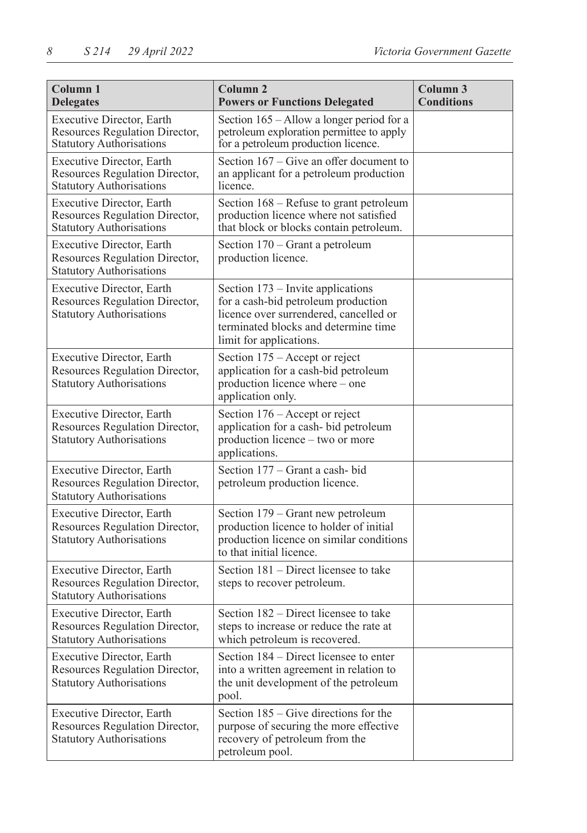| Column <sub>1</sub><br><b>Delegates</b>                                                               | <b>Column 2</b><br><b>Powers or Functions Delegated</b>                                                                                                                                 | Column 3<br><b>Conditions</b> |
|-------------------------------------------------------------------------------------------------------|-----------------------------------------------------------------------------------------------------------------------------------------------------------------------------------------|-------------------------------|
| Executive Director, Earth<br>Resources Regulation Director,<br><b>Statutory Authorisations</b>        | Section $165 -$ Allow a longer period for a<br>petroleum exploration permittee to apply<br>for a petroleum production licence.                                                          |                               |
| Executive Director, Earth<br>Resources Regulation Director,<br><b>Statutory Authorisations</b>        | Section $167 - Give an offer document to$<br>an applicant for a petroleum production<br>licence.                                                                                        |                               |
| Executive Director, Earth<br>Resources Regulation Director,<br><b>Statutory Authorisations</b>        | Section 168 – Refuse to grant petroleum<br>production licence where not satisfied<br>that block or blocks contain petroleum.                                                            |                               |
| Executive Director, Earth<br>Resources Regulation Director,<br><b>Statutory Authorisations</b>        | Section 170 – Grant a petroleum<br>production licence.                                                                                                                                  |                               |
| Executive Director, Earth<br>Resources Regulation Director,<br><b>Statutory Authorisations</b>        | Section $173$ – Invite applications<br>for a cash-bid petroleum production<br>licence over surrendered, cancelled or<br>terminated blocks and determine time<br>limit for applications. |                               |
| Executive Director, Earth<br>Resources Regulation Director,<br><b>Statutory Authorisations</b>        | Section 175 - Accept or reject<br>application for a cash-bid petroleum<br>production licence where – one<br>application only.                                                           |                               |
| Executive Director, Earth<br>Resources Regulation Director,<br><b>Statutory Authorisations</b>        | Section 176 – Accept or reject<br>application for a cash- bid petroleum<br>production licence – two or more<br>applications.                                                            |                               |
| Executive Director, Earth<br>Resources Regulation Director,<br><b>Statutory Authorisations</b>        | Section 177 – Grant a cash- bid<br>petroleum production licence.                                                                                                                        |                               |
| Executive Director, Earth<br>Resources Regulation Director,<br><b>Statutory Authorisations</b>        | Section 179 – Grant new petroleum<br>production licence to holder of initial<br>production licence on similar conditions<br>to that initial licence.                                    |                               |
| Executive Director, Earth<br>Resources Regulation Director,<br><b>Statutory Authorisations</b>        | Section 181 – Direct licensee to take<br>steps to recover petroleum.                                                                                                                    |                               |
| Executive Director, Earth<br>Resources Regulation Director,<br><b>Statutory Authorisations</b>        | Section 182 – Direct licensee to take<br>steps to increase or reduce the rate at<br>which petroleum is recovered.                                                                       |                               |
| <b>Executive Director, Earth</b><br>Resources Regulation Director,<br><b>Statutory Authorisations</b> | Section 184 – Direct licensee to enter<br>into a written agreement in relation to<br>the unit development of the petroleum<br>pool.                                                     |                               |
| Executive Director, Earth<br>Resources Regulation Director,<br><b>Statutory Authorisations</b>        | Section $185 -$ Give directions for the<br>purpose of securing the more effective<br>recovery of petroleum from the<br>petroleum pool.                                                  |                               |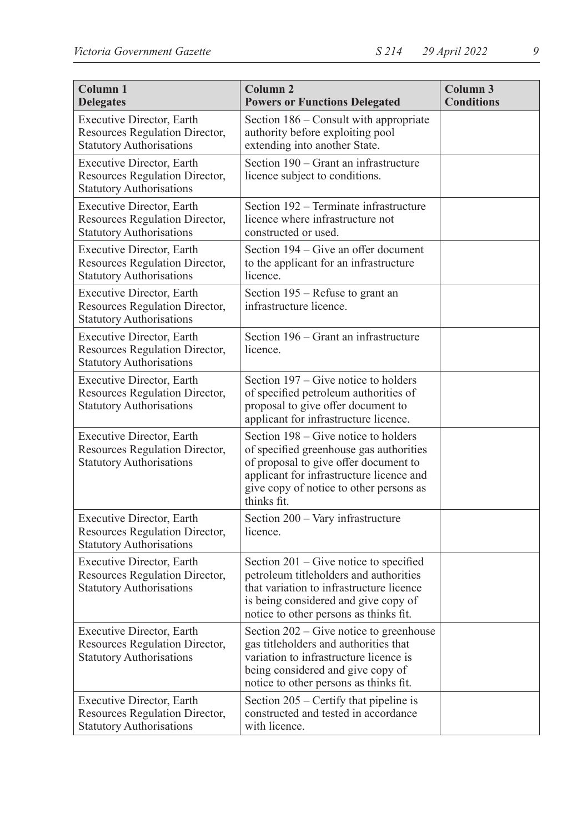| Column <sub>1</sub><br><b>Delegates</b>                                                                | Column <sub>2</sub><br><b>Powers or Functions Delegated</b>                                                                                                                                                                    | Column 3<br><b>Conditions</b> |
|--------------------------------------------------------------------------------------------------------|--------------------------------------------------------------------------------------------------------------------------------------------------------------------------------------------------------------------------------|-------------------------------|
| Executive Director, Earth<br>Resources Regulation Director,<br><b>Statutory Authorisations</b>         | Section 186 – Consult with appropriate<br>authority before exploiting pool<br>extending into another State.                                                                                                                    |                               |
| Executive Director, Earth<br>Resources Regulation Director,<br><b>Statutory Authorisations</b>         | Section 190 – Grant an infrastructure<br>licence subject to conditions.                                                                                                                                                        |                               |
| Executive Director, Earth<br>Resources Regulation Director,<br><b>Statutory Authorisations</b>         | Section 192 – Terminate infrastructure<br>licence where infrastructure not<br>constructed or used.                                                                                                                             |                               |
| Executive Director, Earth<br>Resources Regulation Director,<br><b>Statutory Authorisations</b>         | Section 194 – Give an offer document<br>to the applicant for an infrastructure<br>licence.                                                                                                                                     |                               |
| Executive Director, Earth<br>Resources Regulation Director,<br><b>Statutory Authorisations</b>         | Section $195$ – Refuse to grant an<br>infrastructure licence.                                                                                                                                                                  |                               |
| Executive Director, Earth<br>Resources Regulation Director,<br><b>Statutory Authorisations</b>         | Section 196 – Grant an infrastructure<br>licence.                                                                                                                                                                              |                               |
| <b>Executive Director</b> , Earth<br>Resources Regulation Director,<br><b>Statutory Authorisations</b> | Section $197 - Give$ notice to holders<br>of specified petroleum authorities of<br>proposal to give offer document to<br>applicant for infrastructure licence.                                                                 |                               |
| Executive Director, Earth<br>Resources Regulation Director,<br><b>Statutory Authorisations</b>         | Section 198 – Give notice to holders<br>of specified greenhouse gas authorities<br>of proposal to give offer document to<br>applicant for infrastructure licence and<br>give copy of notice to other persons as<br>thinks fit. |                               |
| Executive Director, Earth<br>Resources Regulation Director,<br><b>Statutory Authorisations</b>         | Section 200 - Vary infrastructure<br>licence.                                                                                                                                                                                  |                               |
| <b>Executive Director</b> , Earth<br>Resources Regulation Director,<br><b>Statutory Authorisations</b> | Section $201$ – Give notice to specified<br>petroleum titleholders and authorities<br>that variation to infrastructure licence<br>is being considered and give copy of<br>notice to other persons as thinks fit.               |                               |
| Executive Director, Earth<br>Resources Regulation Director,<br><b>Statutory Authorisations</b>         | Section $202$ – Give notice to greenhouse<br>gas titleholders and authorities that<br>variation to infrastructure licence is<br>being considered and give copy of<br>notice to other persons as thinks fit.                    |                               |
| Executive Director, Earth<br>Resources Regulation Director,<br><b>Statutory Authorisations</b>         | Section $205$ – Certify that pipeline is<br>constructed and tested in accordance<br>with licence.                                                                                                                              |                               |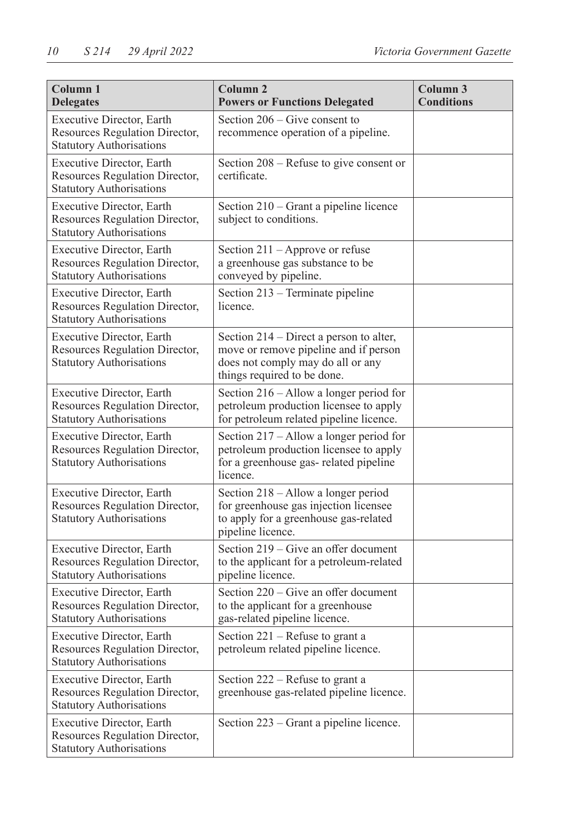| Column <sub>1</sub><br><b>Delegates</b>                                                                | <b>Column 2</b><br><b>Powers or Functions Delegated</b>                                                                                                | Column 3<br><b>Conditions</b> |
|--------------------------------------------------------------------------------------------------------|--------------------------------------------------------------------------------------------------------------------------------------------------------|-------------------------------|
| Executive Director, Earth<br>Resources Regulation Director,<br><b>Statutory Authorisations</b>         | Section $206 - Give constant to$<br>recommence operation of a pipeline.                                                                                |                               |
| Executive Director, Earth<br>Resources Regulation Director,<br><b>Statutory Authorisations</b>         | Section $208$ – Refuse to give consent or<br>certificate.                                                                                              |                               |
| <b>Executive Director</b> , Earth<br>Resources Regulation Director,<br><b>Statutory Authorisations</b> | Section 210 – Grant a pipeline licence<br>subject to conditions.                                                                                       |                               |
| <b>Executive Director</b> , Earth<br>Resources Regulation Director,<br><b>Statutory Authorisations</b> | Section $211 -$ Approve or refuse<br>a greenhouse gas substance to be<br>conveyed by pipeline.                                                         |                               |
| Executive Director, Earth<br>Resources Regulation Director,<br><b>Statutory Authorisations</b>         | Section 213 – Terminate pipeline<br>licence.                                                                                                           |                               |
| <b>Executive Director</b> , Earth<br>Resources Regulation Director,<br><b>Statutory Authorisations</b> | Section $214$ – Direct a person to alter,<br>move or remove pipeline and if person<br>does not comply may do all or any<br>things required to be done. |                               |
| <b>Executive Director</b> , Earth<br>Resources Regulation Director,<br><b>Statutory Authorisations</b> | Section $216 -$ Allow a longer period for<br>petroleum production licensee to apply<br>for petroleum related pipeline licence.                         |                               |
| Executive Director, Earth<br>Resources Regulation Director,<br><b>Statutory Authorisations</b>         | Section $217 -$ Allow a longer period for<br>petroleum production licensee to apply<br>for a greenhouse gas-related pipeline<br>licence.               |                               |
| Executive Director, Earth<br>Resources Regulation Director,<br><b>Statutory Authorisations</b>         | Section 218 – Allow a longer period<br>for greenhouse gas injection licensee<br>to apply for a greenhouse gas-related<br>pipeline licence.             |                               |
| Executive Director, Earth<br>Resources Regulation Director,<br><b>Statutory Authorisations</b>         | Section 219 – Give an offer document<br>to the applicant for a petroleum-related<br>pipeline licence.                                                  |                               |
| Executive Director, Earth<br>Resources Regulation Director,<br><b>Statutory Authorisations</b>         | Section 220 – Give an offer document<br>to the applicant for a greenhouse<br>gas-related pipeline licence.                                             |                               |
| Executive Director, Earth<br>Resources Regulation Director,<br><b>Statutory Authorisations</b>         | Section $221$ – Refuse to grant a<br>petroleum related pipeline licence.                                                                               |                               |
| Executive Director, Earth<br>Resources Regulation Director,<br><b>Statutory Authorisations</b>         | Section $222$ – Refuse to grant a<br>greenhouse gas-related pipeline licence.                                                                          |                               |
| <b>Executive Director, Earth</b><br>Resources Regulation Director,<br><b>Statutory Authorisations</b>  | Section 223 – Grant a pipeline licence.                                                                                                                |                               |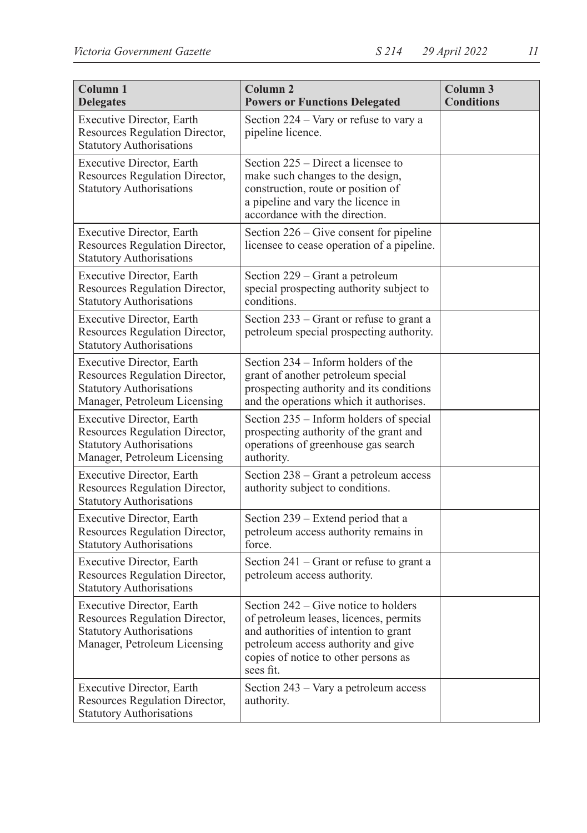| Column <sub>1</sub><br><b>Delegates</b>                                                                                                | Column <sub>2</sub><br><b>Powers or Functions Delegated</b>                                                                                                                                                           | Column 3<br><b>Conditions</b> |
|----------------------------------------------------------------------------------------------------------------------------------------|-----------------------------------------------------------------------------------------------------------------------------------------------------------------------------------------------------------------------|-------------------------------|
| Executive Director, Earth<br>Resources Regulation Director,<br><b>Statutory Authorisations</b>                                         | Section $224 - \text{Vary or refuse to vary a}$<br>pipeline licence.                                                                                                                                                  |                               |
| Executive Director, Earth<br>Resources Regulation Director,<br><b>Statutory Authorisations</b>                                         | Section $225 -$ Direct a licensee to<br>make such changes to the design,<br>construction, route or position of<br>a pipeline and vary the licence in<br>accordance with the direction.                                |                               |
| Executive Director, Earth<br>Resources Regulation Director,<br><b>Statutory Authorisations</b>                                         | Section $226 - Give constant for pipeline$<br>licensee to cease operation of a pipeline.                                                                                                                              |                               |
| Executive Director, Earth<br>Resources Regulation Director,<br><b>Statutory Authorisations</b>                                         | Section 229 - Grant a petroleum<br>special prospecting authority subject to<br>conditions.                                                                                                                            |                               |
| Executive Director, Earth<br>Resources Regulation Director,<br><b>Statutory Authorisations</b>                                         | Section $233$ – Grant or refuse to grant a<br>petroleum special prospecting authority.                                                                                                                                |                               |
| Executive Director, Earth<br>Resources Regulation Director,<br><b>Statutory Authorisations</b><br>Manager, Petroleum Licensing         | Section 234 – Inform holders of the<br>grant of another petroleum special<br>prospecting authority and its conditions<br>and the operations which it authorises.                                                      |                               |
| <b>Executive Director</b> , Earth<br>Resources Regulation Director,<br><b>Statutory Authorisations</b><br>Manager, Petroleum Licensing | Section 235 – Inform holders of special<br>prospecting authority of the grant and<br>operations of greenhouse gas search<br>authority.                                                                                |                               |
| <b>Executive Director</b> , Earth<br>Resources Regulation Director,<br><b>Statutory Authorisations</b>                                 | Section 238 - Grant a petroleum access<br>authority subject to conditions.                                                                                                                                            |                               |
| Executive Director, Earth<br>Resources Regulation Director,<br><b>Statutory Authorisations</b>                                         | Section 239 – Extend period that a<br>petroleum access authority remains in<br>force.                                                                                                                                 |                               |
| Executive Director, Earth<br>Resources Regulation Director,<br><b>Statutory Authorisations</b>                                         | Section $241$ – Grant or refuse to grant a<br>petroleum access authority.                                                                                                                                             |                               |
| <b>Executive Director</b> , Earth<br>Resources Regulation Director,<br><b>Statutory Authorisations</b><br>Manager, Petroleum Licensing | Section $242 - Give$ notice to holders<br>of petroleum leases, licences, permits<br>and authorities of intention to grant<br>petroleum access authority and give<br>copies of notice to other persons as<br>sees fit. |                               |
| Executive Director, Earth<br>Resources Regulation Director,<br><b>Statutory Authorisations</b>                                         | Section 243 – Vary a petroleum access<br>authority.                                                                                                                                                                   |                               |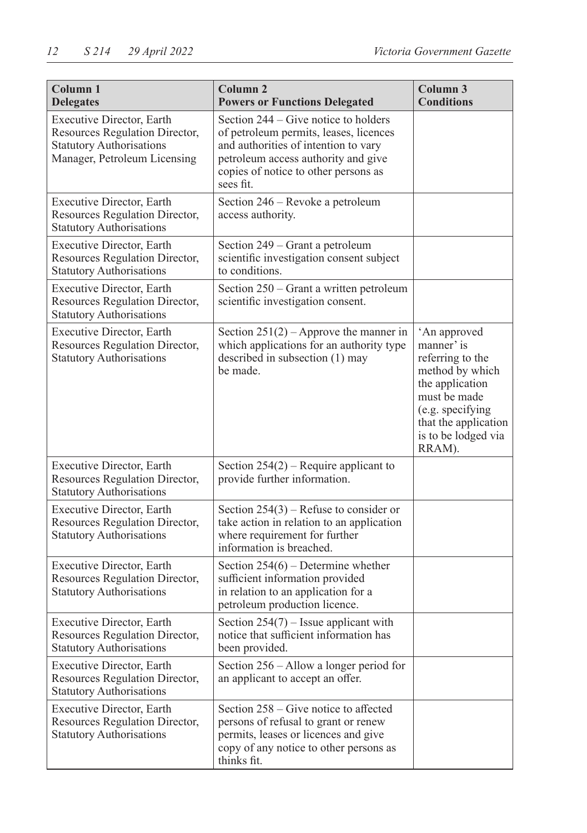| Column <sub>1</sub><br><b>Delegates</b>                                                                                        | Column <sub>2</sub><br><b>Powers or Functions Delegated</b>                                                                                                                                                          | Column 3<br><b>Conditions</b>                                                                                                                                                     |
|--------------------------------------------------------------------------------------------------------------------------------|----------------------------------------------------------------------------------------------------------------------------------------------------------------------------------------------------------------------|-----------------------------------------------------------------------------------------------------------------------------------------------------------------------------------|
| Executive Director, Earth<br>Resources Regulation Director,<br><b>Statutory Authorisations</b><br>Manager, Petroleum Licensing | Section $244 - Give$ notice to holders<br>of petroleum permits, leases, licences<br>and authorities of intention to vary<br>petroleum access authority and give<br>copies of notice to other persons as<br>sees fit. |                                                                                                                                                                                   |
| Executive Director, Earth<br>Resources Regulation Director,<br><b>Statutory Authorisations</b>                                 | Section 246 – Revoke a petroleum<br>access authority.                                                                                                                                                                |                                                                                                                                                                                   |
| Executive Director, Earth<br>Resources Regulation Director,<br><b>Statutory Authorisations</b>                                 | Section 249 – Grant a petroleum<br>scientific investigation consent subject<br>to conditions.                                                                                                                        |                                                                                                                                                                                   |
| Executive Director, Earth<br>Resources Regulation Director,<br><b>Statutory Authorisations</b>                                 | Section 250 – Grant a written petroleum<br>scientific investigation consent.                                                                                                                                         |                                                                                                                                                                                   |
| Executive Director, Earth<br>Resources Regulation Director,<br><b>Statutory Authorisations</b>                                 | Section $251(2)$ – Approve the manner in<br>which applications for an authority type<br>described in subsection (1) may<br>be made.                                                                                  | 'An approved<br>manner' is<br>referring to the<br>method by which<br>the application<br>must be made<br>(e.g. specifying<br>that the application<br>is to be lodged via<br>RRAM). |
| Executive Director, Earth<br>Resources Regulation Director,<br><b>Statutory Authorisations</b>                                 | Section $254(2)$ – Require applicant to<br>provide further information.                                                                                                                                              |                                                                                                                                                                                   |
| Executive Director, Earth<br>Resources Regulation Director,<br><b>Statutory Authorisations</b>                                 | Section $254(3)$ – Refuse to consider or<br>take action in relation to an application<br>where requirement for further<br>information is breached.                                                                   |                                                                                                                                                                                   |
| Executive Director, Earth<br>Resources Regulation Director,<br><b>Statutory Authorisations</b>                                 | Section $254(6)$ – Determine whether<br>sufficient information provided<br>in relation to an application for a<br>petroleum production licence.                                                                      |                                                                                                                                                                                   |
| Executive Director, Earth<br>Resources Regulation Director,<br><b>Statutory Authorisations</b>                                 | Section $254(7)$ – Issue applicant with<br>notice that sufficient information has<br>been provided.                                                                                                                  |                                                                                                                                                                                   |
| Executive Director, Earth<br>Resources Regulation Director,<br><b>Statutory Authorisations</b>                                 | Section $256 -$ Allow a longer period for<br>an applicant to accept an offer.                                                                                                                                        |                                                                                                                                                                                   |
| Executive Director, Earth<br>Resources Regulation Director,<br><b>Statutory Authorisations</b>                                 | Section 258 – Give notice to affected<br>persons of refusal to grant or renew<br>permits, leases or licences and give<br>copy of any notice to other persons as<br>thinks fit.                                       |                                                                                                                                                                                   |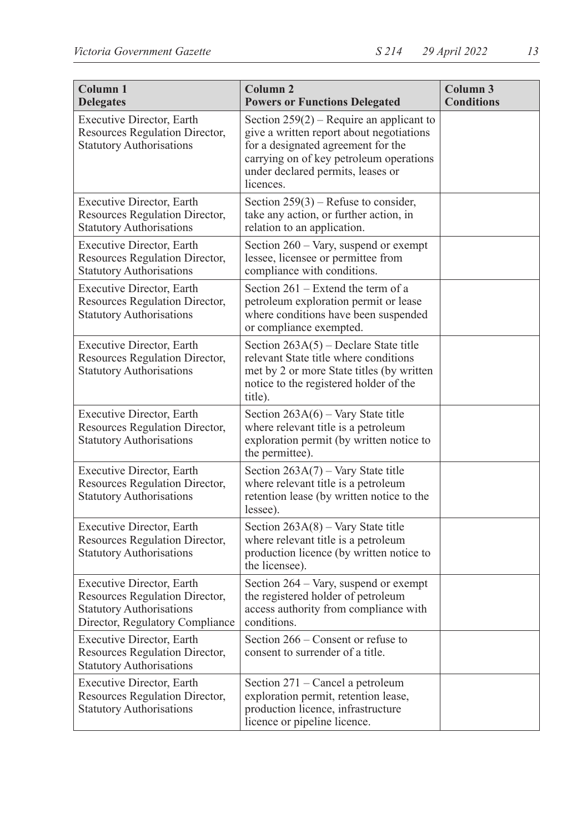| Column <sub>1</sub><br><b>Delegates</b>                                                                                           | Column <sub>2</sub><br><b>Powers or Functions Delegated</b>                                                                                                                                                               | Column 3<br><b>Conditions</b> |
|-----------------------------------------------------------------------------------------------------------------------------------|---------------------------------------------------------------------------------------------------------------------------------------------------------------------------------------------------------------------------|-------------------------------|
| Executive Director, Earth<br>Resources Regulation Director,<br><b>Statutory Authorisations</b>                                    | Section $259(2)$ – Require an applicant to<br>give a written report about negotiations<br>for a designated agreement for the<br>carrying on of key petroleum operations<br>under declared permits, leases or<br>licences. |                               |
| Executive Director, Earth<br>Resources Regulation Director,<br><b>Statutory Authorisations</b>                                    | Section $259(3)$ – Refuse to consider,<br>take any action, or further action, in<br>relation to an application.                                                                                                           |                               |
| Executive Director, Earth<br>Resources Regulation Director,<br><b>Statutory Authorisations</b>                                    | Section 260 – Vary, suspend or exempt<br>lessee, licensee or permittee from<br>compliance with conditions.                                                                                                                |                               |
| Executive Director, Earth<br>Resources Regulation Director,<br><b>Statutory Authorisations</b>                                    | Section $261$ – Extend the term of a<br>petroleum exploration permit or lease<br>where conditions have been suspended<br>or compliance exempted.                                                                          |                               |
| Executive Director, Earth<br>Resources Regulation Director,<br><b>Statutory Authorisations</b>                                    | Section $263A(5)$ – Declare State title<br>relevant State title where conditions<br>met by 2 or more State titles (by written<br>notice to the registered holder of the<br>title).                                        |                               |
| Executive Director, Earth<br>Resources Regulation Director,<br><b>Statutory Authorisations</b>                                    | Section 263A(6) - Vary State title<br>where relevant title is a petroleum<br>exploration permit (by written notice to<br>the permittee).                                                                                  |                               |
| Executive Director, Earth<br>Resources Regulation Director,<br><b>Statutory Authorisations</b>                                    | Section $263A(7)$ – Vary State title<br>where relevant title is a petroleum<br>retention lease (by written notice to the<br>lessee).                                                                                      |                               |
| Executive Director, Earth<br>Resources Regulation Director,<br><b>Statutory Authorisations</b>                                    | Section $263A(8)$ – Vary State title<br>where relevant title is a petroleum<br>production licence (by written notice to<br>the licensee).                                                                                 |                               |
| Executive Director, Earth<br>Resources Regulation Director,<br><b>Statutory Authorisations</b><br>Director, Regulatory Compliance | Section 264 – Vary, suspend or exempt<br>the registered holder of petroleum<br>access authority from compliance with<br>conditions.                                                                                       |                               |
| <b>Executive Director, Earth</b><br>Resources Regulation Director,<br><b>Statutory Authorisations</b>                             | Section $266$ – Consent or refuse to<br>consent to surrender of a title.                                                                                                                                                  |                               |
| Executive Director, Earth<br>Resources Regulation Director,<br><b>Statutory Authorisations</b>                                    | Section 271 – Cancel a petroleum<br>exploration permit, retention lease,<br>production licence, infrastructure<br>licence or pipeline licence.                                                                            |                               |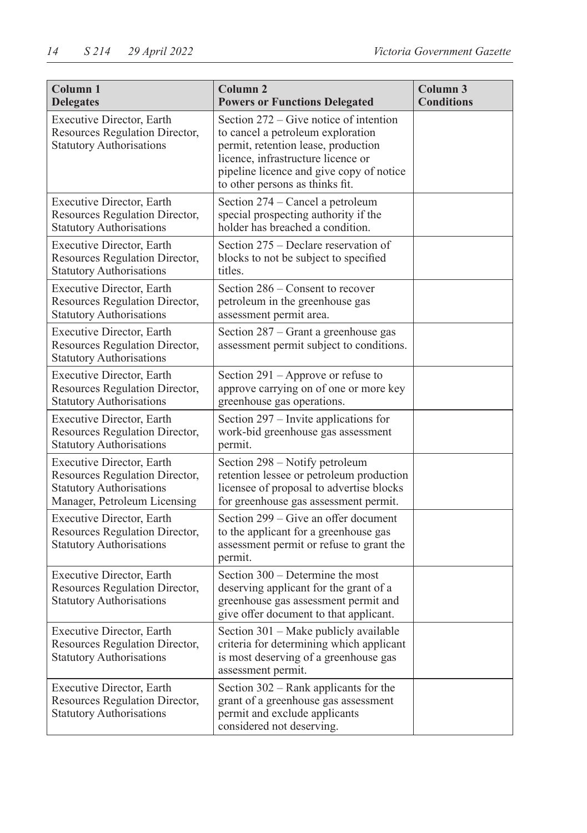| Column <sub>1</sub><br><b>Delegates</b>                                                                                        | Column <sub>2</sub><br><b>Powers or Functions Delegated</b>                                                                                                                                                                               | Column 3<br><b>Conditions</b> |
|--------------------------------------------------------------------------------------------------------------------------------|-------------------------------------------------------------------------------------------------------------------------------------------------------------------------------------------------------------------------------------------|-------------------------------|
| Executive Director, Earth<br>Resources Regulation Director,<br><b>Statutory Authorisations</b>                                 | Section $272 - Give$ notice of intention<br>to cancel a petroleum exploration<br>permit, retention lease, production<br>licence, infrastructure licence or<br>pipeline licence and give copy of notice<br>to other persons as thinks fit. |                               |
| <b>Executive Director</b> , Earth<br>Resources Regulation Director,<br><b>Statutory Authorisations</b>                         | Section 274 – Cancel a petroleum<br>special prospecting authority if the<br>holder has breached a condition.                                                                                                                              |                               |
| <b>Executive Director</b> , Earth<br>Resources Regulation Director,<br><b>Statutory Authorisations</b>                         | Section 275 – Declare reservation of<br>blocks to not be subject to specified<br>titles.                                                                                                                                                  |                               |
| Executive Director, Earth<br>Resources Regulation Director,<br><b>Statutory Authorisations</b>                                 | Section $286$ – Consent to recover<br>petroleum in the greenhouse gas<br>assessment permit area.                                                                                                                                          |                               |
| <b>Executive Director</b> , Earth<br>Resources Regulation Director,<br><b>Statutory Authorisations</b>                         | Section 287 – Grant a greenhouse gas<br>assessment permit subject to conditions.                                                                                                                                                          |                               |
| Executive Director, Earth<br>Resources Regulation Director,<br><b>Statutory Authorisations</b>                                 | Section $291 -$ Approve or refuse to<br>approve carrying on of one or more key<br>greenhouse gas operations.                                                                                                                              |                               |
| <b>Executive Director</b> , Earth<br>Resources Regulation Director,<br><b>Statutory Authorisations</b>                         | Section $297$ – Invite applications for<br>work-bid greenhouse gas assessment<br>permit.                                                                                                                                                  |                               |
| Executive Director, Earth<br>Resources Regulation Director,<br><b>Statutory Authorisations</b><br>Manager, Petroleum Licensing | Section 298 – Notify petroleum<br>retention lessee or petroleum production<br>licensee of proposal to advertise blocks<br>for greenhouse gas assessment permit.                                                                           |                               |
| Executive Director, Earth<br>Resources Regulation Director,<br><b>Statutory Authorisations</b>                                 | Section 299 – Give an offer document<br>to the applicant for a greenhouse gas<br>assessment permit or refuse to grant the<br>permit.                                                                                                      |                               |
| Executive Director, Earth<br>Resources Regulation Director,<br><b>Statutory Authorisations</b>                                 | Section $300$ – Determine the most<br>deserving applicant for the grant of a<br>greenhouse gas assessment permit and<br>give offer document to that applicant.                                                                            |                               |
| Executive Director, Earth<br>Resources Regulation Director,<br><b>Statutory Authorisations</b>                                 | Section 301 – Make publicly available<br>criteria for determining which applicant<br>is most deserving of a greenhouse gas<br>assessment permit.                                                                                          |                               |
| Executive Director, Earth<br>Resources Regulation Director,<br><b>Statutory Authorisations</b>                                 | Section 302 – Rank applicants for the<br>grant of a greenhouse gas assessment<br>permit and exclude applicants<br>considered not deserving.                                                                                               |                               |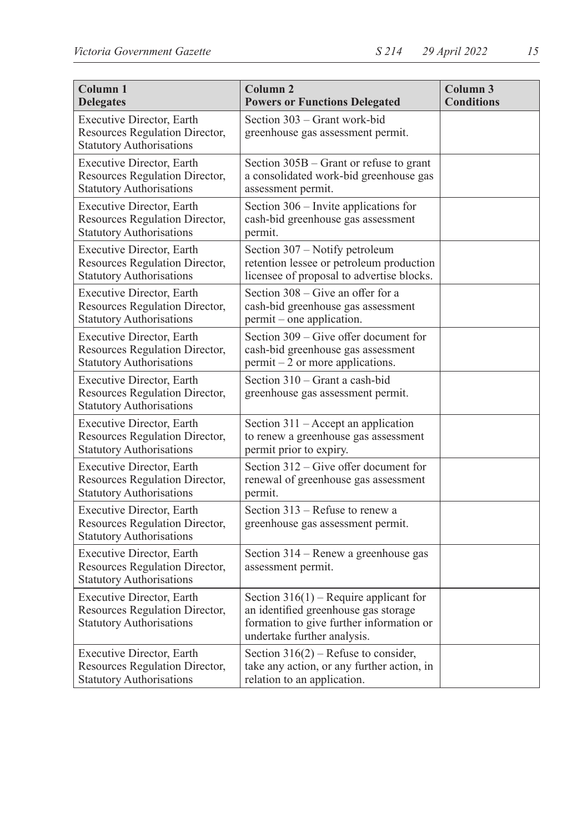| Column 1<br><b>Delegates</b>                                                                           | Column <sub>2</sub><br><b>Powers or Functions Delegated</b>                                                                                                 | Column 3<br><b>Conditions</b> |
|--------------------------------------------------------------------------------------------------------|-------------------------------------------------------------------------------------------------------------------------------------------------------------|-------------------------------|
| Executive Director, Earth<br>Resources Regulation Director,<br><b>Statutory Authorisations</b>         | Section 303 – Grant work-bid<br>greenhouse gas assessment permit.                                                                                           |                               |
| <b>Executive Director, Earth</b><br>Resources Regulation Director,<br><b>Statutory Authorisations</b>  | Section $305B -$ Grant or refuse to grant<br>a consolidated work-bid greenhouse gas<br>assessment permit.                                                   |                               |
| <b>Executive Director</b> , Earth<br>Resources Regulation Director,<br><b>Statutory Authorisations</b> | Section 306 - Invite applications for<br>cash-bid greenhouse gas assessment<br>permit.                                                                      |                               |
| Executive Director, Earth<br>Resources Regulation Director,<br><b>Statutory Authorisations</b>         | Section 307 - Notify petroleum<br>retention lessee or petroleum production<br>licensee of proposal to advertise blocks.                                     |                               |
| <b>Executive Director</b> , Earth<br>Resources Regulation Director,<br><b>Statutory Authorisations</b> | Section $308 -$ Give an offer for a<br>cash-bid greenhouse gas assessment<br>permit – one application.                                                      |                               |
| <b>Executive Director</b> , Earth<br>Resources Regulation Director,<br><b>Statutory Authorisations</b> | Section 309 – Give offer document for<br>cash-bid greenhouse gas assessment<br>$permit - 2$ or more applications.                                           |                               |
| Executive Director, Earth<br>Resources Regulation Director,<br><b>Statutory Authorisations</b>         | Section 310 – Grant a cash-bid<br>greenhouse gas assessment permit.                                                                                         |                               |
| <b>Executive Director, Earth</b><br>Resources Regulation Director,<br><b>Statutory Authorisations</b>  | Section 311 – Accept an application<br>to renew a greenhouse gas assessment<br>permit prior to expiry.                                                      |                               |
| Executive Director, Earth<br>Resources Regulation Director,<br><b>Statutory Authorisations</b>         | Section $312 -$ Give offer document for<br>renewal of greenhouse gas assessment<br>permit.                                                                  |                               |
| <b>Executive Director</b> , Earth<br>Resources Regulation Director,<br><b>Statutory Authorisations</b> | Section 313 – Refuse to renew a<br>greenhouse gas assessment permit.                                                                                        |                               |
| Executive Director, Earth<br>Resources Regulation Director,<br><b>Statutory Authorisations</b>         | Section 314 – Renew a greenhouse gas<br>assessment permit.                                                                                                  |                               |
| Executive Director, Earth<br>Resources Regulation Director,<br><b>Statutory Authorisations</b>         | Section $316(1)$ – Require applicant for<br>an identified greenhouse gas storage<br>formation to give further information or<br>undertake further analysis. |                               |
| Executive Director, Earth<br>Resources Regulation Director,<br><b>Statutory Authorisations</b>         | Section $316(2)$ – Refuse to consider,<br>take any action, or any further action, in<br>relation to an application.                                         |                               |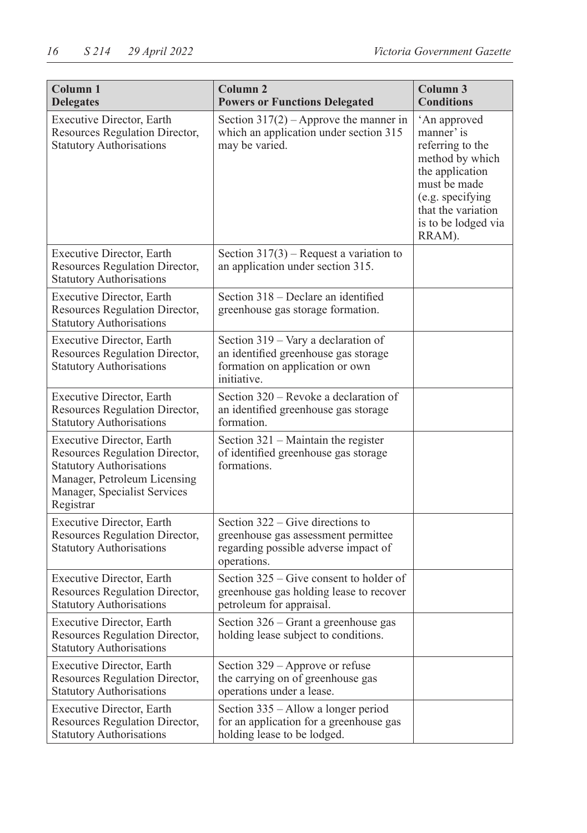| Column 1<br><b>Delegates</b>                                                                                                                                                | Column <sub>2</sub><br><b>Powers or Functions Delegated</b>                                                                            | Column 3<br><b>Conditions</b>                                                                                                                                                   |
|-----------------------------------------------------------------------------------------------------------------------------------------------------------------------------|----------------------------------------------------------------------------------------------------------------------------------------|---------------------------------------------------------------------------------------------------------------------------------------------------------------------------------|
| Executive Director, Earth<br>Resources Regulation Director,<br><b>Statutory Authorisations</b>                                                                              | Section $317(2)$ – Approve the manner in<br>which an application under section 315<br>may be varied.                                   | 'An approved<br>manner' is<br>referring to the<br>method by which<br>the application<br>must be made<br>(e.g. specifying<br>that the variation<br>is to be lodged via<br>RRAM). |
| Executive Director, Earth<br>Resources Regulation Director,<br><b>Statutory Authorisations</b>                                                                              | Section $317(3)$ – Request a variation to<br>an application under section 315.                                                         |                                                                                                                                                                                 |
| Executive Director, Earth<br>Resources Regulation Director,<br><b>Statutory Authorisations</b>                                                                              | Section 318 - Declare an identified<br>greenhouse gas storage formation.                                                               |                                                                                                                                                                                 |
| Executive Director, Earth<br>Resources Regulation Director,<br><b>Statutory Authorisations</b>                                                                              | Section $319 - \text{Vary}$ a declaration of<br>an identified greenhouse gas storage<br>formation on application or own<br>initiative. |                                                                                                                                                                                 |
| Executive Director, Earth<br>Resources Regulation Director,<br><b>Statutory Authorisations</b>                                                                              | Section 320 – Revoke a declaration of<br>an identified greenhouse gas storage<br>formation.                                            |                                                                                                                                                                                 |
| Executive Director, Earth<br>Resources Regulation Director,<br><b>Statutory Authorisations</b><br>Manager, Petroleum Licensing<br>Manager, Specialist Services<br>Registrar | Section $321$ – Maintain the register<br>of identified greenhouse gas storage<br>formations.                                           |                                                                                                                                                                                 |
| Executive Director, Earth<br>Resources Regulation Director,<br><b>Statutory Authorisations</b>                                                                              | Section $322 - Give directions to$<br>greenhouse gas assessment permittee<br>regarding possible adverse impact of<br>operations.       |                                                                                                                                                                                 |
| Executive Director, Earth<br>Resources Regulation Director,<br><b>Statutory Authorisations</b>                                                                              | Section $325 - Give constant to holder of$<br>greenhouse gas holding lease to recover<br>petroleum for appraisal.                      |                                                                                                                                                                                 |
| Executive Director, Earth<br>Resources Regulation Director,<br><b>Statutory Authorisations</b>                                                                              | Section $326$ – Grant a greenhouse gas<br>holding lease subject to conditions.                                                         |                                                                                                                                                                                 |
| <b>Executive Director, Earth</b><br>Resources Regulation Director,<br><b>Statutory Authorisations</b>                                                                       | Section $329 -$ Approve or refuse<br>the carrying on of greenhouse gas<br>operations under a lease.                                    |                                                                                                                                                                                 |
| Executive Director, Earth<br>Resources Regulation Director,<br><b>Statutory Authorisations</b>                                                                              | Section 335 – Allow a longer period<br>for an application for a greenhouse gas<br>holding lease to be lodged.                          |                                                                                                                                                                                 |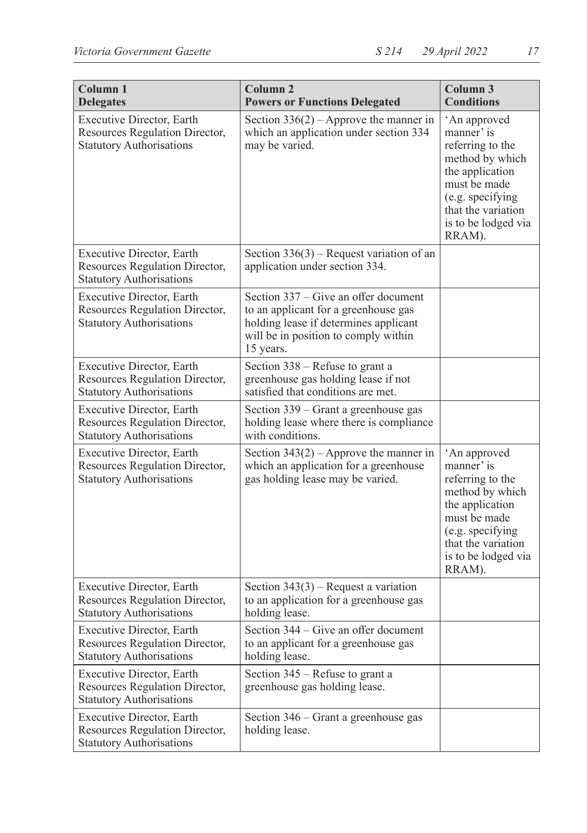| Column <sub>1</sub><br><b>Delegates</b>                                                                | Column <sub>2</sub><br><b>Powers or Functions Delegated</b>                                                                                                                  | Column 3<br><b>Conditions</b>                                                                                                                                                   |
|--------------------------------------------------------------------------------------------------------|------------------------------------------------------------------------------------------------------------------------------------------------------------------------------|---------------------------------------------------------------------------------------------------------------------------------------------------------------------------------|
| Executive Director, Earth<br>Resources Regulation Director,<br><b>Statutory Authorisations</b>         | Section $336(2)$ – Approve the manner in<br>which an application under section 334<br>may be varied.                                                                         | 'An approved<br>manner' is<br>referring to the<br>method by which<br>the application<br>must be made<br>(e.g. specifying<br>that the variation<br>is to be lodged via<br>RRAM). |
| Executive Director, Earth<br>Resources Regulation Director,<br><b>Statutory Authorisations</b>         | Section $336(3)$ – Request variation of an<br>application under section 334.                                                                                                 |                                                                                                                                                                                 |
| <b>Executive Director</b> , Earth<br>Resources Regulation Director,<br><b>Statutory Authorisations</b> | Section $337 - Give$ an offer document<br>to an applicant for a greenhouse gas<br>holding lease if determines applicant<br>will be in position to comply within<br>15 years. |                                                                                                                                                                                 |
| Executive Director, Earth<br>Resources Regulation Director,<br><b>Statutory Authorisations</b>         | Section 338 – Refuse to grant a<br>greenhouse gas holding lease if not<br>satisfied that conditions are met.                                                                 |                                                                                                                                                                                 |
| Executive Director, Earth<br>Resources Regulation Director,<br><b>Statutory Authorisations</b>         | Section 339 – Grant a greenhouse gas<br>holding lease where there is compliance<br>with conditions.                                                                          |                                                                                                                                                                                 |
| Executive Director, Earth<br>Resources Regulation Director,<br><b>Statutory Authorisations</b>         | Section $343(2)$ – Approve the manner in<br>which an application for a greenhouse<br>gas holding lease may be varied.                                                        | 'An approved<br>manner' is<br>referring to the<br>method by which<br>the application<br>must be made<br>(e.g. specifying<br>that the variation<br>is to be lodged via<br>RRAM). |
| Executive Director, Earth<br>Resources Regulation Director,<br><b>Statutory Authorisations</b>         | Section $343(3)$ – Request a variation<br>to an application for a greenhouse gas<br>holding lease.                                                                           |                                                                                                                                                                                 |
| <b>Executive Director</b> , Earth<br>Resources Regulation Director,<br><b>Statutory Authorisations</b> | Section $344 - Give$ an offer document<br>to an applicant for a greenhouse gas<br>holding lease.                                                                             |                                                                                                                                                                                 |
| Executive Director, Earth<br>Resources Regulation Director,<br><b>Statutory Authorisations</b>         | Section $345$ – Refuse to grant a<br>greenhouse gas holding lease.                                                                                                           |                                                                                                                                                                                 |
| Executive Director, Earth<br>Resources Regulation Director,<br><b>Statutory Authorisations</b>         | Section $346$ – Grant a greenhouse gas<br>holding lease.                                                                                                                     |                                                                                                                                                                                 |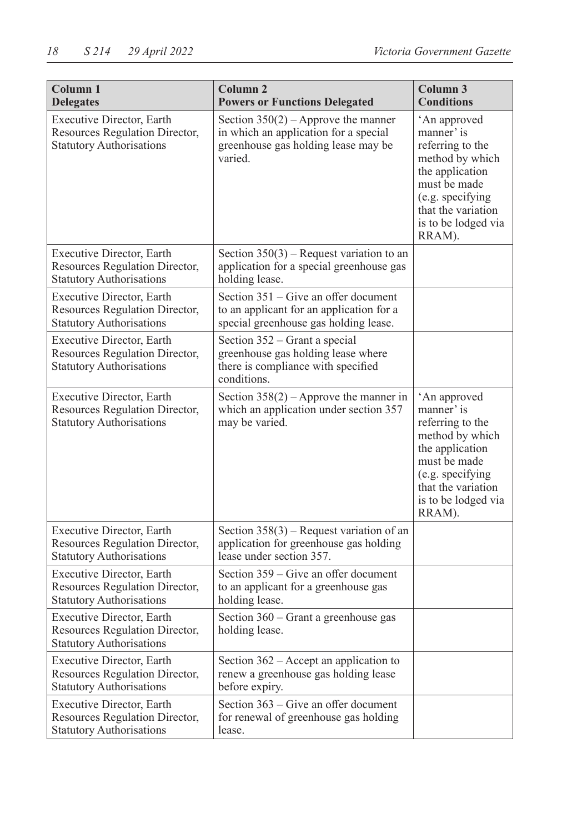| Column <sub>1</sub><br><b>Delegates</b>                                                                | <b>Column 2</b><br><b>Powers or Functions Delegated</b>                                                                          | Column 3<br><b>Conditions</b>                                                                                                                                                   |
|--------------------------------------------------------------------------------------------------------|----------------------------------------------------------------------------------------------------------------------------------|---------------------------------------------------------------------------------------------------------------------------------------------------------------------------------|
| Executive Director, Earth<br>Resources Regulation Director,<br><b>Statutory Authorisations</b>         | Section $350(2)$ – Approve the manner<br>in which an application for a special<br>greenhouse gas holding lease may be<br>varied. | 'An approved<br>manner' is<br>referring to the<br>method by which<br>the application<br>must be made<br>(e.g. specifying<br>that the variation<br>is to be lodged via<br>RRAM). |
| Executive Director, Earth<br>Resources Regulation Director,<br><b>Statutory Authorisations</b>         | Section $350(3)$ – Request variation to an<br>application for a special greenhouse gas<br>holding lease.                         |                                                                                                                                                                                 |
| Executive Director, Earth<br>Resources Regulation Director,<br><b>Statutory Authorisations</b>         | Section $351$ – Give an offer document<br>to an applicant for an application for a<br>special greenhouse gas holding lease.      |                                                                                                                                                                                 |
| <b>Executive Director</b> , Earth<br>Resources Regulation Director,<br><b>Statutory Authorisations</b> | Section 352 – Grant a special<br>greenhouse gas holding lease where<br>there is compliance with specified<br>conditions.         |                                                                                                                                                                                 |
| Executive Director, Earth<br>Resources Regulation Director,<br><b>Statutory Authorisations</b>         | Section $358(2)$ – Approve the manner in<br>which an application under section 357<br>may be varied.                             | 'An approved<br>manner' is<br>referring to the<br>method by which<br>the application<br>must be made<br>(e.g. specifying<br>that the variation<br>is to be lodged via<br>RRAM). |
| Executive Director, Earth<br>Resources Regulation Director,<br><b>Statutory Authorisations</b>         | Section $358(3)$ – Request variation of an<br>application for greenhouse gas holding<br>lease under section 357.                 |                                                                                                                                                                                 |
| Executive Director, Earth<br>Resources Regulation Director,<br><b>Statutory Authorisations</b>         | Section 359 – Give an offer document<br>to an applicant for a greenhouse gas<br>holding lease.                                   |                                                                                                                                                                                 |
| Executive Director, Earth<br>Resources Regulation Director,<br><b>Statutory Authorisations</b>         | Section $360$ – Grant a greenhouse gas<br>holding lease.                                                                         |                                                                                                                                                                                 |
| Executive Director, Earth<br>Resources Regulation Director,<br><b>Statutory Authorisations</b>         | Section $362 -$ Accept an application to<br>renew a greenhouse gas holding lease<br>before expiry.                               |                                                                                                                                                                                 |
| Executive Director, Earth<br>Resources Regulation Director,<br><b>Statutory Authorisations</b>         | Section $363$ – Give an offer document<br>for renewal of greenhouse gas holding<br>lease.                                        |                                                                                                                                                                                 |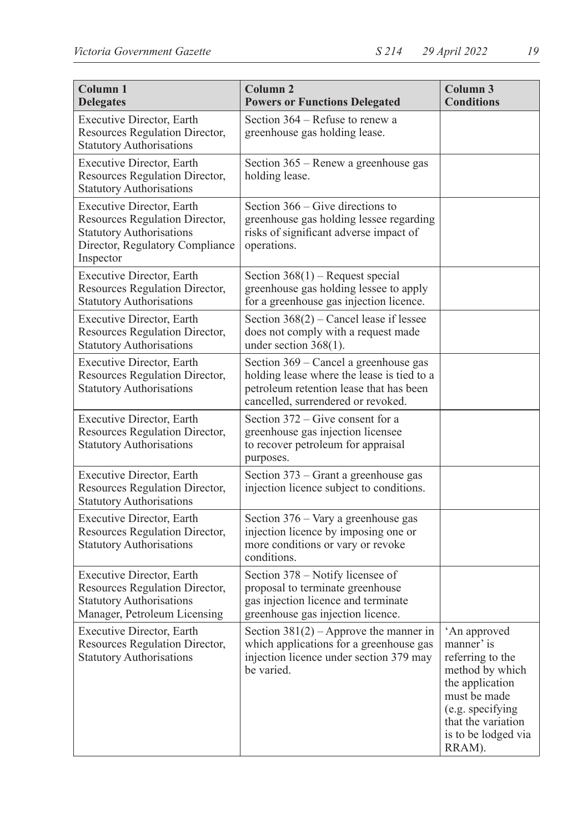| Column <sub>1</sub><br><b>Delegates</b>                                                                                                                | <b>Column 2</b><br><b>Powers or Functions Delegated</b>                                                                                                              | Column 3<br><b>Conditions</b>                                                                                                                                                   |
|--------------------------------------------------------------------------------------------------------------------------------------------------------|----------------------------------------------------------------------------------------------------------------------------------------------------------------------|---------------------------------------------------------------------------------------------------------------------------------------------------------------------------------|
| Executive Director, Earth<br>Resources Regulation Director,<br><b>Statutory Authorisations</b>                                                         | Section $364$ – Refuse to renew a<br>greenhouse gas holding lease.                                                                                                   |                                                                                                                                                                                 |
| Executive Director, Earth<br>Resources Regulation Director,<br><b>Statutory Authorisations</b>                                                         | Section 365 – Renew a greenhouse gas<br>holding lease.                                                                                                               |                                                                                                                                                                                 |
| <b>Executive Director</b> , Earth<br>Resources Regulation Director,<br><b>Statutory Authorisations</b><br>Director, Regulatory Compliance<br>Inspector | Section $366 - Give directions to$<br>greenhouse gas holding lessee regarding<br>risks of significant adverse impact of<br>operations.                               |                                                                                                                                                                                 |
| Executive Director, Earth<br>Resources Regulation Director,<br><b>Statutory Authorisations</b>                                                         | Section $368(1)$ – Request special<br>greenhouse gas holding lessee to apply<br>for a greenhouse gas injection licence.                                              |                                                                                                                                                                                 |
| Executive Director, Earth<br>Resources Regulation Director,<br><b>Statutory Authorisations</b>                                                         | Section $368(2)$ – Cancel lease if lessee<br>does not comply with a request made<br>under section $368(1)$ .                                                         |                                                                                                                                                                                 |
| Executive Director, Earth<br>Resources Regulation Director,<br><b>Statutory Authorisations</b>                                                         | Section 369 – Cancel a greenhouse gas<br>holding lease where the lease is tied to a<br>petroleum retention lease that has been<br>cancelled, surrendered or revoked. |                                                                                                                                                                                 |
| Executive Director, Earth<br>Resources Regulation Director,<br><b>Statutory Authorisations</b>                                                         | Section $372 - Give constant for a$<br>greenhouse gas injection licensee<br>to recover petroleum for appraisal<br>purposes.                                          |                                                                                                                                                                                 |
| Executive Director, Earth<br>Resources Regulation Director,<br><b>Statutory Authorisations</b>                                                         | Section 373 – Grant a greenhouse gas<br>injection licence subject to conditions.                                                                                     |                                                                                                                                                                                 |
| Executive Director, Earth<br>Resources Regulation Director,<br><b>Statutory Authorisations</b>                                                         | Section 376 - Vary a greenhouse gas<br>injection licence by imposing one or<br>more conditions or vary or revoke<br>conditions.                                      |                                                                                                                                                                                 |
| Executive Director, Earth<br>Resources Regulation Director,<br><b>Statutory Authorisations</b><br>Manager, Petroleum Licensing                         | Section 378 – Notify licensee of<br>proposal to terminate greenhouse<br>gas injection licence and terminate<br>greenhouse gas injection licence.                     |                                                                                                                                                                                 |
| Executive Director, Earth<br>Resources Regulation Director,<br><b>Statutory Authorisations</b>                                                         | Section $381(2)$ – Approve the manner in<br>which applications for a greenhouse gas<br>injection licence under section 379 may<br>be varied.                         | 'An approved<br>manner' is<br>referring to the<br>method by which<br>the application<br>must be made<br>(e.g. specifying<br>that the variation<br>is to be lodged via<br>RRAM). |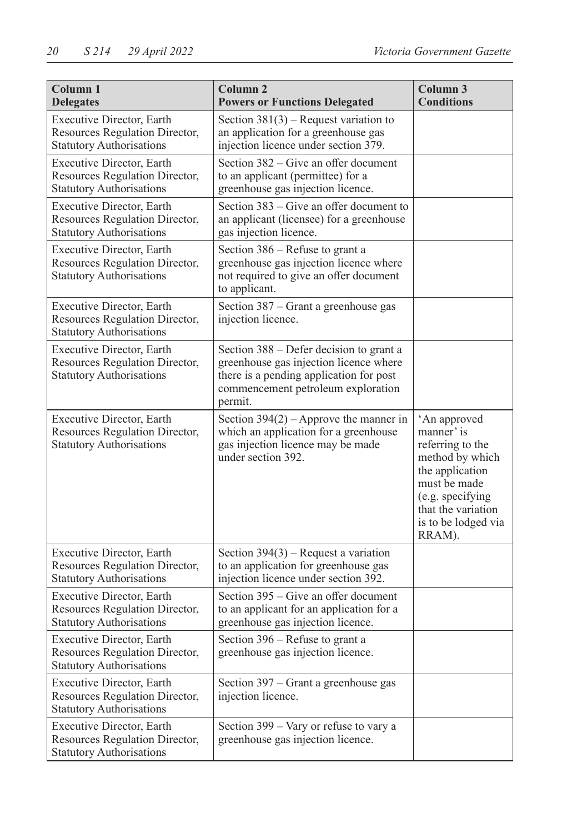| Column <sub>1</sub><br><b>Delegates</b>                                                                | Column <sub>2</sub><br><b>Powers or Functions Delegated</b>                                                                                                                   | Column 3<br><b>Conditions</b>                                                                                                                                                   |
|--------------------------------------------------------------------------------------------------------|-------------------------------------------------------------------------------------------------------------------------------------------------------------------------------|---------------------------------------------------------------------------------------------------------------------------------------------------------------------------------|
| Executive Director, Earth<br>Resources Regulation Director,<br><b>Statutory Authorisations</b>         | Section $381(3)$ – Request variation to<br>an application for a greenhouse gas<br>injection licence under section 379.                                                        |                                                                                                                                                                                 |
| Executive Director, Earth<br>Resources Regulation Director,<br><b>Statutory Authorisations</b>         | Section $382 - Give$ an offer document<br>to an applicant (permittee) for a<br>greenhouse gas injection licence.                                                              |                                                                                                                                                                                 |
| <b>Executive Director</b> , Earth<br>Resources Regulation Director,<br><b>Statutory Authorisations</b> | Section 383 – Give an offer document to<br>an applicant (licensee) for a greenhouse<br>gas injection licence.                                                                 |                                                                                                                                                                                 |
| Executive Director, Earth<br>Resources Regulation Director,<br><b>Statutory Authorisations</b>         | Section $386$ – Refuse to grant a<br>greenhouse gas injection licence where<br>not required to give an offer document<br>to applicant.                                        |                                                                                                                                                                                 |
| Executive Director, Earth<br>Resources Regulation Director,<br><b>Statutory Authorisations</b>         | Section 387 – Grant a greenhouse gas<br>injection licence.                                                                                                                    |                                                                                                                                                                                 |
| Executive Director, Earth<br>Resources Regulation Director,<br><b>Statutory Authorisations</b>         | Section 388 – Defer decision to grant a<br>greenhouse gas injection licence where<br>there is a pending application for post<br>commencement petroleum exploration<br>permit. |                                                                                                                                                                                 |
| Executive Director, Earth<br>Resources Regulation Director,<br><b>Statutory Authorisations</b>         | Section $394(2)$ – Approve the manner in<br>which an application for a greenhouse<br>gas injection licence may be made<br>under section 392.                                  | 'An approved<br>manner' is<br>referring to the<br>method by which<br>the application<br>must be made<br>(e.g. specifying<br>that the variation<br>is to be lodged via<br>RRAM). |
| Executive Director, Earth<br>Resources Regulation Director,<br><b>Statutory Authorisations</b>         | Section $394(3)$ – Request a variation<br>to an application for greenhouse gas<br>injection licence under section 392.                                                        |                                                                                                                                                                                 |
| <b>Executive Director</b> , Earth<br>Resources Regulation Director,<br><b>Statutory Authorisations</b> | Section 395 – Give an offer document<br>to an applicant for an application for a<br>greenhouse gas injection licence.                                                         |                                                                                                                                                                                 |
| Executive Director, Earth<br>Resources Regulation Director,<br><b>Statutory Authorisations</b>         | Section $396$ – Refuse to grant a<br>greenhouse gas injection licence.                                                                                                        |                                                                                                                                                                                 |
| Executive Director, Earth<br>Resources Regulation Director,<br><b>Statutory Authorisations</b>         | Section 397 – Grant a greenhouse gas<br>injection licence.                                                                                                                    |                                                                                                                                                                                 |
| Executive Director, Earth<br>Resources Regulation Director,<br><b>Statutory Authorisations</b>         | Section 399 – Vary or refuse to vary a<br>greenhouse gas injection licence.                                                                                                   |                                                                                                                                                                                 |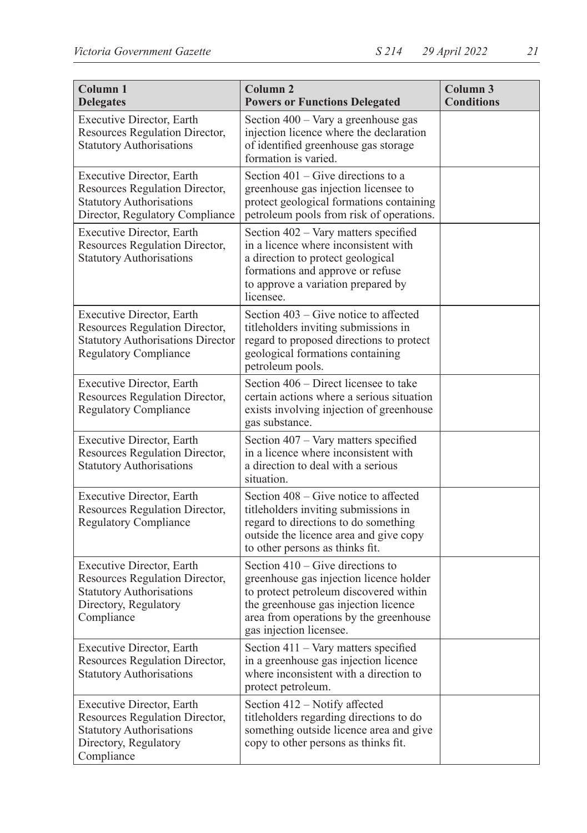| Column <sub>1</sub><br><b>Delegates</b>                                                                                                 | Column <sub>2</sub><br><b>Powers or Functions Delegated</b>                                                                                                                                                                          | Column 3<br><b>Conditions</b> |
|-----------------------------------------------------------------------------------------------------------------------------------------|--------------------------------------------------------------------------------------------------------------------------------------------------------------------------------------------------------------------------------------|-------------------------------|
| Executive Director, Earth<br>Resources Regulation Director,<br><b>Statutory Authorisations</b>                                          | Section $400 - \text{Vary a greenhouse gas}$<br>injection licence where the declaration<br>of identified greenhouse gas storage<br>formation is varied.                                                                              |                               |
| Executive Director, Earth<br>Resources Regulation Director,<br><b>Statutory Authorisations</b><br>Director, Regulatory Compliance       | Section $401$ – Give directions to a<br>greenhouse gas injection licensee to<br>protect geological formations containing<br>petroleum pools from risk of operations.                                                                 |                               |
| <b>Executive Director</b> , Earth<br>Resources Regulation Director,<br><b>Statutory Authorisations</b>                                  | Section 402 - Vary matters specified<br>in a licence where inconsistent with<br>a direction to protect geological<br>formations and approve or refuse<br>to approve a variation prepared by<br>licensee.                             |                               |
| Executive Director, Earth<br>Resources Regulation Director,<br><b>Statutory Authorisations Director</b><br><b>Regulatory Compliance</b> | Section $403$ – Give notice to affected<br>titleholders inviting submissions in<br>regard to proposed directions to protect<br>geological formations containing<br>petroleum pools.                                                  |                               |
| Executive Director, Earth<br>Resources Regulation Director,<br><b>Regulatory Compliance</b>                                             | Section 406 – Direct licensee to take<br>certain actions where a serious situation<br>exists involving injection of greenhouse<br>gas substance.                                                                                     |                               |
| Executive Director, Earth<br>Resources Regulation Director,<br><b>Statutory Authorisations</b>                                          | Section 407 - Vary matters specified<br>in a licence where inconsistent with<br>a direction to deal with a serious<br>situation.                                                                                                     |                               |
| Executive Director, Earth<br>Resources Regulation Director,<br><b>Regulatory Compliance</b>                                             | Section 408 – Give notice to affected<br>titleholders inviting submissions in<br>regard to directions to do something<br>outside the licence area and give copy<br>to other persons as thinks fit.                                   |                               |
| Executive Director, Earth<br>Resources Regulation Director,<br><b>Statutory Authorisations</b><br>Directory, Regulatory<br>Compliance   | Section $410 -$ Give directions to<br>greenhouse gas injection licence holder<br>to protect petroleum discovered within<br>the greenhouse gas injection licence<br>area from operations by the greenhouse<br>gas injection licensee. |                               |
| Executive Director, Earth<br>Resources Regulation Director,<br><b>Statutory Authorisations</b>                                          | Section 411 – Vary matters specified<br>in a greenhouse gas injection licence<br>where inconsistent with a direction to<br>protect petroleum.                                                                                        |                               |
| Executive Director, Earth<br>Resources Regulation Director,<br><b>Statutory Authorisations</b><br>Directory, Regulatory<br>Compliance   | Section 412 – Notify affected<br>titleholders regarding directions to do<br>something outside licence area and give<br>copy to other persons as thinks fit.                                                                          |                               |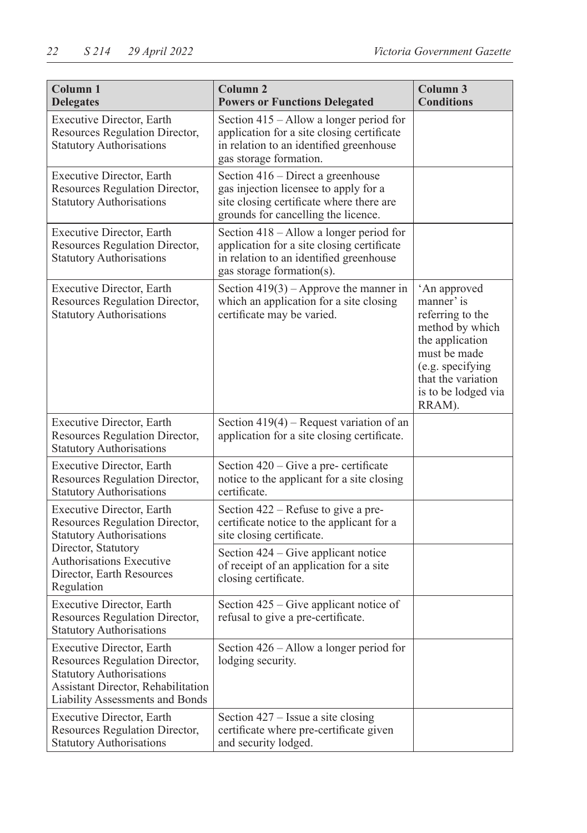| Column 1<br><b>Delegates</b>                                                                                                                                            | Column <sub>2</sub><br><b>Powers or Functions Delegated</b>                                                                                                     | Column 3<br><b>Conditions</b>                                                                                                                                                   |
|-------------------------------------------------------------------------------------------------------------------------------------------------------------------------|-----------------------------------------------------------------------------------------------------------------------------------------------------------------|---------------------------------------------------------------------------------------------------------------------------------------------------------------------------------|
| Executive Director, Earth<br>Resources Regulation Director,<br><b>Statutory Authorisations</b>                                                                          | Section $415 -$ Allow a longer period for<br>application for a site closing certificate<br>in relation to an identified greenhouse<br>gas storage formation.    |                                                                                                                                                                                 |
| Executive Director, Earth<br>Resources Regulation Director,<br><b>Statutory Authorisations</b>                                                                          | Section $416 -$ Direct a greenhouse<br>gas injection licensee to apply for a<br>site closing certificate where there are<br>grounds for cancelling the licence. |                                                                                                                                                                                 |
| Executive Director, Earth<br>Resources Regulation Director,<br><b>Statutory Authorisations</b>                                                                          | Section $418 -$ Allow a longer period for<br>application for a site closing certificate<br>in relation to an identified greenhouse<br>gas storage formation(s). |                                                                                                                                                                                 |
| Executive Director, Earth<br>Resources Regulation Director,<br><b>Statutory Authorisations</b>                                                                          | Section $419(3)$ – Approve the manner in<br>which an application for a site closing<br>certificate may be varied.                                               | 'An approved<br>manner' is<br>referring to the<br>method by which<br>the application<br>must be made<br>(e.g. specifying<br>that the variation<br>is to be lodged via<br>RRAM). |
| Executive Director, Earth<br>Resources Regulation Director,<br><b>Statutory Authorisations</b>                                                                          | Section $419(4)$ – Request variation of an<br>application for a site closing certificate.                                                                       |                                                                                                                                                                                 |
| Executive Director, Earth<br>Resources Regulation Director,<br><b>Statutory Authorisations</b>                                                                          | Section $420 - Give a pre-certificance$<br>notice to the applicant for a site closing<br>certificate.                                                           |                                                                                                                                                                                 |
| Executive Director, Earth<br>Resources Regulation Director,<br><b>Statutory Authorisations</b>                                                                          | Section $422$ – Refuse to give a pre-<br>certificate notice to the applicant for a<br>site closing certificate.                                                 |                                                                                                                                                                                 |
| Director, Statutory<br><b>Authorisations Executive</b><br>Director, Earth Resources<br>Regulation                                                                       | Section $424$ – Give applicant notice<br>of receipt of an application for a site<br>closing certificate.                                                        |                                                                                                                                                                                 |
| Executive Director, Earth<br>Resources Regulation Director,<br><b>Statutory Authorisations</b>                                                                          | Section 425 – Give applicant notice of<br>refusal to give a pre-certificate.                                                                                    |                                                                                                                                                                                 |
| Executive Director, Earth<br>Resources Regulation Director,<br><b>Statutory Authorisations</b><br>Assistant Director, Rehabilitation<br>Liability Assessments and Bonds | Section $426 -$ Allow a longer period for<br>lodging security.                                                                                                  |                                                                                                                                                                                 |
| Executive Director, Earth<br>Resources Regulation Director,<br><b>Statutory Authorisations</b>                                                                          | Section $427$ – Issue a site closing<br>certificate where pre-certificate given<br>and security lodged.                                                         |                                                                                                                                                                                 |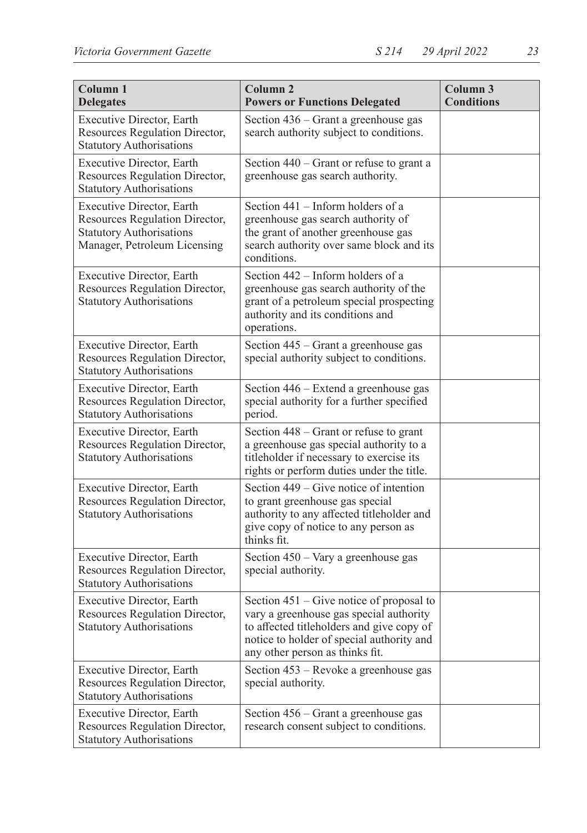| Column <sub>1</sub><br><b>Delegates</b>                                                                                                | Column <sub>2</sub><br><b>Powers or Functions Delegated</b>                                                                                                                                                        | Column 3<br><b>Conditions</b> |
|----------------------------------------------------------------------------------------------------------------------------------------|--------------------------------------------------------------------------------------------------------------------------------------------------------------------------------------------------------------------|-------------------------------|
| <b>Executive Director</b> , Earth<br>Resources Regulation Director,<br><b>Statutory Authorisations</b>                                 | Section 436 – Grant a greenhouse gas<br>search authority subject to conditions.                                                                                                                                    |                               |
| Executive Director, Earth<br>Resources Regulation Director,<br><b>Statutory Authorisations</b>                                         | Section $440$ – Grant or refuse to grant a<br>greenhouse gas search authority.                                                                                                                                     |                               |
| <b>Executive Director</b> , Earth<br>Resources Regulation Director,<br><b>Statutory Authorisations</b><br>Manager, Petroleum Licensing | Section 441 – Inform holders of a<br>greenhouse gas search authority of<br>the grant of another greenhouse gas<br>search authority over same block and its<br>conditions.                                          |                               |
| Executive Director, Earth<br>Resources Regulation Director,<br><b>Statutory Authorisations</b>                                         | Section 442 – Inform holders of a<br>greenhouse gas search authority of the<br>grant of a petroleum special prospecting<br>authority and its conditions and<br>operations.                                         |                               |
| Executive Director, Earth<br>Resources Regulation Director,<br><b>Statutory Authorisations</b>                                         | Section $445$ – Grant a greenhouse gas<br>special authority subject to conditions.                                                                                                                                 |                               |
| Executive Director, Earth<br>Resources Regulation Director,<br><b>Statutory Authorisations</b>                                         | Section 446 – Extend a greenhouse gas<br>special authority for a further specified<br>period.                                                                                                                      |                               |
| Executive Director, Earth<br>Resources Regulation Director,<br><b>Statutory Authorisations</b>                                         | Section 448 – Grant or refuse to grant<br>a greenhouse gas special authority to a<br>titleholder if necessary to exercise its<br>rights or perform duties under the title.                                         |                               |
| Executive Director, Earth<br>Resources Regulation Director,<br><b>Statutory Authorisations</b>                                         | Section $449 - Give$ notice of intention<br>to grant greenhouse gas special<br>authority to any affected titleholder and<br>give copy of notice to any person as<br>thinks fit.                                    |                               |
| Executive Director, Earth<br>Resources Regulation Director,<br><b>Statutory Authorisations</b>                                         | Section 450 – Vary a greenhouse gas<br>special authority.                                                                                                                                                          |                               |
| Executive Director, Earth<br>Resources Regulation Director,<br><b>Statutory Authorisations</b>                                         | Section $451$ – Give notice of proposal to<br>vary a greenhouse gas special authority<br>to affected titleholders and give copy of<br>notice to holder of special authority and<br>any other person as thinks fit. |                               |
| Executive Director, Earth<br>Resources Regulation Director,<br><b>Statutory Authorisations</b>                                         | Section 453 – Revoke a greenhouse gas<br>special authority.                                                                                                                                                        |                               |
| Executive Director, Earth<br>Resources Regulation Director,<br><b>Statutory Authorisations</b>                                         | Section 456 - Grant a greenhouse gas<br>research consent subject to conditions.                                                                                                                                    |                               |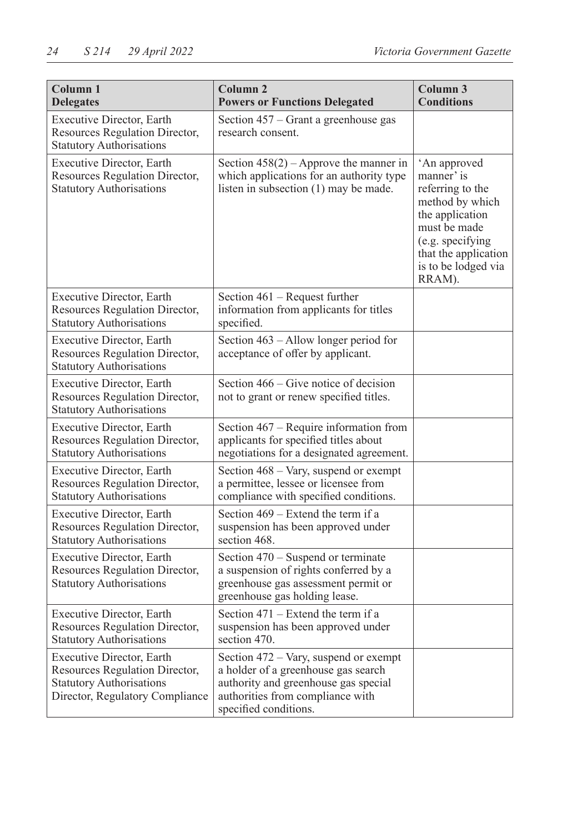| Column 1<br><b>Delegates</b>                                                                                                      | Column <sub>2</sub><br><b>Powers or Functions Delegated</b>                                                                                                                       | Column 3<br><b>Conditions</b>                                                                                                                                                     |
|-----------------------------------------------------------------------------------------------------------------------------------|-----------------------------------------------------------------------------------------------------------------------------------------------------------------------------------|-----------------------------------------------------------------------------------------------------------------------------------------------------------------------------------|
| Executive Director, Earth<br>Resources Regulation Director,<br><b>Statutory Authorisations</b>                                    | Section $457 -$ Grant a greenhouse gas<br>research consent.                                                                                                                       |                                                                                                                                                                                   |
| Executive Director, Earth<br>Resources Regulation Director,<br><b>Statutory Authorisations</b>                                    | Section $458(2)$ – Approve the manner in<br>which applications for an authority type<br>listen in subsection (1) may be made.                                                     | 'An approved<br>manner' is<br>referring to the<br>method by which<br>the application<br>must be made<br>(e.g. specifying<br>that the application<br>is to be lodged via<br>RRAM). |
| Executive Director, Earth<br>Resources Regulation Director,<br><b>Statutory Authorisations</b>                                    | Section $461$ – Request further<br>information from applicants for titles<br>specified.                                                                                           |                                                                                                                                                                                   |
| <b>Executive Director</b> , Earth<br>Resources Regulation Director,<br><b>Statutory Authorisations</b>                            | Section 463 – Allow longer period for<br>acceptance of offer by applicant.                                                                                                        |                                                                                                                                                                                   |
| <b>Executive Director</b> , Earth<br>Resources Regulation Director,<br><b>Statutory Authorisations</b>                            | Section $466 -$ Give notice of decision<br>not to grant or renew specified titles.                                                                                                |                                                                                                                                                                                   |
| Executive Director, Earth<br>Resources Regulation Director,<br><b>Statutory Authorisations</b>                                    | Section 467 – Require information from<br>applicants for specified titles about<br>negotiations for a designated agreement.                                                       |                                                                                                                                                                                   |
| Executive Director, Earth<br>Resources Regulation Director,<br><b>Statutory Authorisations</b>                                    | Section 468 – Vary, suspend or exempt<br>a permittee, lessee or licensee from<br>compliance with specified conditions.                                                            |                                                                                                                                                                                   |
| Executive Director, Earth<br>Resources Regulation Director,<br><b>Statutory Authorisations</b>                                    | Section $469 -$ Extend the term if a<br>suspension has been approved under<br>section 468.                                                                                        |                                                                                                                                                                                   |
| Executive Director, Earth<br>Resources Regulation Director,<br><b>Statutory Authorisations</b>                                    | Section $470$ – Suspend or terminate<br>a suspension of rights conferred by a<br>greenhouse gas assessment permit or<br>greenhouse gas holding lease.                             |                                                                                                                                                                                   |
| Executive Director, Earth<br>Resources Regulation Director,<br><b>Statutory Authorisations</b>                                    | Section $471$ – Extend the term if a<br>suspension has been approved under<br>section 470.                                                                                        |                                                                                                                                                                                   |
| Executive Director, Earth<br>Resources Regulation Director,<br><b>Statutory Authorisations</b><br>Director, Regulatory Compliance | Section 472 – Vary, suspend or exempt<br>a holder of a greenhouse gas search<br>authority and greenhouse gas special<br>authorities from compliance with<br>specified conditions. |                                                                                                                                                                                   |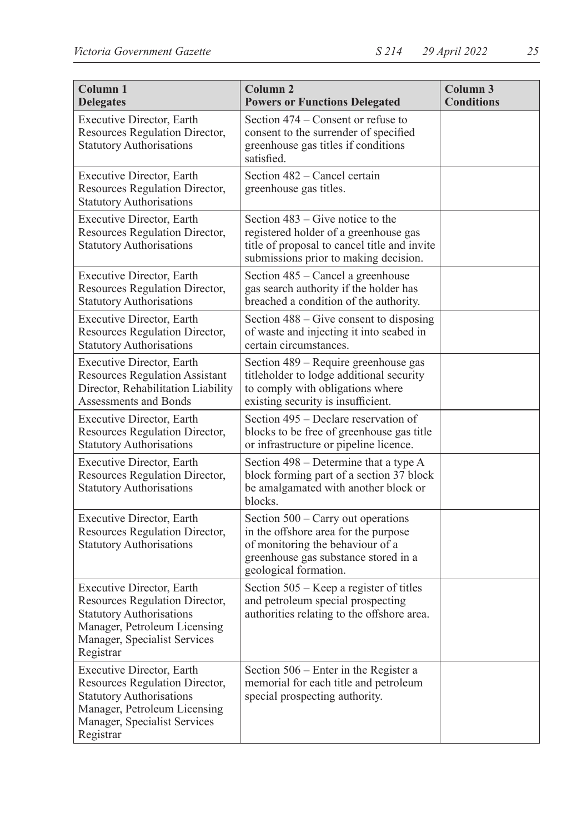| Column <sub>1</sub><br><b>Delegates</b>                                                                                                                                     | Column <sub>2</sub><br><b>Powers or Functions Delegated</b>                                                                                                                       | Column 3<br><b>Conditions</b> |
|-----------------------------------------------------------------------------------------------------------------------------------------------------------------------------|-----------------------------------------------------------------------------------------------------------------------------------------------------------------------------------|-------------------------------|
| <b>Executive Director</b> , Earth<br>Resources Regulation Director,<br><b>Statutory Authorisations</b>                                                                      | Section $474$ – Consent or refuse to<br>consent to the surrender of specified<br>greenhouse gas titles if conditions<br>satisfied.                                                |                               |
| Executive Director, Earth<br>Resources Regulation Director,<br><b>Statutory Authorisations</b>                                                                              | Section 482 - Cancel certain<br>greenhouse gas titles.                                                                                                                            |                               |
| Executive Director, Earth<br>Resources Regulation Director,<br><b>Statutory Authorisations</b>                                                                              | Section $483$ – Give notice to the<br>registered holder of a greenhouse gas<br>title of proposal to cancel title and invite<br>submissions prior to making decision.              |                               |
| Executive Director, Earth<br>Resources Regulation Director,<br><b>Statutory Authorisations</b>                                                                              | Section 485 – Cancel a greenhouse<br>gas search authority if the holder has<br>breached a condition of the authority.                                                             |                               |
| Executive Director, Earth<br>Resources Regulation Director,<br><b>Statutory Authorisations</b>                                                                              | Section $488 - Give constant to disposing$<br>of waste and injecting it into seabed in<br>certain circumstances.                                                                  |                               |
| Executive Director, Earth<br>Resources Regulation Assistant<br>Director, Rehabilitation Liability<br><b>Assessments and Bonds</b>                                           | Section 489 – Require greenhouse gas<br>titleholder to lodge additional security<br>to comply with obligations where<br>existing security is insufficient.                        |                               |
| Executive Director, Earth<br>Resources Regulation Director,<br><b>Statutory Authorisations</b>                                                                              | Section 495 – Declare reservation of<br>blocks to be free of greenhouse gas title<br>or infrastructure or pipeline licence.                                                       |                               |
| Executive Director, Earth<br>Resources Regulation Director,<br><b>Statutory Authorisations</b>                                                                              | Section 498 – Determine that a type A<br>block forming part of a section 37 block<br>be amalgamated with another block or<br>blocks.                                              |                               |
| Executive Director, Earth<br>Resources Regulation Director,<br><b>Statutory Authorisations</b>                                                                              | Section $500 -$ Carry out operations<br>in the offshore area for the purpose<br>of monitoring the behaviour of a<br>greenhouse gas substance stored in a<br>geological formation. |                               |
| Executive Director, Earth<br>Resources Regulation Director,<br><b>Statutory Authorisations</b><br>Manager, Petroleum Licensing<br>Manager, Specialist Services<br>Registrar | Section 505 – Keep a register of titles<br>and petroleum special prospecting<br>authorities relating to the offshore area.                                                        |                               |
| Executive Director, Earth<br>Resources Regulation Director,<br><b>Statutory Authorisations</b><br>Manager, Petroleum Licensing<br>Manager, Specialist Services<br>Registrar | Section 506 – Enter in the Register a<br>memorial for each title and petroleum<br>special prospecting authority.                                                                  |                               |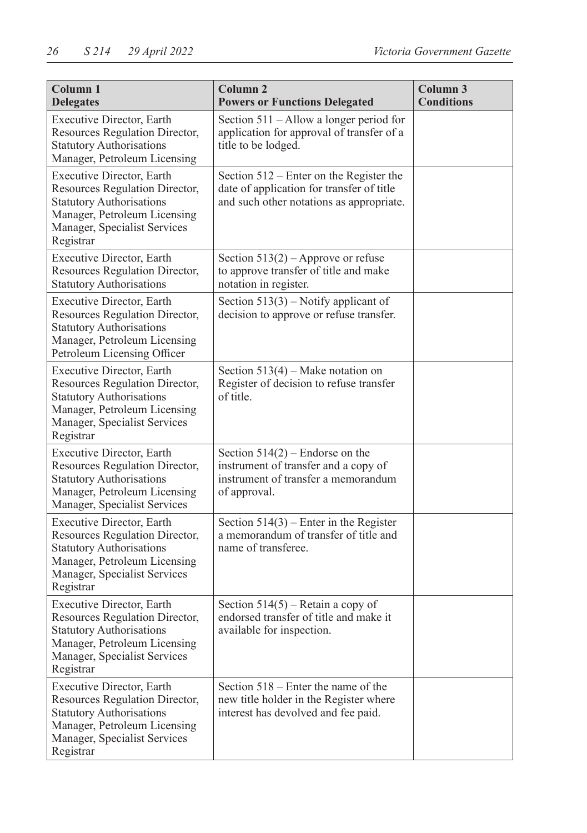| Column <sub>1</sub><br><b>Delegates</b>                                                                                                                                     | Column <sub>2</sub><br><b>Powers or Functions Delegated</b>                                                                      | Column 3<br><b>Conditions</b> |
|-----------------------------------------------------------------------------------------------------------------------------------------------------------------------------|----------------------------------------------------------------------------------------------------------------------------------|-------------------------------|
| Executive Director, Earth<br>Resources Regulation Director,<br><b>Statutory Authorisations</b><br>Manager, Petroleum Licensing                                              | Section $511 -$ Allow a longer period for<br>application for approval of transfer of a<br>title to be lodged.                    |                               |
| Executive Director, Earth<br>Resources Regulation Director,<br><b>Statutory Authorisations</b><br>Manager, Petroleum Licensing<br>Manager, Specialist Services<br>Registrar | Section 512 – Enter on the Register the<br>date of application for transfer of title<br>and such other notations as appropriate. |                               |
| Executive Director, Earth<br>Resources Regulation Director,<br><b>Statutory Authorisations</b>                                                                              | Section $513(2)$ – Approve or refuse<br>to approve transfer of title and make<br>notation in register.                           |                               |
| Executive Director, Earth<br>Resources Regulation Director,<br><b>Statutory Authorisations</b><br>Manager, Petroleum Licensing<br>Petroleum Licensing Officer               | Section $513(3)$ – Notify applicant of<br>decision to approve or refuse transfer.                                                |                               |
| Executive Director, Earth<br>Resources Regulation Director,<br><b>Statutory Authorisations</b><br>Manager, Petroleum Licensing<br>Manager, Specialist Services<br>Registrar | Section $513(4)$ – Make notation on<br>Register of decision to refuse transfer<br>of title.                                      |                               |
| Executive Director, Earth<br>Resources Regulation Director,<br><b>Statutory Authorisations</b><br>Manager, Petroleum Licensing<br>Manager, Specialist Services              | Section $514(2)$ – Endorse on the<br>instrument of transfer and a copy of<br>instrument of transfer a memorandum<br>of approval. |                               |
| Executive Director, Earth<br>Resources Regulation Director,<br><b>Statutory Authorisations</b><br>Manager, Petroleum Licensing<br>Manager, Specialist Services<br>Registrar | Section $514(3)$ – Enter in the Register<br>a memorandum of transfer of title and<br>name of transferee.                         |                               |
| Executive Director, Earth<br>Resources Regulation Director,<br><b>Statutory Authorisations</b><br>Manager, Petroleum Licensing<br>Manager, Specialist Services<br>Registrar | Section $514(5)$ – Retain a copy of<br>endorsed transfer of title and make it<br>available for inspection.                       |                               |
| Executive Director, Earth<br>Resources Regulation Director,<br><b>Statutory Authorisations</b><br>Manager, Petroleum Licensing<br>Manager, Specialist Services<br>Registrar | Section $518$ – Enter the name of the<br>new title holder in the Register where<br>interest has devolved and fee paid.           |                               |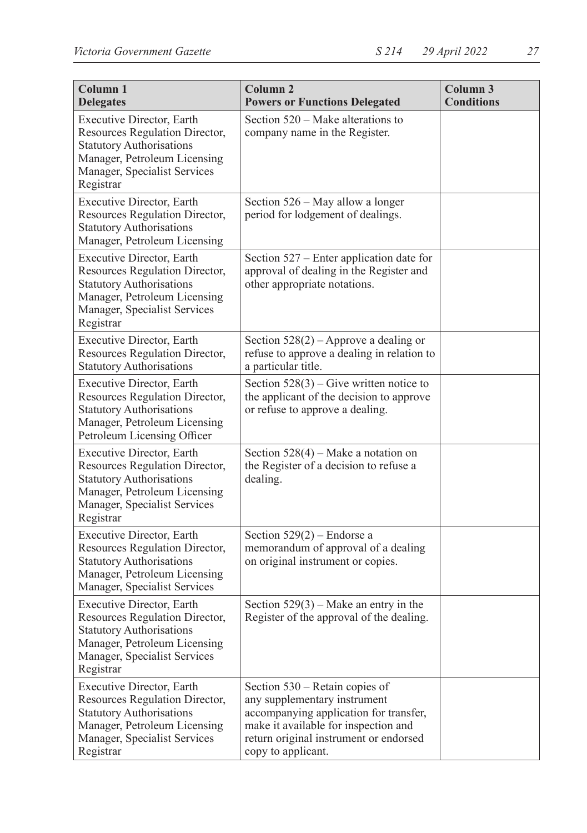| Column <sub>1</sub><br><b>Delegates</b>                                                                                                                                             | <b>Column 2</b><br><b>Powers or Functions Delegated</b>                                                                                                                                                          | Column 3<br><b>Conditions</b> |
|-------------------------------------------------------------------------------------------------------------------------------------------------------------------------------------|------------------------------------------------------------------------------------------------------------------------------------------------------------------------------------------------------------------|-------------------------------|
| Executive Director, Earth<br>Resources Regulation Director,<br><b>Statutory Authorisations</b><br>Manager, Petroleum Licensing<br>Manager, Specialist Services<br>Registrar         | Section $520$ – Make alterations to<br>company name in the Register.                                                                                                                                             |                               |
| Executive Director, Earth<br>Resources Regulation Director,<br><b>Statutory Authorisations</b><br>Manager, Petroleum Licensing                                                      | Section 526 – May allow a longer<br>period for lodgement of dealings.                                                                                                                                            |                               |
| Executive Director, Earth<br>Resources Regulation Director,<br><b>Statutory Authorisations</b><br>Manager, Petroleum Licensing<br>Manager, Specialist Services<br>Registrar         | Section 527 – Enter application date for<br>approval of dealing in the Register and<br>other appropriate notations.                                                                                              |                               |
| Executive Director, Earth<br>Resources Regulation Director,<br><b>Statutory Authorisations</b>                                                                                      | Section $528(2)$ – Approve a dealing or<br>refuse to approve a dealing in relation to<br>a particular title.                                                                                                     |                               |
| Executive Director, Earth<br>Resources Regulation Director,<br><b>Statutory Authorisations</b><br>Manager, Petroleum Licensing<br>Petroleum Licensing Officer                       | Section $528(3)$ – Give written notice to<br>the applicant of the decision to approve<br>or refuse to approve a dealing.                                                                                         |                               |
| <b>Executive Director</b> , Earth<br>Resources Regulation Director,<br><b>Statutory Authorisations</b><br>Manager, Petroleum Licensing<br>Manager, Specialist Services<br>Registrar | Section $528(4)$ – Make a notation on<br>the Register of a decision to refuse a<br>dealing.                                                                                                                      |                               |
| Executive Director, Earth<br>Resources Regulation Director,<br><b>Statutory Authorisations</b><br>Manager, Petroleum Licensing<br>Manager, Specialist Services                      | Section $529(2)$ – Endorse a<br>memorandum of approval of a dealing<br>on original instrument or copies.                                                                                                         |                               |
| <b>Executive Director</b> , Earth<br>Resources Regulation Director,<br><b>Statutory Authorisations</b><br>Manager, Petroleum Licensing<br>Manager, Specialist Services<br>Registrar | Section $529(3)$ – Make an entry in the<br>Register of the approval of the dealing.                                                                                                                              |                               |
| Executive Director, Earth<br>Resources Regulation Director,<br><b>Statutory Authorisations</b><br>Manager, Petroleum Licensing<br>Manager, Specialist Services<br>Registrar         | Section 530 – Retain copies of<br>any supplementary instrument<br>accompanying application for transfer,<br>make it available for inspection and<br>return original instrument or endorsed<br>copy to applicant. |                               |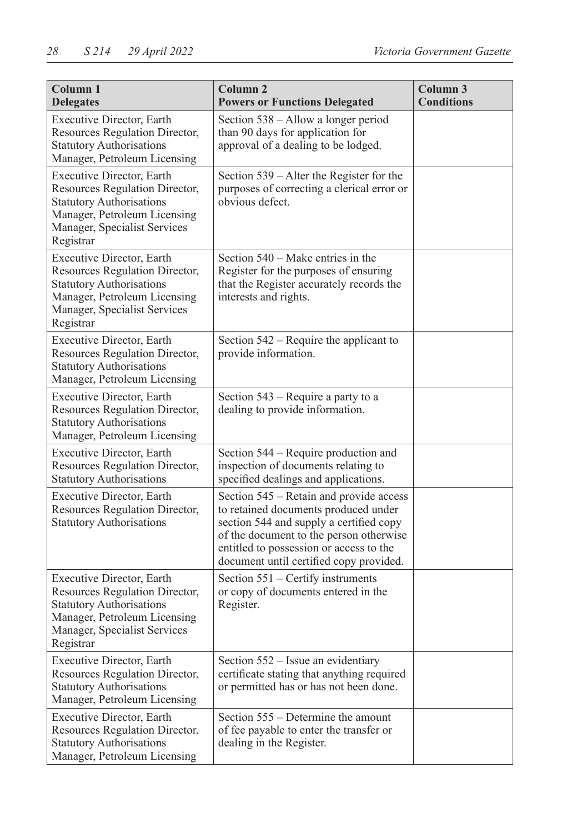| Column <sub>1</sub><br><b>Delegates</b>                                                                                                                                     | Column <sub>2</sub><br><b>Powers or Functions Delegated</b>                                                                                                                                                                                                 | Column 3<br><b>Conditions</b> |
|-----------------------------------------------------------------------------------------------------------------------------------------------------------------------------|-------------------------------------------------------------------------------------------------------------------------------------------------------------------------------------------------------------------------------------------------------------|-------------------------------|
| Executive Director, Earth<br>Resources Regulation Director,<br><b>Statutory Authorisations</b><br>Manager, Petroleum Licensing                                              | Section 538 – Allow a longer period<br>than 90 days for application for<br>approval of a dealing to be lodged.                                                                                                                                              |                               |
| Executive Director, Earth<br>Resources Regulation Director,<br><b>Statutory Authorisations</b><br>Manager, Petroleum Licensing<br>Manager, Specialist Services<br>Registrar | Section 539 – Alter the Register for the<br>purposes of correcting a clerical error or<br>obvious defect.                                                                                                                                                   |                               |
| Executive Director, Earth<br>Resources Regulation Director,<br><b>Statutory Authorisations</b><br>Manager, Petroleum Licensing<br>Manager, Specialist Services<br>Registrar | Section $540$ – Make entries in the<br>Register for the purposes of ensuring<br>that the Register accurately records the<br>interests and rights.                                                                                                           |                               |
| Executive Director, Earth<br>Resources Regulation Director,<br><b>Statutory Authorisations</b><br>Manager, Petroleum Licensing                                              | Section $542$ – Require the applicant to<br>provide information.                                                                                                                                                                                            |                               |
| Executive Director, Earth<br>Resources Regulation Director,<br><b>Statutory Authorisations</b><br>Manager, Petroleum Licensing                                              | Section $543$ – Require a party to a<br>dealing to provide information.                                                                                                                                                                                     |                               |
| Executive Director, Earth<br>Resources Regulation Director,<br><b>Statutory Authorisations</b>                                                                              | Section 544 – Require production and<br>inspection of documents relating to<br>specified dealings and applications.                                                                                                                                         |                               |
| Executive Director, Earth<br>Resources Regulation Director,<br><b>Statutory Authorisations</b>                                                                              | Section 545 – Retain and provide access<br>to retained documents produced under<br>section 544 and supply a certified copy<br>of the document to the person otherwise<br>entitled to possession or access to the<br>document until certified copy provided. |                               |
| Executive Director, Earth<br>Resources Regulation Director,<br><b>Statutory Authorisations</b><br>Manager, Petroleum Licensing<br>Manager, Specialist Services<br>Registrar | Section 551 – Certify instruments<br>or copy of documents entered in the<br>Register.                                                                                                                                                                       |                               |
| Executive Director, Earth<br>Resources Regulation Director,<br><b>Statutory Authorisations</b><br>Manager, Petroleum Licensing                                              | Section 552 - Issue an evidentiary<br>certificate stating that anything required<br>or permitted has or has not been done.                                                                                                                                  |                               |
| Executive Director, Earth<br>Resources Regulation Director,<br><b>Statutory Authorisations</b><br>Manager, Petroleum Licensing                                              | Section 555 – Determine the amount<br>of fee payable to enter the transfer or<br>dealing in the Register.                                                                                                                                                   |                               |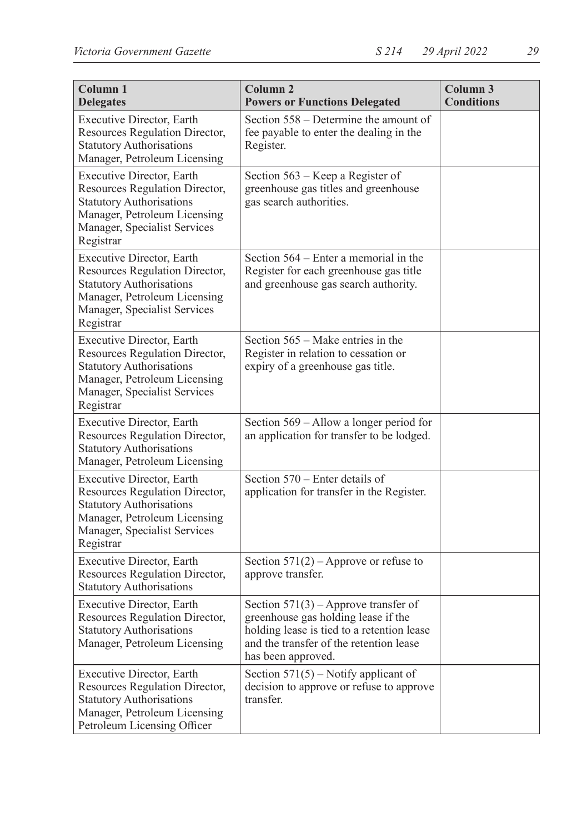| Column <sub>1</sub><br><b>Delegates</b>                                                                                                                                     | Column <sub>2</sub><br><b>Powers or Functions Delegated</b>                                                                                                                                  | Column 3<br><b>Conditions</b> |
|-----------------------------------------------------------------------------------------------------------------------------------------------------------------------------|----------------------------------------------------------------------------------------------------------------------------------------------------------------------------------------------|-------------------------------|
| Executive Director, Earth<br>Resources Regulation Director,<br><b>Statutory Authorisations</b><br>Manager, Petroleum Licensing                                              | Section 558 – Determine the amount of<br>fee payable to enter the dealing in the<br>Register.                                                                                                |                               |
| Executive Director, Earth<br>Resources Regulation Director,<br><b>Statutory Authorisations</b><br>Manager, Petroleum Licensing<br>Manager, Specialist Services<br>Registrar | Section 563 – Keep a Register of<br>greenhouse gas titles and greenhouse<br>gas search authorities.                                                                                          |                               |
| Executive Director, Earth<br>Resources Regulation Director,<br><b>Statutory Authorisations</b><br>Manager, Petroleum Licensing<br>Manager, Specialist Services<br>Registrar | Section 564 – Enter a memorial in the<br>Register for each greenhouse gas title<br>and greenhouse gas search authority.                                                                      |                               |
| Executive Director, Earth<br>Resources Regulation Director,<br><b>Statutory Authorisations</b><br>Manager, Petroleum Licensing<br>Manager, Specialist Services<br>Registrar | Section $565$ – Make entries in the<br>Register in relation to cessation or<br>expiry of a greenhouse gas title.                                                                             |                               |
| Executive Director, Earth<br>Resources Regulation Director,<br><b>Statutory Authorisations</b><br>Manager, Petroleum Licensing                                              | Section 569 – Allow a longer period for<br>an application for transfer to be lodged.                                                                                                         |                               |
| Executive Director, Earth<br>Resources Regulation Director,<br><b>Statutory Authorisations</b><br>Manager, Petroleum Licensing<br>Manager, Specialist Services<br>Registrar | Section 570 – Enter details of<br>application for transfer in the Register.                                                                                                                  |                               |
| <b>Executive Director</b> , Earth<br>Resources Regulation Director,<br><b>Statutory Authorisations</b>                                                                      | Section $571(2)$ - Approve or refuse to<br>approve transfer.                                                                                                                                 |                               |
| <b>Executive Director</b> , Earth<br>Resources Regulation Director,<br><b>Statutory Authorisations</b><br>Manager, Petroleum Licensing                                      | Section $571(3)$ – Approve transfer of<br>greenhouse gas holding lease if the<br>holding lease is tied to a retention lease<br>and the transfer of the retention lease<br>has been approved. |                               |
| Executive Director, Earth<br>Resources Regulation Director,<br><b>Statutory Authorisations</b><br>Manager, Petroleum Licensing<br>Petroleum Licensing Officer               | Section $571(5)$ – Notify applicant of<br>decision to approve or refuse to approve<br>transfer.                                                                                              |                               |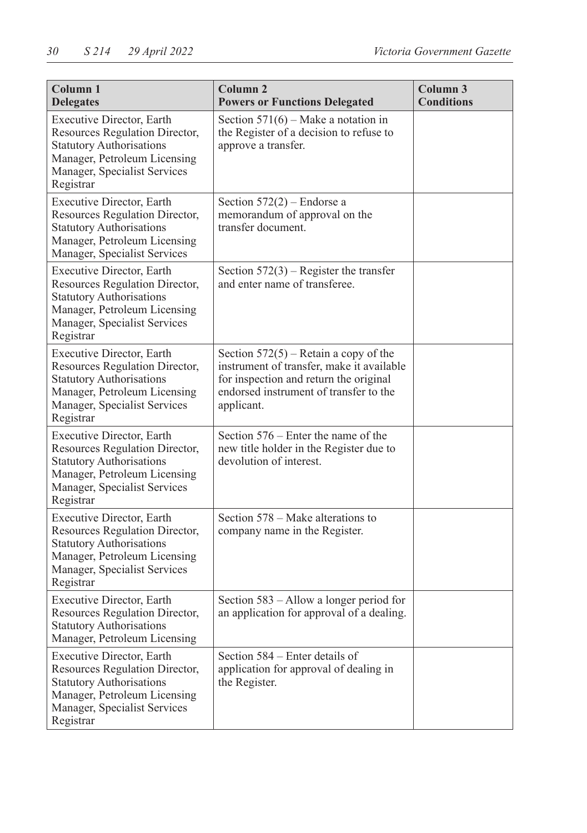| Column 1<br><b>Delegates</b>                                                                                                                                                        | Column <sub>2</sub><br><b>Powers or Functions Delegated</b>                                                                                                                            | Column 3<br><b>Conditions</b> |
|-------------------------------------------------------------------------------------------------------------------------------------------------------------------------------------|----------------------------------------------------------------------------------------------------------------------------------------------------------------------------------------|-------------------------------|
| Executive Director, Earth<br>Resources Regulation Director,<br><b>Statutory Authorisations</b><br>Manager, Petroleum Licensing<br>Manager, Specialist Services<br>Registrar         | Section $571(6)$ – Make a notation in<br>the Register of a decision to refuse to<br>approve a transfer.                                                                                |                               |
| Executive Director, Earth<br>Resources Regulation Director,<br><b>Statutory Authorisations</b><br>Manager, Petroleum Licensing<br>Manager, Specialist Services                      | Section $572(2)$ – Endorse a<br>memorandum of approval on the<br>transfer document.                                                                                                    |                               |
| <b>Executive Director</b> , Earth<br>Resources Regulation Director,<br><b>Statutory Authorisations</b><br>Manager, Petroleum Licensing<br>Manager, Specialist Services<br>Registrar | Section $572(3)$ – Register the transfer<br>and enter name of transferee.                                                                                                              |                               |
| Executive Director, Earth<br>Resources Regulation Director,<br><b>Statutory Authorisations</b><br>Manager, Petroleum Licensing<br>Manager, Specialist Services<br>Registrar         | Section $572(5)$ – Retain a copy of the<br>instrument of transfer, make it available<br>for inspection and return the original<br>endorsed instrument of transfer to the<br>applicant. |                               |
| Executive Director, Earth<br>Resources Regulation Director,<br><b>Statutory Authorisations</b><br>Manager, Petroleum Licensing<br>Manager, Specialist Services<br>Registrar         | Section 576 – Enter the name of the<br>new title holder in the Register due to<br>devolution of interest.                                                                              |                               |
| Executive Director, Earth<br>Resources Regulation Director,<br><b>Statutory Authorisations</b><br>Manager, Petroleum Licensing<br>Manager, Specialist Services<br>Registrar         | Section 578 – Make alterations to<br>company name in the Register.                                                                                                                     |                               |
| Executive Director, Earth<br>Resources Regulation Director,<br><b>Statutory Authorisations</b><br>Manager, Petroleum Licensing                                                      | Section 583 - Allow a longer period for<br>an application for approval of a dealing.                                                                                                   |                               |
| Executive Director, Earth<br>Resources Regulation Director,<br><b>Statutory Authorisations</b><br>Manager, Petroleum Licensing<br>Manager, Specialist Services<br>Registrar         | Section 584 – Enter details of<br>application for approval of dealing in<br>the Register.                                                                                              |                               |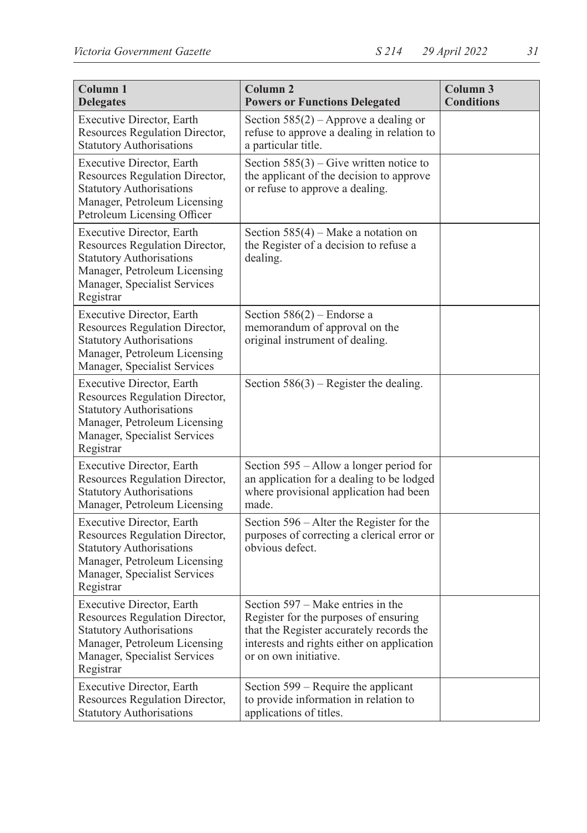| Column <sub>1</sub><br><b>Delegates</b>                                                                                                                                             | Column <sub>2</sub><br><b>Powers or Functions Delegated</b>                                                                                                                                   | Column 3<br><b>Conditions</b> |
|-------------------------------------------------------------------------------------------------------------------------------------------------------------------------------------|-----------------------------------------------------------------------------------------------------------------------------------------------------------------------------------------------|-------------------------------|
| Executive Director, Earth<br>Resources Regulation Director,<br><b>Statutory Authorisations</b>                                                                                      | Section $585(2)$ – Approve a dealing or<br>refuse to approve a dealing in relation to<br>a particular title.                                                                                  |                               |
| Executive Director, Earth<br>Resources Regulation Director,<br><b>Statutory Authorisations</b><br>Manager, Petroleum Licensing<br>Petroleum Licensing Officer                       | Section $585(3)$ – Give written notice to<br>the applicant of the decision to approve<br>or refuse to approve a dealing.                                                                      |                               |
| Executive Director, Earth<br>Resources Regulation Director,<br><b>Statutory Authorisations</b><br>Manager, Petroleum Licensing<br>Manager, Specialist Services<br>Registrar         | Section $585(4)$ – Make a notation on<br>the Register of a decision to refuse a<br>dealing.                                                                                                   |                               |
| Executive Director, Earth<br>Resources Regulation Director,<br><b>Statutory Authorisations</b><br>Manager, Petroleum Licensing<br>Manager, Specialist Services                      | Section $586(2)$ – Endorse a<br>memorandum of approval on the<br>original instrument of dealing.                                                                                              |                               |
| Executive Director, Earth<br>Resources Regulation Director,<br><b>Statutory Authorisations</b><br>Manager, Petroleum Licensing<br>Manager, Specialist Services<br>Registrar         | Section $586(3)$ – Register the dealing.                                                                                                                                                      |                               |
| Executive Director, Earth<br>Resources Regulation Director,<br><b>Statutory Authorisations</b><br>Manager, Petroleum Licensing                                                      | Section 595 – Allow a longer period for<br>an application for a dealing to be lodged<br>where provisional application had been<br>made.                                                       |                               |
| Executive Director, Earth<br>Resources Regulation Director,<br><b>Statutory Authorisations</b><br>Manager, Petroleum Licensing<br>Manager, Specialist Services<br>Registrar         | Section 596 – Alter the Register for the<br>purposes of correcting a clerical error or<br>obvious defect.                                                                                     |                               |
| <b>Executive Director</b> , Earth<br>Resources Regulation Director,<br><b>Statutory Authorisations</b><br>Manager, Petroleum Licensing<br>Manager, Specialist Services<br>Registrar | Section 597 – Make entries in the<br>Register for the purposes of ensuring<br>that the Register accurately records the<br>interests and rights either on application<br>or on own initiative. |                               |
| Executive Director, Earth<br>Resources Regulation Director,<br><b>Statutory Authorisations</b>                                                                                      | Section 599 – Require the applicant<br>to provide information in relation to<br>applications of titles.                                                                                       |                               |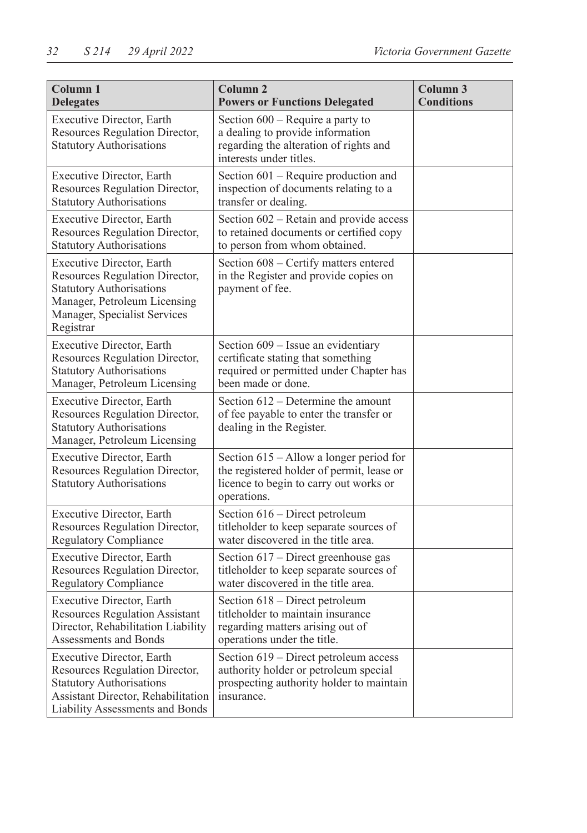| Column <sub>1</sub><br><b>Delegates</b>                                                                                                                                     | Column <sub>2</sub><br><b>Powers or Functions Delegated</b>                                                                                     | Column 3<br><b>Conditions</b> |
|-----------------------------------------------------------------------------------------------------------------------------------------------------------------------------|-------------------------------------------------------------------------------------------------------------------------------------------------|-------------------------------|
| Executive Director, Earth<br>Resources Regulation Director,<br><b>Statutory Authorisations</b>                                                                              | Section $600$ – Require a party to<br>a dealing to provide information<br>regarding the alteration of rights and<br>interests under titles.     |                               |
| Executive Director, Earth<br>Resources Regulation Director,<br><b>Statutory Authorisations</b>                                                                              | Section 601 – Require production and<br>inspection of documents relating to a<br>transfer or dealing.                                           |                               |
| Executive Director, Earth<br>Resources Regulation Director,<br><b>Statutory Authorisations</b>                                                                              | Section 602 – Retain and provide access<br>to retained documents or certified copy<br>to person from whom obtained.                             |                               |
| Executive Director, Earth<br>Resources Regulation Director,<br><b>Statutory Authorisations</b><br>Manager, Petroleum Licensing<br>Manager, Specialist Services<br>Registrar | Section 608 – Certify matters entered<br>in the Register and provide copies on<br>payment of fee.                                               |                               |
| Executive Director, Earth<br>Resources Regulation Director,<br><b>Statutory Authorisations</b><br>Manager, Petroleum Licensing                                              | Section 609 - Issue an evidentiary<br>certificate stating that something<br>required or permitted under Chapter has<br>been made or done.       |                               |
| Executive Director, Earth<br>Resources Regulation Director,<br><b>Statutory Authorisations</b><br>Manager, Petroleum Licensing                                              | Section $612$ – Determine the amount<br>of fee payable to enter the transfer or<br>dealing in the Register.                                     |                               |
| Executive Director, Earth<br>Resources Regulation Director,<br><b>Statutory Authorisations</b>                                                                              | Section $615 -$ Allow a longer period for<br>the registered holder of permit, lease or<br>licence to begin to carry out works or<br>operations. |                               |
| Executive Director, Earth<br>Resources Regulation Director,<br><b>Regulatory Compliance</b>                                                                                 | Section $616$ – Direct petroleum<br>titleholder to keep separate sources of<br>water discovered in the title area.                              |                               |
| Executive Director, Earth<br>Resources Regulation Director,<br><b>Regulatory Compliance</b>                                                                                 | Section 617 – Direct greenhouse gas<br>titleholder to keep separate sources of<br>water discovered in the title area.                           |                               |
| Executive Director, Earth<br><b>Resources Regulation Assistant</b><br>Director, Rehabilitation Liability<br>Assessments and Bonds                                           | Section 618 – Direct petroleum<br>titleholder to maintain insurance<br>regarding matters arising out of<br>operations under the title.          |                               |
| Executive Director, Earth<br>Resources Regulation Director,<br><b>Statutory Authorisations</b><br>Assistant Director, Rehabilitation<br>Liability Assessments and Bonds     | Section 619 – Direct petroleum access<br>authority holder or petroleum special<br>prospecting authority holder to maintain<br>insurance.        |                               |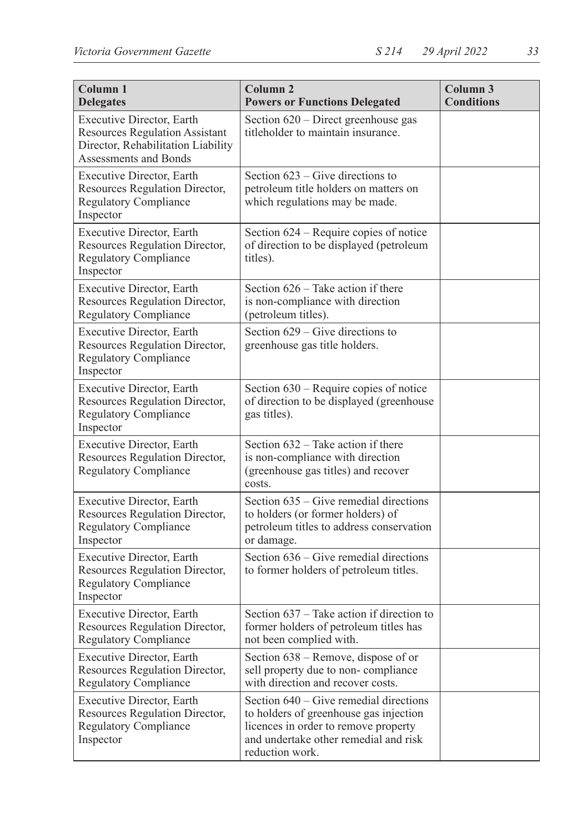| Column <sub>1</sub><br><b>Delegates</b>                                                                                           | Column <sub>2</sub><br><b>Powers or Functions Delegated</b>                                                                                                                            | Column 3<br><b>Conditions</b> |
|-----------------------------------------------------------------------------------------------------------------------------------|----------------------------------------------------------------------------------------------------------------------------------------------------------------------------------------|-------------------------------|
| Executive Director, Earth<br><b>Resources Regulation Assistant</b><br>Director, Rehabilitation Liability<br>Assessments and Bonds | Section 620 – Direct greenhouse gas<br>titleholder to maintain insurance.                                                                                                              |                               |
| Executive Director, Earth<br>Resources Regulation Director,<br><b>Regulatory Compliance</b><br>Inspector                          | Section $623$ – Give directions to<br>petroleum title holders on matters on<br>which regulations may be made.                                                                          |                               |
| Executive Director, Earth<br>Resources Regulation Director,<br><b>Regulatory Compliance</b><br>Inspector                          | Section 624 – Require copies of notice<br>of direction to be displayed (petroleum<br>titles).                                                                                          |                               |
| Executive Director, Earth<br>Resources Regulation Director,<br><b>Regulatory Compliance</b>                                       | Section $626$ – Take action if there<br>is non-compliance with direction<br>(petroleum titles).                                                                                        |                               |
| Executive Director, Earth<br>Resources Regulation Director,<br><b>Regulatory Compliance</b><br>Inspector                          | Section $629$ – Give directions to<br>greenhouse gas title holders.                                                                                                                    |                               |
| <b>Executive Director</b> , Earth<br>Resources Regulation Director,<br>Regulatory Compliance<br>Inspector                         | Section 630 – Require copies of notice<br>of direction to be displayed (greenhouse<br>gas titles).                                                                                     |                               |
| Executive Director, Earth<br>Resources Regulation Director,<br><b>Regulatory Compliance</b>                                       | Section $632$ – Take action if there<br>is non-compliance with direction<br>(greenhouse gas titles) and recover<br>costs.                                                              |                               |
| Executive Director, Earth<br>Resources Regulation Director,<br><b>Regulatory Compliance</b><br>Inspector                          | Section $635 -$ Give remedial directions<br>to holders (or former holders) of<br>petroleum titles to address conservation<br>or damage.                                                |                               |
| Executive Director, Earth<br>Resources Regulation Director,<br><b>Regulatory Compliance</b><br>Inspector                          | Section $636 - Give$ remedial directions<br>to former holders of petroleum titles.                                                                                                     |                               |
| Executive Director, Earth<br>Resources Regulation Director,<br><b>Regulatory Compliance</b>                                       | Section $637$ – Take action if direction to<br>former holders of petroleum titles has<br>not been complied with.                                                                       |                               |
| Executive Director, Earth<br>Resources Regulation Director,<br>Regulatory Compliance                                              | Section $638$ – Remove, dispose of or<br>sell property due to non-compliance<br>with direction and recover costs.                                                                      |                               |
| Executive Director, Earth<br>Resources Regulation Director,<br><b>Regulatory Compliance</b><br>Inspector                          | Section $640 - Give$ remedial directions<br>to holders of greenhouse gas injection<br>licences in order to remove property<br>and undertake other remedial and risk<br>reduction work. |                               |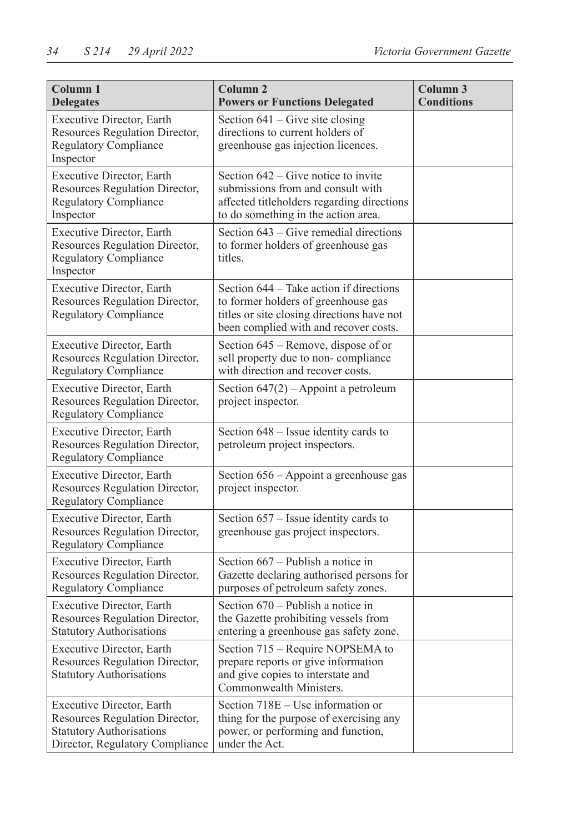| Column <sub>1</sub><br><b>Delegates</b>                                                                                           | <b>Column 2</b><br><b>Powers or Functions Delegated</b>                                                                                                               | Column 3<br><b>Conditions</b> |
|-----------------------------------------------------------------------------------------------------------------------------------|-----------------------------------------------------------------------------------------------------------------------------------------------------------------------|-------------------------------|
| Executive Director, Earth<br>Resources Regulation Director,<br><b>Regulatory Compliance</b><br>Inspector                          | Section $641$ – Give site closing<br>directions to current holders of<br>greenhouse gas injection licences.                                                           |                               |
| Executive Director, Earth<br>Resources Regulation Director,<br><b>Regulatory Compliance</b><br>Inspector                          | Section $642$ – Give notice to invite<br>submissions from and consult with<br>affected titleholders regarding directions<br>to do something in the action area.       |                               |
| Executive Director, Earth<br>Resources Regulation Director,<br>Regulatory Compliance<br>Inspector                                 | Section $643$ – Give remedial directions<br>to former holders of greenhouse gas<br>titles.                                                                            |                               |
| Executive Director, Earth<br>Resources Regulation Director,<br><b>Regulatory Compliance</b>                                       | Section 644 – Take action if directions<br>to former holders of greenhouse gas<br>titles or site closing directions have not<br>been complied with and recover costs. |                               |
| Executive Director, Earth<br>Resources Regulation Director,<br><b>Regulatory Compliance</b>                                       | Section 645 – Remove, dispose of or<br>sell property due to non-compliance<br>with direction and recover costs.                                                       |                               |
| Executive Director, Earth<br>Resources Regulation Director,<br><b>Regulatory Compliance</b>                                       | Section $647(2)$ – Appoint a petroleum<br>project inspector.                                                                                                          |                               |
| <b>Executive Director</b> , Earth<br>Resources Regulation Director,<br><b>Regulatory Compliance</b>                               | Section $648$ – Issue identity cards to<br>petroleum project inspectors.                                                                                              |                               |
| <b>Executive Director</b> , Earth<br>Resources Regulation Director,<br><b>Regulatory Compliance</b>                               | Section 656 – Appoint a greenhouse gas<br>project inspector.                                                                                                          |                               |
| Executive Director, Earth<br>Resources Regulation Director,<br><b>Regulatory Compliance</b>                                       | Section $657$ – Issue identity cards to<br>greenhouse gas project inspectors.                                                                                         |                               |
| <b>Executive Director</b> , Earth<br>Resources Regulation Director,<br><b>Regulatory Compliance</b>                               | Section $667$ – Publish a notice in<br>Gazette declaring authorised persons for<br>purposes of petroleum safety zones.                                                |                               |
| <b>Executive Director</b> , Earth<br>Resources Regulation Director,<br><b>Statutory Authorisations</b>                            | Section 670 - Publish a notice in<br>the Gazette prohibiting vessels from<br>entering a greenhouse gas safety zone.                                                   |                               |
| Executive Director, Earth<br>Resources Regulation Director,<br><b>Statutory Authorisations</b>                                    | Section 715 – Require NOPSEMA to<br>prepare reports or give information<br>and give copies to interstate and<br>Commonwealth Ministers.                               |                               |
| Executive Director, Earth<br>Resources Regulation Director,<br><b>Statutory Authorisations</b><br>Director, Regulatory Compliance | Section $718E - Use information$<br>thing for the purpose of exercising any<br>power, or performing and function,<br>under the Act.                                   |                               |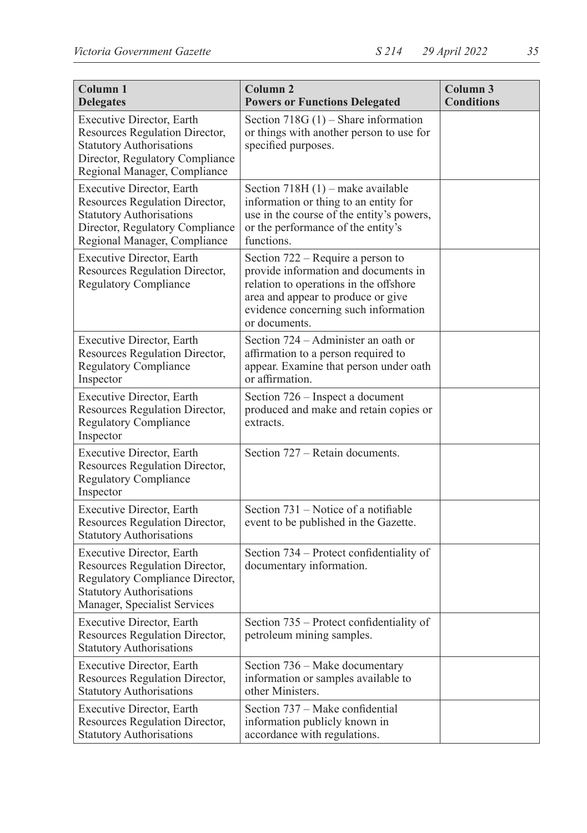| Column <sub>1</sub><br><b>Delegates</b>                                                                                                                           | Column <sub>2</sub><br><b>Powers or Functions Delegated</b>                                                                                                                                                          | Column 3<br><b>Conditions</b> |
|-------------------------------------------------------------------------------------------------------------------------------------------------------------------|----------------------------------------------------------------------------------------------------------------------------------------------------------------------------------------------------------------------|-------------------------------|
| Executive Director, Earth<br>Resources Regulation Director,<br><b>Statutory Authorisations</b><br>Director, Regulatory Compliance<br>Regional Manager, Compliance | Section $718G(1)$ – Share information<br>or things with another person to use for<br>specified purposes.                                                                                                             |                               |
| Executive Director, Earth<br>Resources Regulation Director,<br><b>Statutory Authorisations</b><br>Director, Regulatory Compliance<br>Regional Manager, Compliance | Section $718H(1)$ – make available<br>information or thing to an entity for<br>use in the course of the entity's powers,<br>or the performance of the entity's<br>functions.                                         |                               |
| Executive Director, Earth<br>Resources Regulation Director,<br><b>Regulatory Compliance</b>                                                                       | Section $722$ – Require a person to<br>provide information and documents in<br>relation to operations in the offshore<br>area and appear to produce or give<br>evidence concerning such information<br>or documents. |                               |
| Executive Director, Earth<br>Resources Regulation Director,<br><b>Regulatory Compliance</b><br>Inspector                                                          | Section 724 – Administer an oath or<br>affirmation to a person required to<br>appear. Examine that person under oath<br>or affirmation.                                                                              |                               |
| Executive Director, Earth<br>Resources Regulation Director,<br><b>Regulatory Compliance</b><br>Inspector                                                          | Section 726 - Inspect a document<br>produced and make and retain copies or<br>extracts.                                                                                                                              |                               |
| Executive Director, Earth<br>Resources Regulation Director,<br>Regulatory Compliance<br>Inspector                                                                 | Section 727 – Retain documents.                                                                                                                                                                                      |                               |
| Executive Director, Earth<br>Resources Regulation Director,<br><b>Statutory Authorisations</b>                                                                    | Section 731 – Notice of a notifiable<br>event to be published in the Gazette.                                                                                                                                        |                               |
| Executive Director, Earth<br>Resources Regulation Director,<br>Regulatory Compliance Director,<br><b>Statutory Authorisations</b><br>Manager, Specialist Services | Section 734 – Protect confidentiality of<br>documentary information.                                                                                                                                                 |                               |
| <b>Executive Director, Earth</b><br>Resources Regulation Director,<br><b>Statutory Authorisations</b>                                                             | Section 735 – Protect confidentiality of<br>petroleum mining samples.                                                                                                                                                |                               |
| Executive Director, Earth<br>Resources Regulation Director,<br><b>Statutory Authorisations</b>                                                                    | Section 736 – Make documentary<br>information or samples available to<br>other Ministers.                                                                                                                            |                               |
| Executive Director, Earth<br>Resources Regulation Director,<br><b>Statutory Authorisations</b>                                                                    | Section 737 - Make confidential<br>information publicly known in<br>accordance with regulations.                                                                                                                     |                               |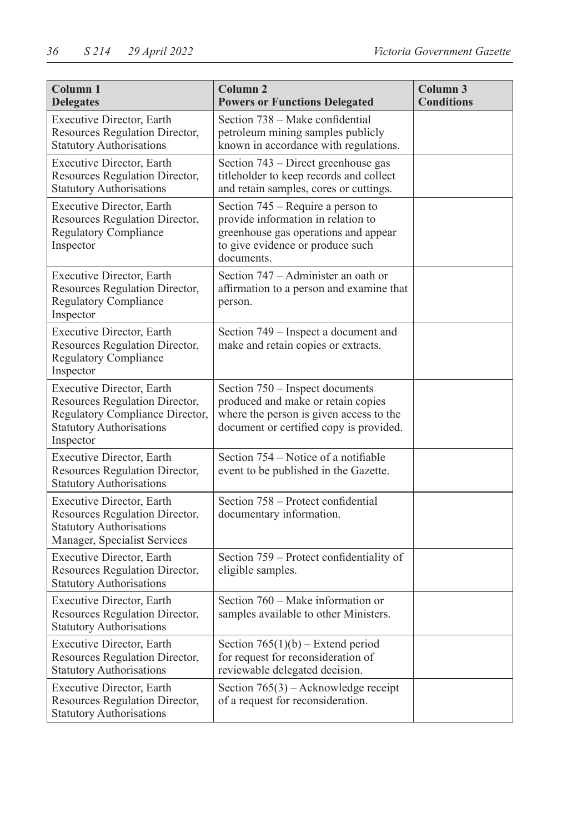| Column <sub>1</sub><br><b>Delegates</b>                                                                                                        | Column <sub>2</sub><br><b>Powers or Functions Delegated</b>                                                                                                         | Column 3<br><b>Conditions</b> |
|------------------------------------------------------------------------------------------------------------------------------------------------|---------------------------------------------------------------------------------------------------------------------------------------------------------------------|-------------------------------|
| Executive Director, Earth<br>Resources Regulation Director,<br><b>Statutory Authorisations</b>                                                 | Section 738 – Make confidential<br>petroleum mining samples publicly<br>known in accordance with regulations.                                                       |                               |
| Executive Director, Earth<br>Resources Regulation Director,<br><b>Statutory Authorisations</b>                                                 | Section 743 – Direct greenhouse gas<br>titleholder to keep records and collect<br>and retain samples, cores or cuttings.                                            |                               |
| Executive Director, Earth<br>Resources Regulation Director,<br><b>Regulatory Compliance</b><br>Inspector                                       | Section $745$ – Require a person to<br>provide information in relation to<br>greenhouse gas operations and appear<br>to give evidence or produce such<br>documents. |                               |
| Executive Director, Earth<br>Resources Regulation Director,<br><b>Regulatory Compliance</b><br>Inspector                                       | Section 747 – Administer an oath or<br>affirmation to a person and examine that<br>person.                                                                          |                               |
| Executive Director, Earth<br>Resources Regulation Director,<br>Regulatory Compliance<br>Inspector                                              | Section 749 - Inspect a document and<br>make and retain copies or extracts.                                                                                         |                               |
| Executive Director, Earth<br>Resources Regulation Director,<br>Regulatory Compliance Director,<br><b>Statutory Authorisations</b><br>Inspector | Section 750 - Inspect documents<br>produced and make or retain copies<br>where the person is given access to the<br>document or certified copy is provided.         |                               |
| Executive Director, Earth<br>Resources Regulation Director,<br><b>Statutory Authorisations</b>                                                 | Section 754 – Notice of a notifiable<br>event to be published in the Gazette.                                                                                       |                               |
| Executive Director, Earth<br>Resources Regulation Director,<br><b>Statutory Authorisations</b><br>Manager, Specialist Services                 | Section 758 – Protect confidential<br>documentary information.                                                                                                      |                               |
| Executive Director, Earth<br>Resources Regulation Director,<br><b>Statutory Authorisations</b>                                                 | Section 759 – Protect confidentiality of<br>eligible samples.                                                                                                       |                               |
| Executive Director, Earth<br>Resources Regulation Director,<br><b>Statutory Authorisations</b>                                                 | Section 760 - Make information or<br>samples available to other Ministers.                                                                                          |                               |
| Executive Director, Earth<br>Resources Regulation Director,<br><b>Statutory Authorisations</b>                                                 | Section $765(1)(b)$ – Extend period<br>for request for reconsideration of<br>reviewable delegated decision.                                                         |                               |
| Executive Director, Earth<br>Resources Regulation Director,<br><b>Statutory Authorisations</b>                                                 | Section $765(3)$ – Acknowledge receipt<br>of a request for reconsideration.                                                                                         |                               |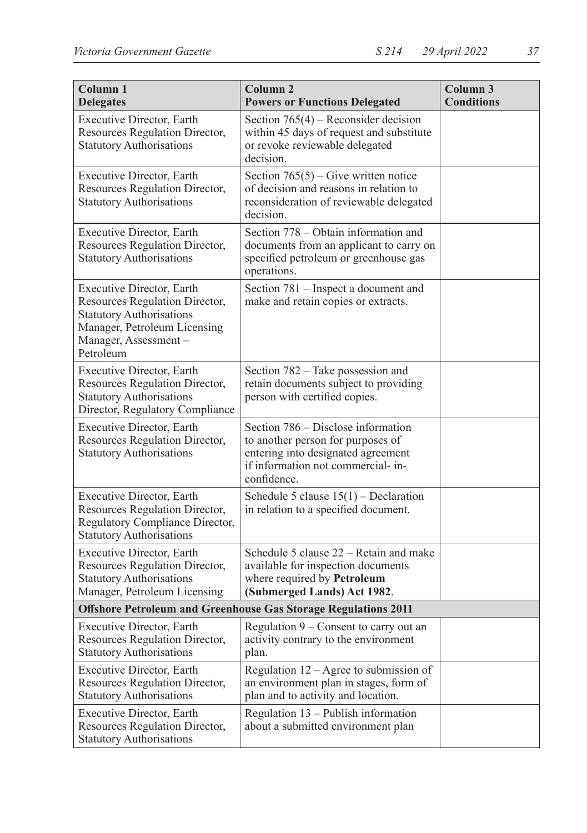| Column <sub>1</sub><br><b>Delegates</b>                                                                                                                             | Column <sub>2</sub><br><b>Powers or Functions Delegated</b>                                                                                                        | Column 3<br><b>Conditions</b> |
|---------------------------------------------------------------------------------------------------------------------------------------------------------------------|--------------------------------------------------------------------------------------------------------------------------------------------------------------------|-------------------------------|
| Executive Director, Earth<br>Resources Regulation Director,<br><b>Statutory Authorisations</b>                                                                      | Section $765(4)$ – Reconsider decision<br>within 45 days of request and substitute<br>or revoke reviewable delegated<br>decision.                                  |                               |
| Executive Director, Earth<br>Resources Regulation Director,<br><b>Statutory Authorisations</b>                                                                      | Section $765(5)$ – Give written notice<br>of decision and reasons in relation to<br>reconsideration of reviewable delegated<br>decision.                           |                               |
| Executive Director, Earth<br>Resources Regulation Director,<br><b>Statutory Authorisations</b>                                                                      | Section 778 – Obtain information and<br>documents from an applicant to carry on<br>specified petroleum or greenhouse gas<br>operations.                            |                               |
| Executive Director, Earth<br>Resources Regulation Director,<br><b>Statutory Authorisations</b><br>Manager, Petroleum Licensing<br>Manager, Assessment-<br>Petroleum | Section 781 - Inspect a document and<br>make and retain copies or extracts.                                                                                        |                               |
| Executive Director, Earth<br>Resources Regulation Director,<br><b>Statutory Authorisations</b><br>Director, Regulatory Compliance                                   | Section 782 – Take possession and<br>retain documents subject to providing<br>person with certified copies.                                                        |                               |
| Executive Director, Earth<br>Resources Regulation Director,<br><b>Statutory Authorisations</b>                                                                      | Section 786 – Disclose information<br>to another person for purposes of<br>entering into designated agreement<br>if information not commercial- in-<br>confidence. |                               |
| Executive Director, Earth<br>Resources Regulation Director,<br>Regulatory Compliance Director,<br><b>Statutory Authorisations</b>                                   | Schedule 5 clause $15(1)$ – Declaration<br>in relation to a specified document.                                                                                    |                               |
| Executive Director, Earth<br>Resources Regulation Director,<br><b>Statutory Authorisations</b><br>Manager, Petroleum Licensing                                      | Schedule 5 clause 22 - Retain and make<br>available for inspection documents<br>where required by Petroleum<br>(Submerged Lands) Act 1982.                         |                               |
| <b>Offshore Petroleum and Greenhouse Gas Storage Regulations 2011</b>                                                                                               |                                                                                                                                                                    |                               |
| Executive Director, Earth<br>Resources Regulation Director,<br><b>Statutory Authorisations</b>                                                                      | Regulation $9$ – Consent to carry out an<br>activity contrary to the environment<br>plan.                                                                          |                               |
| Executive Director, Earth<br>Resources Regulation Director,<br><b>Statutory Authorisations</b>                                                                      | Regulation $12 - \text{Agree}$ to submission of<br>an environment plan in stages, form of<br>plan and to activity and location.                                    |                               |
| Executive Director, Earth<br>Resources Regulation Director,<br><b>Statutory Authorisations</b>                                                                      | Regulation $13$ – Publish information<br>about a submitted environment plan                                                                                        |                               |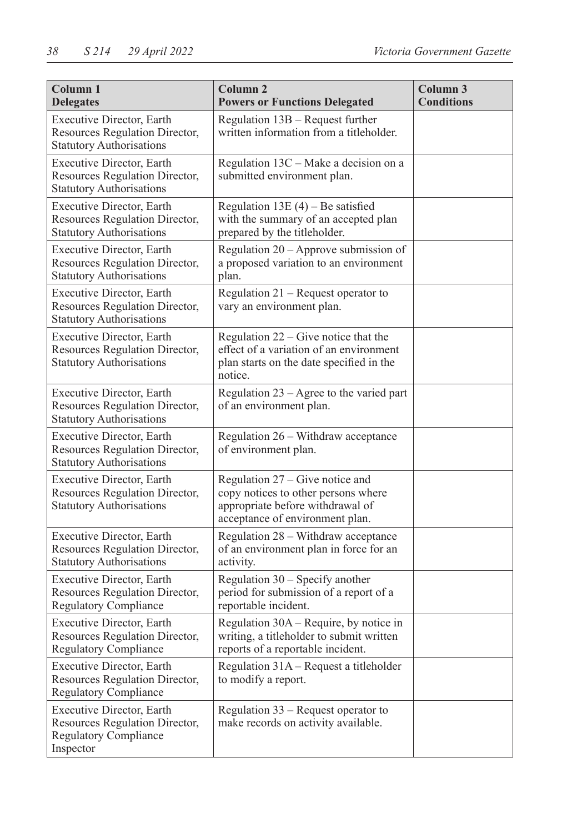| Column 1<br><b>Delegates</b>                                                                           | Column <sub>2</sub><br><b>Powers or Functions Delegated</b>                                                                                   | Column 3<br><b>Conditions</b> |
|--------------------------------------------------------------------------------------------------------|-----------------------------------------------------------------------------------------------------------------------------------------------|-------------------------------|
| <b>Executive Director</b> , Earth<br>Resources Regulation Director,<br><b>Statutory Authorisations</b> | Regulation $13B -$ Request further<br>written information from a titleholder.                                                                 |                               |
| Executive Director, Earth<br>Resources Regulation Director,<br><b>Statutory Authorisations</b>         | Regulation 13C – Make a decision on a<br>submitted environment plan.                                                                          |                               |
| <b>Executive Director</b> , Earth<br>Resources Regulation Director,<br><b>Statutory Authorisations</b> | Regulation 13E $(4)$ – Be satisfied<br>with the summary of an accepted plan<br>prepared by the titleholder.                                   |                               |
| Executive Director, Earth<br>Resources Regulation Director,<br><b>Statutory Authorisations</b>         | Regulation $20 -$ Approve submission of<br>a proposed variation to an environment<br>plan.                                                    |                               |
| Executive Director, Earth<br>Resources Regulation Director,<br><b>Statutory Authorisations</b>         | Regulation $21$ – Request operator to<br>vary an environment plan.                                                                            |                               |
| <b>Executive Director</b> , Earth<br>Resources Regulation Director,<br><b>Statutory Authorisations</b> | Regulation $22 - Give$ notice that the<br>effect of a variation of an environment<br>plan starts on the date specified in the<br>notice.      |                               |
| Executive Director, Earth<br>Resources Regulation Director,<br><b>Statutory Authorisations</b>         | Regulation $23 -$ Agree to the varied part<br>of an environment plan.                                                                         |                               |
| <b>Executive Director</b> , Earth<br>Resources Regulation Director,<br><b>Statutory Authorisations</b> | Regulation 26 - Withdraw acceptance<br>of environment plan.                                                                                   |                               |
| Executive Director, Earth<br>Resources Regulation Director,<br><b>Statutory Authorisations</b>         | Regulation 27 - Give notice and<br>copy notices to other persons where<br>appropriate before withdrawal of<br>acceptance of environment plan. |                               |
| Executive Director, Earth<br>Resources Regulation Director,<br><b>Statutory Authorisations</b>         | Regulation 28 – Withdraw acceptance<br>of an environment plan in force for an<br>activity.                                                    |                               |
| Executive Director, Earth<br>Resources Regulation Director,<br>Regulatory Compliance                   | Regulation $30$ – Specify another<br>period for submission of a report of a<br>reportable incident.                                           |                               |
| Executive Director, Earth<br>Resources Regulation Director,<br><b>Regulatory Compliance</b>            | Regulation $30A$ – Require, by notice in<br>writing, a titleholder to submit written<br>reports of a reportable incident.                     |                               |
| Executive Director, Earth<br>Resources Regulation Director,<br><b>Regulatory Compliance</b>            | Regulation 31A – Request a titleholder<br>to modify a report.                                                                                 |                               |
| Executive Director, Earth<br>Resources Regulation Director,<br>Regulatory Compliance<br>Inspector      | Regulation $33$ – Request operator to<br>make records on activity available.                                                                  |                               |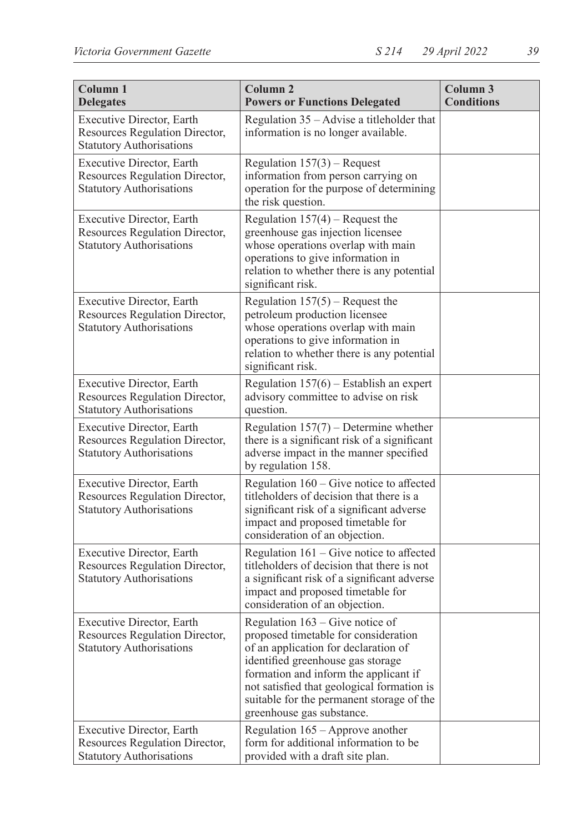| Column <sub>1</sub><br><b>Delegates</b>                                                               | Column <sub>2</sub><br><b>Powers or Functions Delegated</b>                                                                                                                                                                                                                                                             | Column 3<br><b>Conditions</b> |
|-------------------------------------------------------------------------------------------------------|-------------------------------------------------------------------------------------------------------------------------------------------------------------------------------------------------------------------------------------------------------------------------------------------------------------------------|-------------------------------|
| Executive Director, Earth<br>Resources Regulation Director,<br><b>Statutory Authorisations</b>        | Regulation $35 -$ Advise a titleholder that<br>information is no longer available.                                                                                                                                                                                                                                      |                               |
| <b>Executive Director, Earth</b><br>Resources Regulation Director,<br><b>Statutory Authorisations</b> | Regulation $157(3)$ – Request<br>information from person carrying on<br>operation for the purpose of determining<br>the risk question.                                                                                                                                                                                  |                               |
| Executive Director, Earth<br>Resources Regulation Director,<br><b>Statutory Authorisations</b>        | Regulation $157(4)$ – Request the<br>greenhouse gas injection licensee<br>whose operations overlap with main<br>operations to give information in<br>relation to whether there is any potential<br>significant risk.                                                                                                    |                               |
| Executive Director, Earth<br>Resources Regulation Director,<br><b>Statutory Authorisations</b>        | Regulation $157(5)$ – Request the<br>petroleum production licensee<br>whose operations overlap with main<br>operations to give information in<br>relation to whether there is any potential<br>significant risk.                                                                                                        |                               |
| Executive Director, Earth<br>Resources Regulation Director,<br><b>Statutory Authorisations</b>        | Regulation $157(6)$ – Establish an expert<br>advisory committee to advise on risk<br>question.                                                                                                                                                                                                                          |                               |
| Executive Director, Earth<br>Resources Regulation Director,<br><b>Statutory Authorisations</b>        | Regulation $157(7)$ – Determine whether<br>there is a significant risk of a significant<br>adverse impact in the manner specified<br>by regulation 158.                                                                                                                                                                 |                               |
| Executive Director, Earth<br>Resources Regulation Director,<br><b>Statutory Authorisations</b>        | Regulation $160$ – Give notice to affected<br>titleholders of decision that there is a<br>significant risk of a significant adverse<br>impact and proposed timetable for<br>consideration of an objection.                                                                                                              |                               |
| Executive Director, Earth<br>Resources Regulation Director,<br><b>Statutory Authorisations</b>        | Regulation $161$ – Give notice to affected<br>titleholders of decision that there is not<br>a significant risk of a significant adverse<br>impact and proposed timetable for<br>consideration of an objection.                                                                                                          |                               |
| Executive Director, Earth<br>Resources Regulation Director,<br><b>Statutory Authorisations</b>        | Regulation $163 - Give$ notice of<br>proposed timetable for consideration<br>of an application for declaration of<br>identified greenhouse gas storage<br>formation and inform the applicant if<br>not satisfied that geological formation is<br>suitable for the permanent storage of the<br>greenhouse gas substance. |                               |
| Executive Director, Earth<br>Resources Regulation Director,<br><b>Statutory Authorisations</b>        | Regulation 165 - Approve another<br>form for additional information to be<br>provided with a draft site plan.                                                                                                                                                                                                           |                               |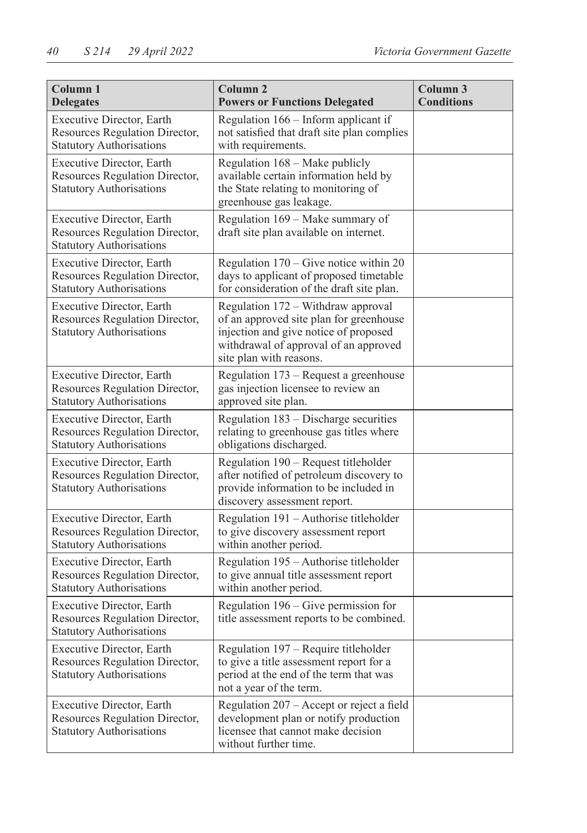| <b>Column 1</b><br><b>Delegates</b>                                                            | Column <sub>2</sub><br><b>Powers or Functions Delegated</b>                                                                                                                                | Column 3<br><b>Conditions</b> |
|------------------------------------------------------------------------------------------------|--------------------------------------------------------------------------------------------------------------------------------------------------------------------------------------------|-------------------------------|
| Executive Director, Earth<br>Resources Regulation Director,<br><b>Statutory Authorisations</b> | Regulation 166 – Inform applicant if<br>not satisfied that draft site plan complies<br>with requirements.                                                                                  |                               |
| Executive Director, Earth<br>Resources Regulation Director,<br><b>Statutory Authorisations</b> | Regulation 168 – Make publicly<br>available certain information held by<br>the State relating to monitoring of<br>greenhouse gas leakage.                                                  |                               |
| Executive Director, Earth<br>Resources Regulation Director,<br><b>Statutory Authorisations</b> | Regulation 169 – Make summary of<br>draft site plan available on internet.                                                                                                                 |                               |
| Executive Director, Earth<br>Resources Regulation Director,<br><b>Statutory Authorisations</b> | Regulation $170 - Give$ notice within 20<br>days to applicant of proposed timetable<br>for consideration of the draft site plan.                                                           |                               |
| Executive Director, Earth<br>Resources Regulation Director,<br><b>Statutory Authorisations</b> | Regulation 172 - Withdraw approval<br>of an approved site plan for greenhouse<br>injection and give notice of proposed<br>withdrawal of approval of an approved<br>site plan with reasons. |                               |
| Executive Director, Earth<br>Resources Regulation Director,<br><b>Statutory Authorisations</b> | Regulation 173 – Request a greenhouse<br>gas injection licensee to review an<br>approved site plan.                                                                                        |                               |
| Executive Director, Earth<br>Resources Regulation Director,<br><b>Statutory Authorisations</b> | Regulation 183 – Discharge securities<br>relating to greenhouse gas titles where<br>obligations discharged.                                                                                |                               |
| Executive Director, Earth<br>Resources Regulation Director,<br><b>Statutory Authorisations</b> | Regulation 190 - Request titleholder<br>after notified of petroleum discovery to<br>provide information to be included in<br>discovery assessment report.                                  |                               |
| Executive Director, Earth<br>Resources Regulation Director,<br><b>Statutory Authorisations</b> | Regulation 191 - Authorise titleholder<br>to give discovery assessment report<br>within another period.                                                                                    |                               |
| Executive Director, Earth<br>Resources Regulation Director,<br><b>Statutory Authorisations</b> | Regulation 195 - Authorise titleholder<br>to give annual title assessment report<br>within another period.                                                                                 |                               |
| Executive Director, Earth<br>Resources Regulation Director,<br><b>Statutory Authorisations</b> | Regulation 196 - Give permission for<br>title assessment reports to be combined.                                                                                                           |                               |
| Executive Director, Earth<br>Resources Regulation Director,<br><b>Statutory Authorisations</b> | Regulation 197 - Require titleholder<br>to give a title assessment report for a<br>period at the end of the term that was<br>not a year of the term.                                       |                               |
| Executive Director, Earth<br>Resources Regulation Director,<br><b>Statutory Authorisations</b> | Regulation 207 – Accept or reject a field<br>development plan or notify production<br>licensee that cannot make decision<br>without further time.                                          |                               |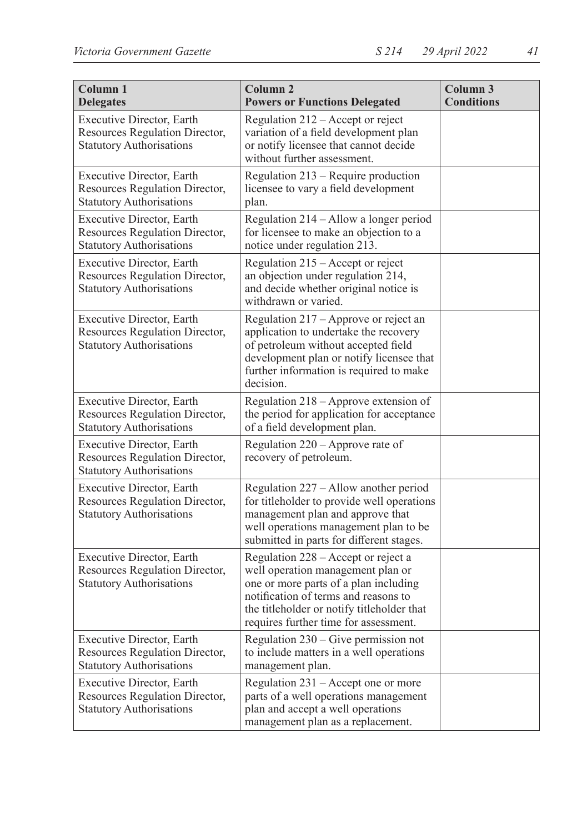| Column <sub>1</sub><br><b>Delegates</b>                                                        | Column <sub>2</sub><br><b>Powers or Functions Delegated</b>                                                                                                                                                                                      | Column 3<br><b>Conditions</b> |
|------------------------------------------------------------------------------------------------|--------------------------------------------------------------------------------------------------------------------------------------------------------------------------------------------------------------------------------------------------|-------------------------------|
| Executive Director, Earth<br>Resources Regulation Director,<br><b>Statutory Authorisations</b> | Regulation $212 -$ Accept or reject<br>variation of a field development plan<br>or notify licensee that cannot decide<br>without further assessment.                                                                                             |                               |
| Executive Director, Earth<br>Resources Regulation Director,<br><b>Statutory Authorisations</b> | Regulation 213 – Require production<br>licensee to vary a field development<br>plan.                                                                                                                                                             |                               |
| Executive Director, Earth<br>Resources Regulation Director,<br><b>Statutory Authorisations</b> | Regulation 214 – Allow a longer period<br>for licensee to make an objection to a<br>notice under regulation 213.                                                                                                                                 |                               |
| Executive Director, Earth<br>Resources Regulation Director,<br><b>Statutory Authorisations</b> | Regulation $215 -$ Accept or reject<br>an objection under regulation 214,<br>and decide whether original notice is<br>withdrawn or varied.                                                                                                       |                               |
| Executive Director, Earth<br>Resources Regulation Director,<br><b>Statutory Authorisations</b> | Regulation $217 -$ Approve or reject an<br>application to undertake the recovery<br>of petroleum without accepted field<br>development plan or notify licensee that<br>further information is required to make<br>decision.                      |                               |
| Executive Director, Earth<br>Resources Regulation Director,<br><b>Statutory Authorisations</b> | Regulation 218 - Approve extension of<br>the period for application for acceptance<br>of a field development plan.                                                                                                                               |                               |
| Executive Director, Earth<br>Resources Regulation Director,<br><b>Statutory Authorisations</b> | Regulation $220 -$ Approve rate of<br>recovery of petroleum.                                                                                                                                                                                     |                               |
| Executive Director, Earth<br>Resources Regulation Director,<br><b>Statutory Authorisations</b> | Regulation 227 - Allow another period<br>for titleholder to provide well operations<br>management plan and approve that<br>well operations management plan to be<br>submitted in parts for different stages.                                     |                               |
| Executive Director, Earth<br>Resources Regulation Director,<br><b>Statutory Authorisations</b> | Regulation 228 – Accept or reject a<br>well operation management plan or<br>one or more parts of a plan including<br>notification of terms and reasons to<br>the titleholder or notify titleholder that<br>requires further time for assessment. |                               |
| Executive Director, Earth<br>Resources Regulation Director,<br><b>Statutory Authorisations</b> | Regulation $230 - Give$ permission not<br>to include matters in a well operations<br>management plan.                                                                                                                                            |                               |
| Executive Director, Earth<br>Resources Regulation Director,<br><b>Statutory Authorisations</b> | Regulation 231 – Accept one or more<br>parts of a well operations management<br>plan and accept a well operations<br>management plan as a replacement.                                                                                           |                               |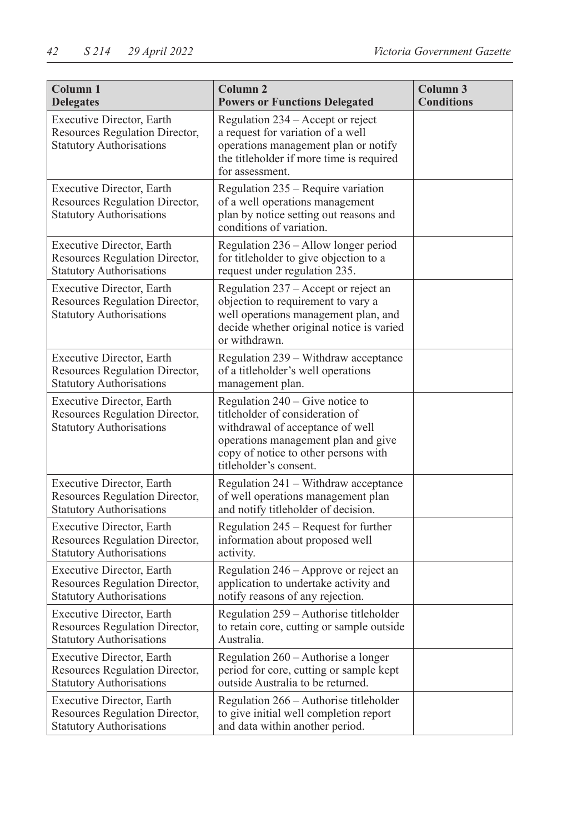| Column <sub>1</sub><br><b>Delegates</b>                                                        | Column <sub>2</sub><br><b>Powers or Functions Delegated</b>                                                                                                                                                     | Column 3<br><b>Conditions</b> |
|------------------------------------------------------------------------------------------------|-----------------------------------------------------------------------------------------------------------------------------------------------------------------------------------------------------------------|-------------------------------|
| Executive Director, Earth<br>Resources Regulation Director,<br><b>Statutory Authorisations</b> | Regulation 234 – Accept or reject<br>a request for variation of a well<br>operations management plan or notify<br>the titleholder if more time is required<br>for assessment.                                   |                               |
| Executive Director, Earth<br>Resources Regulation Director,<br><b>Statutory Authorisations</b> | Regulation 235 - Require variation<br>of a well operations management<br>plan by notice setting out reasons and<br>conditions of variation.                                                                     |                               |
| Executive Director, Earth<br>Resources Regulation Director,<br><b>Statutory Authorisations</b> | Regulation 236 - Allow longer period<br>for titleholder to give objection to a<br>request under regulation 235.                                                                                                 |                               |
| Executive Director, Earth<br>Resources Regulation Director,<br><b>Statutory Authorisations</b> | Regulation 237 – Accept or reject an<br>objection to requirement to vary a<br>well operations management plan, and<br>decide whether original notice is varied<br>or withdrawn.                                 |                               |
| Executive Director, Earth<br>Resources Regulation Director,<br><b>Statutory Authorisations</b> | Regulation 239 - Withdraw acceptance<br>of a titleholder's well operations<br>management plan.                                                                                                                  |                               |
| Executive Director, Earth<br>Resources Regulation Director,<br><b>Statutory Authorisations</b> | Regulation 240 - Give notice to<br>titleholder of consideration of<br>withdrawal of acceptance of well<br>operations management plan and give<br>copy of notice to other persons with<br>titleholder's consent. |                               |
| Executive Director, Earth<br>Resources Regulation Director,<br><b>Statutory Authorisations</b> | Regulation 241 – Withdraw acceptance<br>of well operations management plan<br>and notify titleholder of decision.                                                                                               |                               |
| Executive Director, Earth<br>Resources Regulation Director,<br><b>Statutory Authorisations</b> | Regulation 245 – Request for further<br>information about proposed well<br>activity.                                                                                                                            |                               |
| Executive Director, Earth<br>Resources Regulation Director,<br><b>Statutory Authorisations</b> | Regulation $246 -$ Approve or reject an<br>application to undertake activity and<br>notify reasons of any rejection.                                                                                            |                               |
| Executive Director, Earth<br>Resources Regulation Director,<br><b>Statutory Authorisations</b> | Regulation 259 - Authorise titleholder<br>to retain core, cutting or sample outside<br>Australia.                                                                                                               |                               |
| Executive Director, Earth<br>Resources Regulation Director,<br><b>Statutory Authorisations</b> | Regulation 260 - Authorise a longer<br>period for core, cutting or sample kept<br>outside Australia to be returned.                                                                                             |                               |
| Executive Director, Earth<br>Resources Regulation Director,<br><b>Statutory Authorisations</b> | Regulation $266$ – Authorise titleholder<br>to give initial well completion report<br>and data within another period.                                                                                           |                               |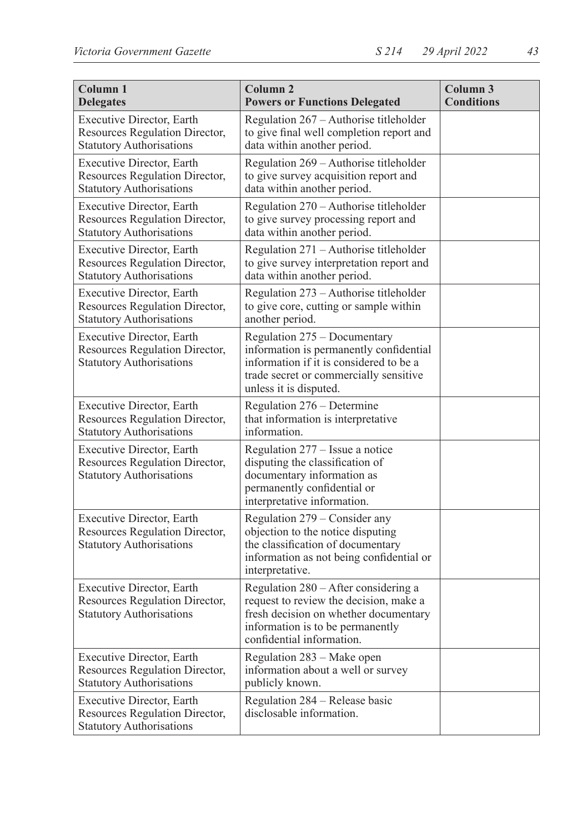| Column <sub>1</sub><br><b>Delegates</b>                                                                | <b>Column 2</b><br><b>Powers or Functions Delegated</b>                                                                                                                                  | Column 3<br><b>Conditions</b> |
|--------------------------------------------------------------------------------------------------------|------------------------------------------------------------------------------------------------------------------------------------------------------------------------------------------|-------------------------------|
| Executive Director, Earth<br>Resources Regulation Director,<br><b>Statutory Authorisations</b>         | Regulation 267 - Authorise titleholder<br>to give final well completion report and<br>data within another period.                                                                        |                               |
| Executive Director, Earth<br>Resources Regulation Director,<br><b>Statutory Authorisations</b>         | Regulation 269 - Authorise titleholder<br>to give survey acquisition report and<br>data within another period.                                                                           |                               |
| Executive Director, Earth<br>Resources Regulation Director,<br><b>Statutory Authorisations</b>         | Regulation 270 - Authorise titleholder<br>to give survey processing report and<br>data within another period.                                                                            |                               |
| Executive Director, Earth<br>Resources Regulation Director,<br><b>Statutory Authorisations</b>         | Regulation 271 - Authorise titleholder<br>to give survey interpretation report and<br>data within another period.                                                                        |                               |
| Executive Director, Earth<br>Resources Regulation Director,<br><b>Statutory Authorisations</b>         | Regulation 273 - Authorise titleholder<br>to give core, cutting or sample within<br>another period.                                                                                      |                               |
| Executive Director, Earth<br>Resources Regulation Director,<br><b>Statutory Authorisations</b>         | Regulation 275 - Documentary<br>information is permanently confidential<br>information if it is considered to be a<br>trade secret or commercially sensitive<br>unless it is disputed.   |                               |
| <b>Executive Director</b> , Earth<br>Resources Regulation Director,<br><b>Statutory Authorisations</b> | Regulation 276 - Determine<br>that information is interpretative<br>information.                                                                                                         |                               |
| Executive Director, Earth<br>Resources Regulation Director,<br><b>Statutory Authorisations</b>         | Regulation 277 - Issue a notice<br>disputing the classification of<br>documentary information as<br>permanently confidential or<br>interpretative information.                           |                               |
| Executive Director, Earth<br>Resources Regulation Director,<br><b>Statutory Authorisations</b>         | Regulation 279 – Consider any<br>objection to the notice disputing<br>the classification of documentary<br>information as not being confidential or<br>interpretative.                   |                               |
| <b>Executive Director</b> , Earth<br>Resources Regulation Director,<br><b>Statutory Authorisations</b> | Regulation 280 – After considering a<br>request to review the decision, make a<br>fresh decision on whether documentary<br>information is to be permanently<br>confidential information. |                               |
| Executive Director, Earth<br>Resources Regulation Director,<br><b>Statutory Authorisations</b>         | Regulation 283 – Make open<br>information about a well or survey<br>publicly known.                                                                                                      |                               |
| Executive Director, Earth<br>Resources Regulation Director,<br><b>Statutory Authorisations</b>         | Regulation 284 - Release basic<br>disclosable information.                                                                                                                               |                               |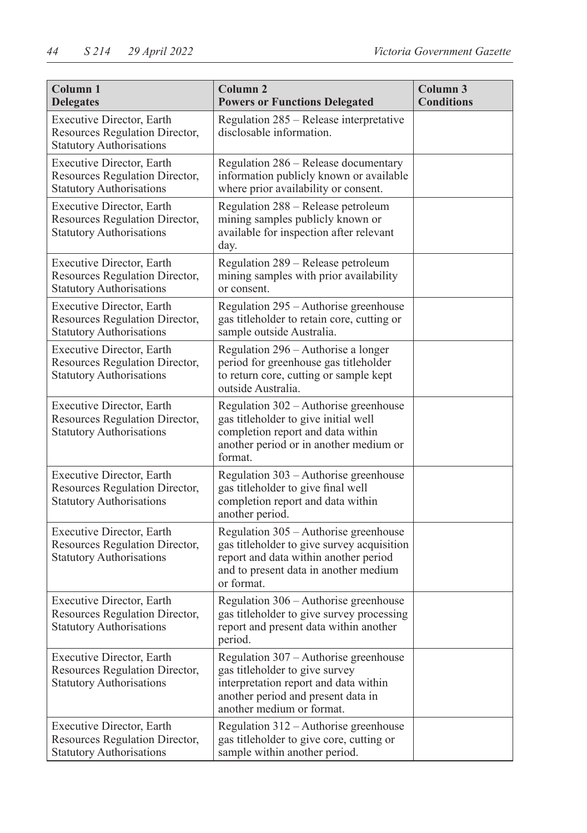| Column <sub>1</sub><br><b>Delegates</b>                                                        | Column <sub>2</sub><br><b>Powers or Functions Delegated</b>                                                                                                                         | Column 3<br><b>Conditions</b> |
|------------------------------------------------------------------------------------------------|-------------------------------------------------------------------------------------------------------------------------------------------------------------------------------------|-------------------------------|
| Executive Director, Earth<br>Resources Regulation Director,<br><b>Statutory Authorisations</b> | Regulation 285 - Release interpretative<br>disclosable information.                                                                                                                 |                               |
| Executive Director, Earth<br>Resources Regulation Director,<br><b>Statutory Authorisations</b> | Regulation 286 – Release documentary<br>information publicly known or available<br>where prior availability or consent.                                                             |                               |
| Executive Director, Earth<br>Resources Regulation Director,<br><b>Statutory Authorisations</b> | Regulation 288 – Release petroleum<br>mining samples publicly known or<br>available for inspection after relevant<br>day.                                                           |                               |
| Executive Director, Earth<br>Resources Regulation Director,<br><b>Statutory Authorisations</b> | Regulation 289 – Release petroleum<br>mining samples with prior availability<br>or consent.                                                                                         |                               |
| Executive Director, Earth<br>Resources Regulation Director,<br><b>Statutory Authorisations</b> | Regulation 295 - Authorise greenhouse<br>gas titleholder to retain core, cutting or<br>sample outside Australia.                                                                    |                               |
| Executive Director, Earth<br>Resources Regulation Director,<br><b>Statutory Authorisations</b> | Regulation 296 – Authorise a longer<br>period for greenhouse gas titleholder<br>to return core, cutting or sample kept<br>outside Australia.                                        |                               |
| Executive Director, Earth<br>Resources Regulation Director,<br><b>Statutory Authorisations</b> | Regulation 302 – Authorise greenhouse<br>gas titleholder to give initial well<br>completion report and data within<br>another period or in another medium or<br>format.             |                               |
| Executive Director, Earth<br>Resources Regulation Director,<br><b>Statutory Authorisations</b> | Regulation 303 - Authorise greenhouse<br>gas titleholder to give final well<br>completion report and data within<br>another period.                                                 |                               |
| Executive Director, Earth<br>Resources Regulation Director,<br><b>Statutory Authorisations</b> | Regulation 305 – Authorise greenhouse<br>gas titleholder to give survey acquisition<br>report and data within another period<br>and to present data in another medium<br>or format. |                               |
| Executive Director, Earth<br>Resources Regulation Director,<br><b>Statutory Authorisations</b> | Regulation 306 – Authorise greenhouse<br>gas titleholder to give survey processing<br>report and present data within another<br>period.                                             |                               |
| Executive Director, Earth<br>Resources Regulation Director,<br><b>Statutory Authorisations</b> | Regulation 307 – Authorise greenhouse<br>gas titleholder to give survey<br>interpretation report and data within<br>another period and present data in<br>another medium or format. |                               |
| Executive Director, Earth<br>Resources Regulation Director,<br><b>Statutory Authorisations</b> | Regulation 312 – Authorise greenhouse<br>gas titleholder to give core, cutting or<br>sample within another period.                                                                  |                               |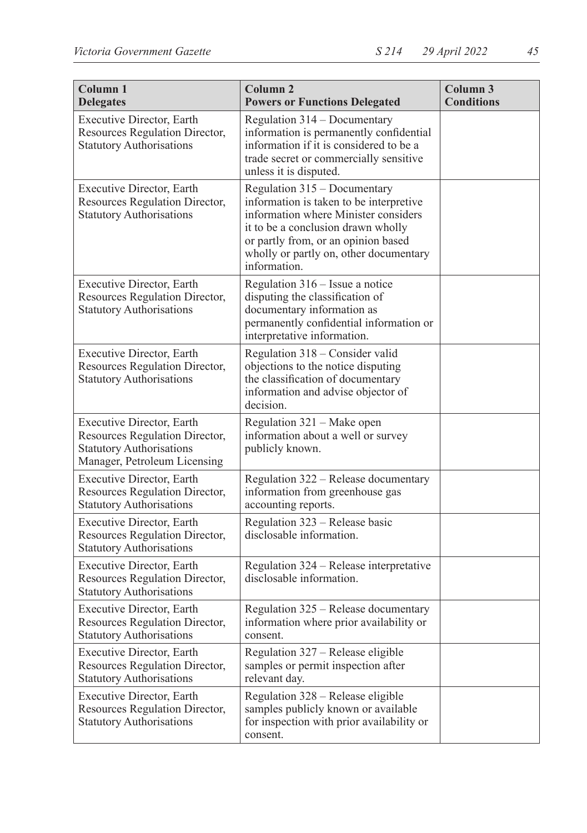| Column <sub>1</sub><br><b>Delegates</b>                                                                                        | Column <sub>2</sub><br><b>Powers or Functions Delegated</b>                                                                                                                                                                                            | Column 3<br><b>Conditions</b> |
|--------------------------------------------------------------------------------------------------------------------------------|--------------------------------------------------------------------------------------------------------------------------------------------------------------------------------------------------------------------------------------------------------|-------------------------------|
| Executive Director, Earth<br>Resources Regulation Director,<br><b>Statutory Authorisations</b>                                 | Regulation 314 – Documentary<br>information is permanently confidential<br>information if it is considered to be a<br>trade secret or commercially sensitive<br>unless it is disputed.                                                                 |                               |
| Executive Director, Earth<br>Resources Regulation Director,<br><b>Statutory Authorisations</b>                                 | Regulation 315 - Documentary<br>information is taken to be interpretive<br>information where Minister considers<br>it to be a conclusion drawn wholly<br>or partly from, or an opinion based<br>wholly or partly on, other documentary<br>information. |                               |
| Executive Director, Earth<br>Resources Regulation Director,<br><b>Statutory Authorisations</b>                                 | Regulation $316$ – Issue a notice<br>disputing the classification of<br>documentary information as<br>permanently confidential information or<br>interpretative information.                                                                           |                               |
| Executive Director, Earth<br>Resources Regulation Director,<br><b>Statutory Authorisations</b>                                 | Regulation 318 – Consider valid<br>objections to the notice disputing<br>the classification of documentary<br>information and advise objector of<br>decision.                                                                                          |                               |
| Executive Director, Earth<br>Resources Regulation Director,<br><b>Statutory Authorisations</b><br>Manager, Petroleum Licensing | Regulation 321 – Make open<br>information about a well or survey<br>publicly known.                                                                                                                                                                    |                               |
| Executive Director, Earth<br>Resources Regulation Director,<br><b>Statutory Authorisations</b>                                 | Regulation 322 – Release documentary<br>information from greenhouse gas<br>accounting reports.                                                                                                                                                         |                               |
| Executive Director, Earth<br>Resources Regulation Director,<br><b>Statutory Authorisations</b>                                 | Regulation 323 - Release basic<br>disclosable information.                                                                                                                                                                                             |                               |
| Executive Director, Earth<br>Resources Regulation Director,<br><b>Statutory Authorisations</b>                                 | Regulation 324 - Release interpretative<br>disclosable information.                                                                                                                                                                                    |                               |
| Executive Director, Earth<br>Resources Regulation Director,<br><b>Statutory Authorisations</b>                                 | Regulation 325 – Release documentary<br>information where prior availability or<br>consent.                                                                                                                                                            |                               |
| Executive Director, Earth<br>Resources Regulation Director,<br><b>Statutory Authorisations</b>                                 | Regulation 327 – Release eligible<br>samples or permit inspection after<br>relevant day.                                                                                                                                                               |                               |
| <b>Executive Director, Earth</b><br>Resources Regulation Director,<br><b>Statutory Authorisations</b>                          | Regulation 328 - Release eligible<br>samples publicly known or available<br>for inspection with prior availability or<br>consent.                                                                                                                      |                               |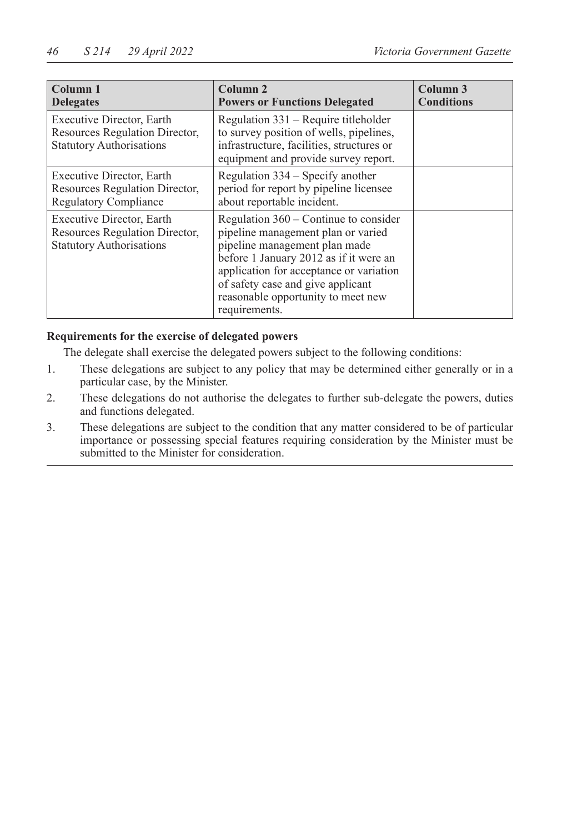| Column 1<br><b>Delegates</b>                                                                          | Column <sub>2</sub><br><b>Powers or Functions Delegated</b>                                                                                                                                                                                                                                     | Column 3<br><b>Conditions</b> |
|-------------------------------------------------------------------------------------------------------|-------------------------------------------------------------------------------------------------------------------------------------------------------------------------------------------------------------------------------------------------------------------------------------------------|-------------------------------|
| Executive Director, Earth<br>Resources Regulation Director,<br><b>Statutory Authorisations</b>        | Regulation 331 – Require titleholder<br>to survey position of wells, pipelines,<br>infrastructure, facilities, structures or<br>equipment and provide survey report.                                                                                                                            |                               |
| <b>Executive Director, Earth</b><br>Resources Regulation Director,<br><b>Regulatory Compliance</b>    | Regulation $334$ – Specify another<br>period for report by pipeline licensee<br>about reportable incident.                                                                                                                                                                                      |                               |
| <b>Executive Director, Earth</b><br>Resources Regulation Director,<br><b>Statutory Authorisations</b> | Regulation $360$ – Continue to consider<br>pipeline management plan or varied<br>pipeline management plan made<br>before 1 January 2012 as if it were an<br>application for acceptance or variation<br>of safety case and give applicant<br>reasonable opportunity to meet new<br>requirements. |                               |

## **Requirements for the exercise of delegated powers**

The delegate shall exercise the delegated powers subject to the following conditions:

- 1. These delegations are subject to any policy that may be determined either generally or in a particular case, by the Minister.
- 2. These delegations do not authorise the delegates to further sub-delegate the powers, duties and functions delegated.
- 3. These delegations are subject to the condition that any matter considered to be of particular importance or possessing special features requiring consideration by the Minister must be submitted to the Minister for consideration.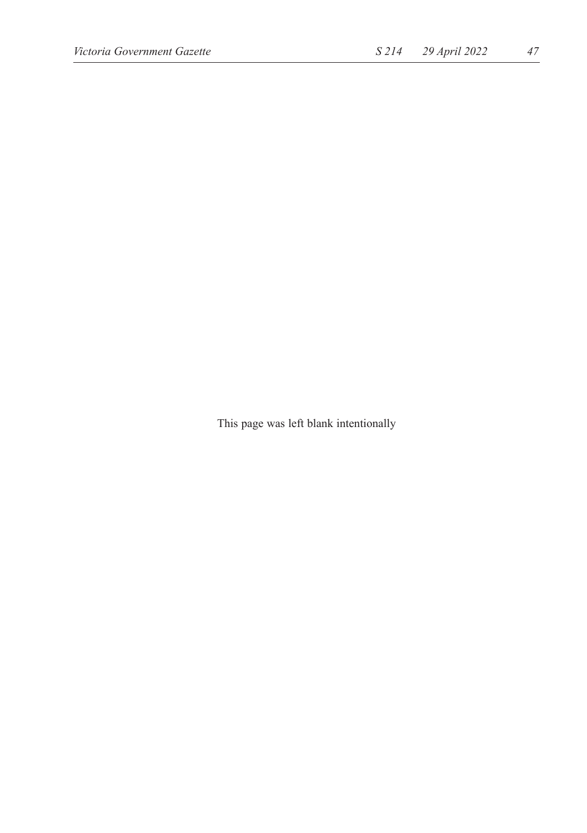This page was left blank intentionally